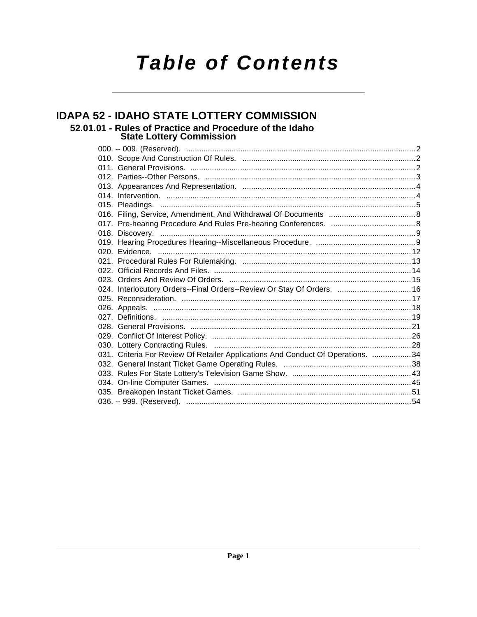# **Table of Contents**

## **IDAPA 52 - IDAHO STATE LOTTERY COMMISSION** 52.01.01 - Rules of Practice and Procedure of the Idaho<br>State Lottery Commission

| 024. Interlocutory Orders--Final Orders--Review Or Stay Of Orders.  16          |  |
|---------------------------------------------------------------------------------|--|
|                                                                                 |  |
|                                                                                 |  |
|                                                                                 |  |
|                                                                                 |  |
|                                                                                 |  |
|                                                                                 |  |
| 031. Criteria For Review Of Retailer Applications And Conduct Of Operations. 34 |  |
|                                                                                 |  |
|                                                                                 |  |
|                                                                                 |  |
|                                                                                 |  |
|                                                                                 |  |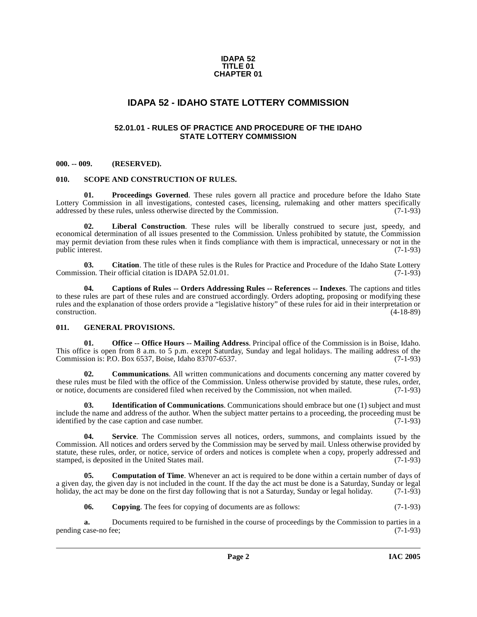#### **IDAPA 52 TITLE 01 CHAPTER 01**

### **IDAPA 52 - IDAHO STATE LOTTERY COMMISSION**

### **52.01.01 - RULES OF PRACTICE AND PROCEDURE OF THE IDAHO STATE LOTTERY COMMISSION**

#### <span id="page-1-2"></span><span id="page-1-1"></span><span id="page-1-0"></span>**000. -- 009. (RESERVED).**

#### <span id="page-1-9"></span><span id="page-1-3"></span>**010. SCOPE AND CONSTRUCTION OF RULES.**

<span id="page-1-8"></span>**Proceedings Governed.** These rules govern all practice and procedure before the Idaho State Lottery Commission in all investigations, contested cases, licensing, rulemaking and other matters specifically addressed by these rules, unless otherwise directed by the Commission. (7-1-93) addressed by these rules, unless otherwise directed by the Commission.

<span id="page-1-7"></span>Liberal Construction. These rules will be liberally construed to secure just, speedy, and economical determination of all issues presented to the Commission. Unless prohibited by statute, the Commission may permit deviation from these rules when it finds compliance with them is impractical, unnecessary or not in the public interest. (7-1-93)

**03.** Citation. The title of these rules is the Rules for Practice and Procedure of the Idaho State Lottery sion. Their official citation is IDAPA 52.01.01. (7-1-93) Commission. Their official citation is IDAPA 52.01.01.

<span id="page-1-5"></span>**04. Captions of Rules -- Orders Addressing Rules -- References -- Indexes**. The captions and titles to these rules are part of these rules and are construed accordingly. Orders adopting, proposing or modifying these rules and the explanation of those orders provide a "legislative history" of these rules for aid in their interpretation or construction. (4-18-89)

### <span id="page-1-4"></span>**011. GENERAL PROVISIONS.**

**Office -- Office Hours -- Mailing Address**. Principal office of the Commission is in Boise, Idaho. This office is open from 8 a.m. to 5 p.m. except Saturday, Sunday and legal holidays. The mailing address of the Commission is: P.O. Box 6537, Boise, Idaho 83707-6537. Commission is: P.O. Box 6537, Boise, Idaho 83707-6537.

**Communications.** All written communications and documents concerning any matter covered by these rules must be filed with the office of the Commission. Unless otherwise provided by statute, these rules, order, or notice, documents are considered filed when received by the Commission, not when mailed. (7-1-93)

**03. Identification of Communications**. Communications should embrace but one (1) subject and must include the name and address of the author. When the subject matter pertains to a proceeding, the proceeding must be identified by the case caption and case number. (7-1-93)

<span id="page-1-10"></span>**04. Service**. The Commission serves all notices, orders, summons, and complaints issued by the Commission. All notices and orders served by the Commission may be served by mail. Unless otherwise provided by statute, these rules, order, or notice, service of orders and notices is complete when a copy, properly addressed and stamped, is deposited in the United States mail. (7-1-93)

**05. Computation of Time**. Whenever an act is required to be done within a certain number of days of a given day, the given day is not included in the count. If the day the act must be done is a Saturday, Sunday or legal holiday, the act may be done on the first day following that is not a Saturday, Sunday or legal holiday. (7-1-93)

<span id="page-1-6"></span>**06.** Copying. The fees for copying of documents are as follows: (7-1-93)

**a.** Documents required to be furnished in the course of proceedings by the Commission to parties in a case-no fee: (7-1-93) pending case-no fee;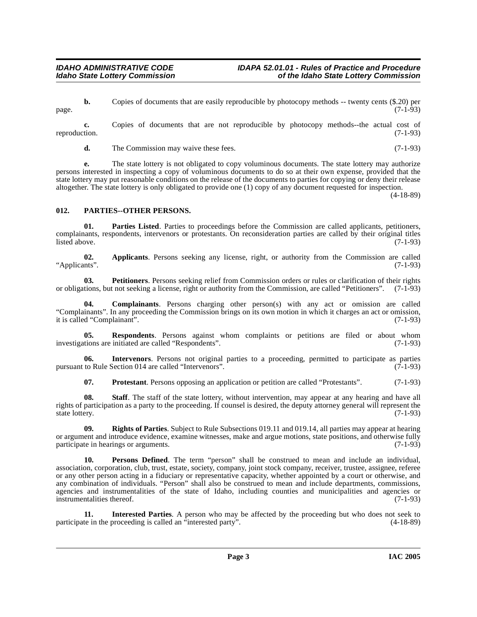**b.** Copies of documents that are easily reproducible by photocopy methods -- twenty cents (\$.20) per (7-1-93)  $page.$  (7-1-93)

**c.** Copies of documents that are not reproducible by photocopy methods--the actual cost of reproduction. (7-1-93)

**d.** The Commission may waive these fees. (7-1-93)

**e.** The state lottery is not obligated to copy voluminous documents. The state lottery may authorize persons interested in inspecting a copy of voluminous documents to do so at their own expense, provided that the state lottery may put reasonable conditions on the release of the documents to parties for copying or deny their release altogether. The state lottery is only obligated to provide one (1) copy of any document requested for inspection.

(4-18-89)

### <span id="page-2-3"></span><span id="page-2-0"></span>**012. PARTIES--OTHER PERSONS.**

<span id="page-2-2"></span>**01. Parties Listed**. Parties to proceedings before the Commission are called applicants, petitioners, complainants, respondents, intervenors or protestants. On reconsideration parties are called by their original titles  $\text{listed above.}$  (7-1-93)

<span id="page-2-1"></span>**02.** Applicants. Persons seeking any license, right, or authority from the Commission are called ints". (7-1-93) "Applicants".

**03. Petitioners**. Persons seeking relief from Commission orders or rules or clarification of their rights or obligations, but not seeking a license, right or authority from the Commission, are called "Petitioners". (7-1-93)

**04. Complainants**. Persons charging other person(s) with any act or omission are called "Complainants". In any proceeding the Commission brings on its own motion in which it charges an act or omission, it is called "Complainant".

**05. Respondents**. Persons against whom complaints or petitions are filed or about whom tions are initiated are called "Respondents". (7-1-93) investigations are initiated are called "Respondents".

**06.** Intervenors. Persons not original parties to a proceeding, permitted to participate as parties to Rule Section 014 are called "Intervenors". (7-1-93) pursuant to Rule Section 014 are called "Intervenors".

<span id="page-2-4"></span>**07. Protestant**. Persons opposing an application or petition are called "Protestants". (7-1-93)

**08.** Staff. The staff of the state lottery, without intervention, may appear at any hearing and have all rights of participation as a party to the proceeding. If counsel is desired, the deputy attorney general will represent the state lottery. (7-1-93) state lottery. (7-1-93)

**09. Rights of Parties**. Subject to Rule Subsections 019.11 and 019.14, all parties may appear at hearing or argument and introduce evidence, examine witnesses, make and argue motions, state positions, and otherwise fully participate in hearings or arguments. participate in hearings or arguments.

**10. Persons Defined**. The term "person" shall be construed to mean and include an individual, association, corporation, club, trust, estate, society, company, joint stock company, receiver, trustee, assignee, referee or any other person acting in a fiduciary or representative capacity, whether appointed by a court or otherwise, and any combination of individuals. "Person" shall also be construed to mean and include departments, commissions, agencies and instrumentalities of the state of Idaho, including counties and municipalities and agencies or instrumentalities thereof. (7-1-93)

**11. Interested Parties**. A person who may be affected by the proceeding but who does not seek to the in the proceeding is called an "interested party". (4-18-89) participate in the proceeding is called an "interested party".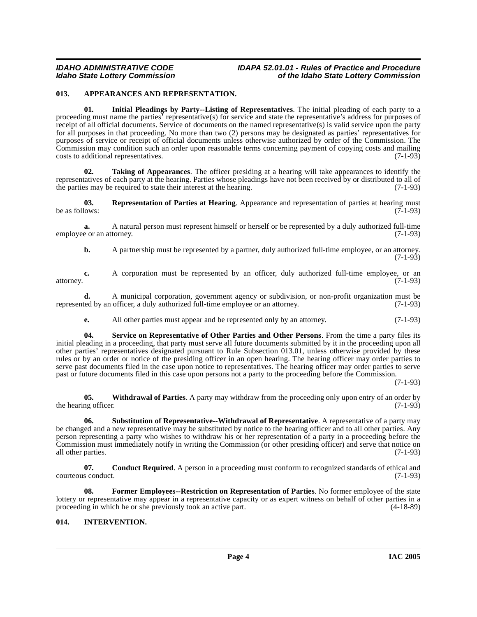### <span id="page-3-2"></span><span id="page-3-0"></span>**013. APPEARANCES AND REPRESENTATION.**

<span id="page-3-4"></span>**01. Initial Pleadings by Party--Listing of Representatives**. The initial pleading of each party to a proceeding must name the parties' representative(s) for service and state the representative's address for purposes of receipt of all official documents. Service of documents on the named representative(s) is valid service upon the party for all purposes in that proceeding. No more than two (2) persons may be designated as parties' representatives for purposes of service or receipt of official documents unless otherwise authorized by order of the Commission. The Commission may condition such an order upon reasonable terms concerning payment of copying costs and mailing costs to additional representatives. (7-1-93)

<span id="page-3-9"></span>**02. Taking of Appearances**. The officer presiding at a hearing will take appearances to identify the representatives of each party at the hearing. Parties whose pleadings have not been received by or distributed to all of the parties may be required to state their interest at the hearing. (7-1-93) the parties may be required to state their interest at the hearing.

<span id="page-3-6"></span>**03. Representation of Parties at Hearing**. Appearance and representation of parties at hearing must lows: (7-1-93) be as follows:

**a.** A natural person must represent himself or herself or be represented by a duly authorized full-time employee or an attorney. (7-1-93)

**b.** A partnership must be represented by a partner, duly authorized full-time employee, or an attorney.  $(7-1-93)$ 

**c.** A corporation must be represented by an officer, duly authorized full-time employee, or an attorney. (7-1-93)

**d.** A municipal corporation, government agency or subdivision, or non-profit organization must be ted by an officer, a duly authorized full-time employee or an attorney. (7-1-93) represented by an officer, a duly authorized full-time employee or an attorney.

<span id="page-3-7"></span>**e.** All other parties must appear and be represented only by an attorney. (7-1-93)

**04. Service on Representative of Other Parties and Other Persons**. From the time a party files its initial pleading in a proceeding, that party must serve all future documents submitted by it in the proceeding upon all other parties' representatives designated pursuant to Rule Subsection 013.01, unless otherwise provided by these rules or by an order or notice of the presiding officer in an open hearing. The hearing officer may order parties to serve past documents filed in the case upon notice to representatives. The hearing officer may order parties to serve past or future documents filed in this case upon persons not a party to the proceeding before the Commission.

(7-1-93)

<span id="page-3-10"></span>**05. Withdrawal of Parties**. A party may withdraw from the proceeding only upon entry of an order by the hearing officer.  $(7-1-93)$ 

<span id="page-3-8"></span>**06. Substitution of Representative--Withdrawal of Representative**. A representative of a party may be changed and a new representative may be substituted by notice to the hearing officer and to all other parties. Any person representing a party who wishes to withdraw his or her representation of a party in a proceeding before the Commission must immediately notify in writing the Commission (or other presiding officer) and serve that notice on all other parties. (7-1-93)

**07.** Conduct Required. A person in a proceeding must conform to recognized standards of ethical and s conduct. (7-1-93) courteous conduct.

<span id="page-3-3"></span>**08. Former Employees--Restriction on Representation of Parties**. No former employee of the state lottery or representative may appear in a representative capacity or as expert witness on behalf of other parties in a proceeding in which he or she previously took an active part. (4-18-89)

### <span id="page-3-5"></span><span id="page-3-1"></span>**014. INTERVENTION.**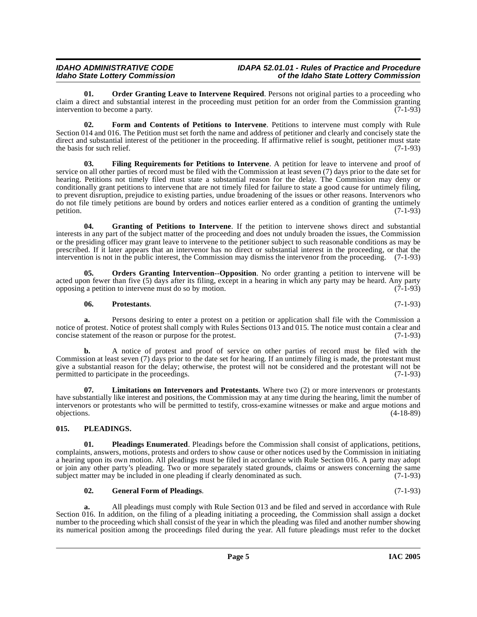#### **IDAHO ADMINISTRATIVE CODE IDAPA 52.01.01 - Rules of Practice and Procedure<br>Idaho State Lottery Commission in the Idaho State Lottery Commission Idaho State Lottery Commission of the Idaho State Lottery Commission**

<span id="page-4-4"></span>**01.** Order Granting Leave to Intervene Required. Persons not original parties to a proceeding who claim a direct and substantial interest in the proceeding must petition for an order from the Commission granting<br>(7-1-93) intervention to become a party.

<span id="page-4-1"></span>**02. Form and Contents of Petitions to Intervene**. Petitions to intervene must comply with Rule Section 014 and 016. The Petition must set forth the name and address of petitioner and clearly and concisely state the direct and substantial interest of the petitioner in the proceeding. If affirmative relief is sought, petitioner must state the basis for such relief.  $(7-1-93)$ 

**03. Filing Requirements for Petitions to Intervene**. A petition for leave to intervene and proof of service on all other parties of record must be filed with the Commission at least seven (7) days prior to the date set for hearing. Petitions not timely filed must state a substantial reason for the delay. The Commission may deny or conditionally grant petitions to intervene that are not timely filed for failure to state a good cause for untimely filing, to prevent disruption, prejudice to existing parties, undue broadening of the issues or other reasons. Intervenors who do not file timely petitions are bound by orders and notices earlier entered as a condition of granting the untimely petition.  $(7-1-93)$ petition.  $(7-1-93)$ 

**04. Granting of Petitions to Intervene**. If the petition to intervene shows direct and substantial interests in any part of the subject matter of the proceeding and does not unduly broaden the issues, the Commission or the presiding officer may grant leave to intervene to the petitioner subject to such reasonable conditions as may be prescribed. If it later appears that an intervenor has no direct or substantial interest in the proceeding, or that the intervention is not in the public interest, the Commission may dismiss the intervenor from the proceeding. (7-1-93)

**05. Orders Granting Intervention--Opposition**. No order granting a petition to intervene will be acted upon fewer than five (5) days after its filing, except in a hearing in which any party may be heard. Any party opposing a petition to intervene must do so by motion. (7-1-93) opposing a petition to intervene must do so by motion.

#### **06. Protestants**. (7-1-93)

**a.** Persons desiring to enter a protest on a petition or application shall file with the Commission a notice of protest. Notice of protest shall comply with Rules Sections 013 and 015. The notice must contain a clear and concise statement of the reason or purpose for the protest. (7-1-93)

**b.** A notice of protest and proof of service on other parties of record must be filed with the Commission at least seven (7) days prior to the date set for hearing. If an untimely filing is made, the protestant must give a substantial reason for the delay; otherwise, the protest will not be considered and the protestant will not be permitted to participate in the proceedings. (7-1-93)

<span id="page-4-3"></span>**07. Limitations on Intervenors and Protestants**. Where two (2) or more intervenors or protestants have substantially like interest and positions, the Commission may at any time during the hearing, limit the number of intervenors or protestants who will be permitted to testify, cross-examine witnesses or make and argue motions and objections. (4-18-89)

### <span id="page-4-5"></span><span id="page-4-0"></span>**015. PLEADINGS.**

<span id="page-4-6"></span>**01. Pleadings Enumerated**. Pleadings before the Commission shall consist of applications, petitions, complaints, answers, motions, protests and orders to show cause or other notices used by the Commission in initiating a hearing upon its own motion. All pleadings must be filed in accordance with Rule Section 016. A party may adopt or join any other party's pleading. Two or more separately stated grounds, claims or answers concerning the same<br>subject matter may be included in one pleading if clearly denominated as such. (7-1-93) subject matter may be included in one pleading if clearly denominated as such.

### <span id="page-4-2"></span>**02. General Form of Pleadings**. (7-1-93)

**a.** All pleadings must comply with Rule Section 013 and be filed and served in accordance with Rule Section 016. In addition, on the filing of a pleading initiating a proceeding, the Commission shall assign a docket number to the proceeding which shall consist of the year in which the pleading was filed and another number showing its numerical position among the proceedings filed during the year. All future pleadings must refer to the docket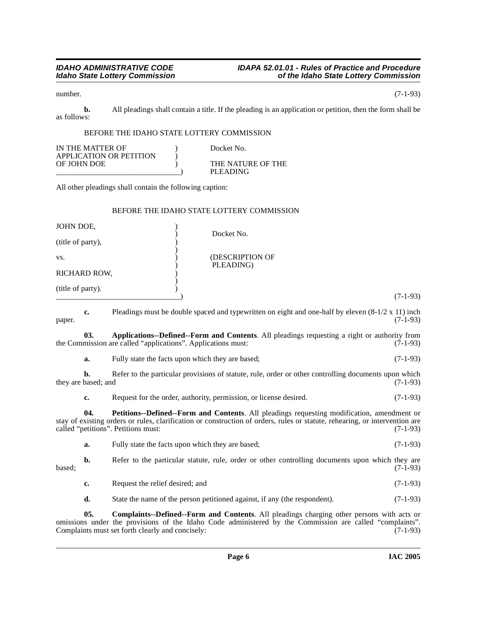number. (7-1-93)

**b.** All pleadings shall contain a title. If the pleading is an application or petition, then the form shall be as follows:

### BEFORE THE IDAHO STATE LOTTERY COMMISSION

| IN THE MATTER OF        | Docket No.        |
|-------------------------|-------------------|
| APPLICATION OR PETITION |                   |
| OF JOHN DOE             | THE NATURE OF THE |
|                         | PLEADING          |

All other pleadings shall contain the following caption:

### BEFORE THE IDAHO STATE LOTTERY COMMISSION

| JOHN DOE,         | Docket No.                   |                                                                                                          |
|-------------------|------------------------------|----------------------------------------------------------------------------------------------------------|
| (title of party), |                              |                                                                                                          |
| VS.               | (DESCRIPTION OF<br>PLEADING) |                                                                                                          |
| RICHARD ROW,      |                              |                                                                                                          |
| (title of party). |                              | $(7-1-93)$                                                                                               |
| c.                |                              | Pleadings must be double spaced and typewritten on eight and one-half by eleven $(8-1/2 \times 11)$ inch |

<span id="page-5-0"></span>

| paper.              |              |                                                                                                                                                                     | $(7-1-93)$ |
|---------------------|--------------|---------------------------------------------------------------------------------------------------------------------------------------------------------------------|------------|
|                     | 03.          | <b>Applications--Defined--Form and Contents.</b> All pleadings requesting a right or authority from<br>the Commission are called "applications". Applications must: | $(7-1-93)$ |
|                     | a.           | Fully state the facts upon which they are based;                                                                                                                    | $(7-1-93)$ |
| they are based; and | b.           | Refer to the particular provisions of statute, rule, order or other controlling documents upon which                                                                | $(7-1-93)$ |
|                     | c.           | Request for the order, authority, permission, or license desired.                                                                                                   | $(7-1-93)$ |
|                     | $\mathbf{a}$ | <b>PetitionsDefinedForm and Contents</b> All pleadings requesting modification amendment or                                                                         |            |

**Petitions--Defined--Form and Contents**. All pleadings requesting modification, amendment or stay of existing orders or rules, clarification or construction of orders, rules or statute, rehearing, or intervention are called "petitions". Petitions must: (7-1-93) called "petitions". Petitions must:

<span id="page-5-2"></span>**a.** Fully state the facts upon which they are based; (7-1-93)

**b.** Refer to the particular statute, rule, order or other controlling documents upon which they are (7-1-93)  $\alpha$ based;  $(7-1-93)$ 

- **c.** Request the relief desired; and (7-1-93)
- <span id="page-5-1"></span>**d.** State the name of the person petitioned against, if any (the respondent). (7-1-93)

**05. Complaints--Defined--Form and Contents**. All pleadings charging other persons with acts or omissions under the provisions of the Idaho Code administered by the Commission are called "complaints". Complaints must set forth clearly and concisely: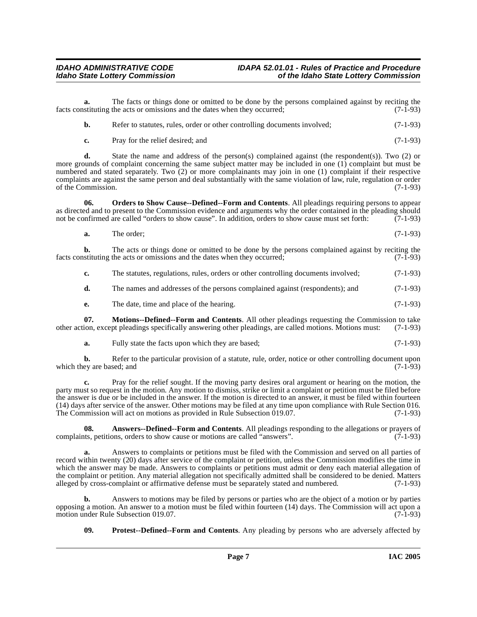**a.** The facts or things done or omitted to be done by the persons complained against by reciting the sets or omissions and the dates when they occurred: (7-1-93) facts constituting the acts or omissions and the dates when they occurred;

| b. | Refer to statutes, rules, order or other controlling documents involved; | $(7-1-93)$ |
|----|--------------------------------------------------------------------------|------------|
|----|--------------------------------------------------------------------------|------------|

**c.** Pray for the relief desired; and (7-1-93)

**d.** State the name and address of the person(s) complained against (the respondent(s)). Two (2) or more grounds of complaint concerning the same subject matter may be included in one (1) complaint but must be numbered and stated separately. Two (2) or more complainants may join in one (1) complaint if their respective complaints are against the same person and deal substantially with the same violation of law, rule, regulation or order<br>of the Commission. (7-1-93) of the Commission.

**06. Orders to Show Cause--Defined--Form and Contents**. All pleadings requiring persons to appear as directed and to present to the Commission evidence and arguments why the order contained in the pleading should<br>not be confirmed are called "orders to show cause". In addition, orders to show cause must set forth: (7-1not be confirmed are called "orders to show cause". In addition, orders to show cause must set forth:

<span id="page-6-2"></span>**a.** The order; (7-1-93)

**b.** The acts or things done or omitted to be done by the persons complained against by reciting the stituting the acts or omissions and the dates when they occurred; (7-1-93) facts constituting the acts or omissions and the dates when they occurred;

**c.** The statutes, regulations, rules, orders or other controlling documents involved; (7-1-93)

**d.** The names and addresses of the persons complained against (respondents); and  $(7-1-93)$ 

<span id="page-6-1"></span>**e.** The date, time and place of the hearing. (7-1-93)

**07. Motions--Defined--Form and Contents**. All other pleadings requesting the Commission to take other action, except pleadings specifically answering other pleadings, are called motions. Motions must: (7-1-93)

**a.** Fully state the facts upon which they are based; (7-1-93)

**b.** Refer to the particular provision of a statute, rule, order, notice or other controlling document upon ey are based; and (7-1-93) which they are based; and

**c.** Pray for the relief sought. If the moving party desires oral argument or hearing on the motion, the party must so request in the motion. Any motion to dismiss, strike or limit a complaint or petition must be filed before the answer is due or be included in the answer. If the motion is directed to an answer, it must be filed within fourteen (14) days after service of the answer. Other motions may be filed at any time upon compliance with Rule Section 016. The Commission will act on motions as provided in Rule Subsection 019.07. (7-1-93)

<span id="page-6-0"></span>**08.** Answers--Defined--Form and Contents. All pleadings responding to the allegations or prayers of these peritions, orders to show cause or motions are called "answers". complaints, petitions, orders to show cause or motions are called "answers".

**a.** Answers to complaints or petitions must be filed with the Commission and served on all parties of record within twenty (20) days after service of the complaint or petition, unless the Commission modifies the time in which the answer may be made. Answers to complaints or petitions must admit or deny each material allegation of the complaint or petition. Any material allegation not specifically admitted shall be considered to be denied. Matters alleged by cross-complaint or affirmative defense must be separately stated and numbered. (7-1-93) alleged by cross-complaint or affirmative defense must be separately stated and numbered.

**b.** Answers to motions may be filed by persons or parties who are the object of a motion or by parties opposing a motion. An answer to a motion must be filed within fourteen (14) days. The Commission will act upon a motion under Rule Subsection 019.07.

<span id="page-6-3"></span>**09. Protest--Defined--Form and Contents**. Any pleading by persons who are adversely affected by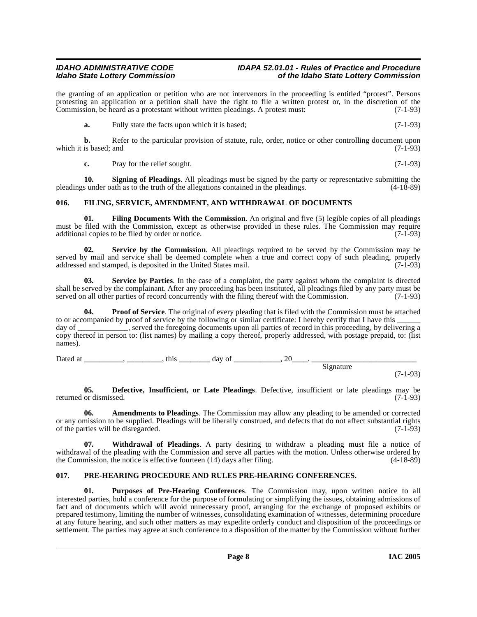#### **IDAHO ADMINISTRATIVE CODE IDAPA 52.01.01 - Rules of Practice and Procedure<br>Idaho State Lottery Commission** of the Idaho State Lottery Commission **Idaho State Lottery Commission of the Idaho State Lottery Commission**

the granting of an application or petition who are not intervenors in the proceeding is entitled "protest". Persons protesting an application or a petition shall have the right to file a written protest or, in the discretion of the Commission, be heard as a protestant without written pleadings. A protest must: (7-1-93) Commission, be heard as a protestant without written pleadings. A protest must:

**a.** Fully state the facts upon which it is based; (7-1-93)

**b.** Refer to the particular provision of statute, rule, order, notice or other controlling document upon is based: and (7-1-93) which it is based; and

<span id="page-7-9"></span><span id="page-7-4"></span>**c.** Pray for the relief sought. (7-1-93)

**10. Signing of Pleadings**. All pleadings must be signed by the party or representative submitting the sure oath as to the truth of the allegations contained in the pleadings. (4-18-89) pleadings under oath as to the truth of the allegations contained in the pleadings.

### <span id="page-7-5"></span><span id="page-7-0"></span>**016. FILING, SERVICE, AMENDMENT, AND WITHDRAWAL OF DOCUMENTS**

**01. Filing Documents With the Commission**. An original and five (5) legible copies of all pleadings must be filed with the Commission, except as otherwise provided in these rules. The Commission may require additional copies to be filed by order or notice. (7-1-93)

<span id="page-7-8"></span>**02. Service by the Commission**. All pleadings required to be served by the Commission may be served by mail and service shall be deemed complete when a true and correct copy of such pleading, properly addressed and stamped, is deposited in the United States mail. (7-1-93) addressed and stamped, is deposited in the United States mail.

<span id="page-7-7"></span>**03. Service by Parties**. In the case of a complaint, the party against whom the complaint is directed shall be served by the complainant. After any proceeding has been instituted, all pleadings filed by any party must be served on all other parties of record concurrently with the filing thereof with the Commission. (7-1-93 served on all other parties of record concurrently with the filing thereof with the Commission.

**Proof of Service**. The original of every pleading that is filed with the Commission must be attached to or accompanied by proof of service by the following or similar certificate: I hereby certify that I have this day of \_\_\_\_\_\_\_\_\_, served the foregoing documents upon all parties of record in this proceeding, by delivering a copy thereof in person to: (list names) by mailing a copy thereof, properly addressed, with postage prepaid, to: (list names).

Dated at \_\_\_\_\_\_\_\_\_\_\_, \_\_\_\_\_\_\_\_\_\_, this \_\_\_\_\_\_\_\_\_\_\_ day of \_\_\_\_\_\_\_\_\_\_\_\_\_, 20\_\_\_\_\_. \_\_\_\_\_\_\_\_\_\_\_\_\_\_\_\_\_\_\_\_\_\_\_\_\_\_\_\_

Signature

(7-1-93)

<span id="page-7-3"></span>**05. Defective, Insufficient, or Late Pleadings**. Defective, insufficient or late pleadings may be or dismissed. (7-1-93) returned or dismissed.

<span id="page-7-2"></span>**06. Amendments to Pleadings**. The Commission may allow any pleading to be amended or corrected or any omission to be supplied. Pleadings will be liberally construed, and defects that do not affect substantial rights of the parties will be disregarded.

<span id="page-7-10"></span>**07. Withdrawal of Pleadings**. A party desiring to withdraw a pleading must file a notice of withdrawal of the pleading with the Commission and serve all parties with the motion. Unless otherwise ordered by the Commission, the notice is effective fourteen (14) days after filing. (4-18-89)

### <span id="page-7-6"></span><span id="page-7-1"></span>**017. PRE-HEARING PROCEDURE AND RULES PRE-HEARING CONFERENCES.**

**01. Purposes of Pre-Hearing Conferences**. The Commission may, upon written notice to all interested parties, hold a conference for the purpose of formulating or simplifying the issues, obtaining admissions of fact and of documents which will avoid unnecessary proof, arranging for the exchange of proposed exhibits or prepared testimony, limiting the number of witnesses, consolidating examination of witnesses, determining procedure at any future hearing, and such other matters as may expedite orderly conduct and disposition of the proceedings or settlement. The parties may agree at such conference to a disposition of the matter by the Commission without further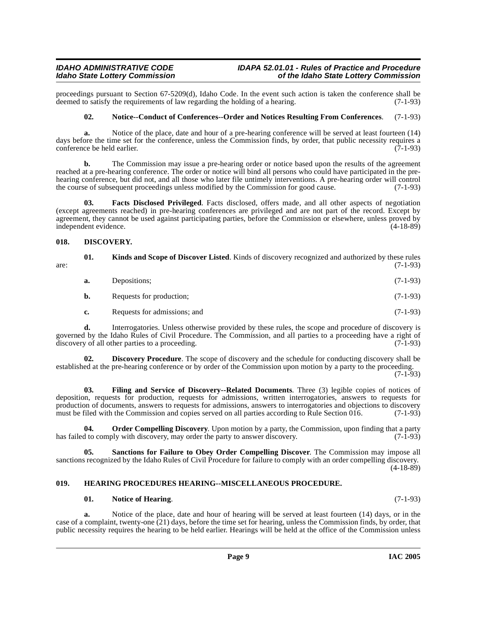proceedings pursuant to Section 67-5209(d), Idaho Code. In the event such action is taken the conference shall be deemed to satisfy the requirements of law regarding the holding of a hearing. (7-1-93) deemed to satisfy the requirements of law regarding the holding of a hearing.

#### <span id="page-8-7"></span>**02. Notice--Conduct of Conferences--Order and Notices Resulting From Conferences**. (7-1-93)

**a.** Notice of the place, date and hour of a pre-hearing conference will be served at least fourteen (14) days before the time set for the conference, unless the Commission finds, by order, that public necessity requires a conference be held earlier. (7-1-93)

**b.** The Commission may issue a pre-hearing order or notice based upon the results of the agreement reached at a pre-hearing conference. The order or notice will bind all persons who could have participated in the prehearing conference, but did not, and all those who later file untimely interventions. A pre-hearing order will control<br>the course of subsequent proceedings unless modified by the Commission for good cause. (7-1-93) the course of subsequent proceedings unless modified by the Commission for good cause.

<span id="page-8-3"></span>**03. Facts Disclosed Privileged**. Facts disclosed, offers made, and all other aspects of negotiation (except agreements reached) in pre-hearing conferences are privileged and are not part of the record. Except by agreement, they cannot be used against participating parties, before the Commission or elsewhere, unless proved by independent evidence. independent evidence.

### <span id="page-8-2"></span><span id="page-8-0"></span>**018. DISCOVERY.**

<span id="page-8-6"></span>

| are: | 01. | <b>Kinds and Scope of Discover Listed.</b> Kinds of discovery recognized and authorized by these rules | $(7-1-93)$ |
|------|-----|--------------------------------------------------------------------------------------------------------|------------|
|      | а.  | Depositions:                                                                                           | $(7-1-93)$ |
|      | b.  | Requests for production;                                                                               | $(7-1-93)$ |
|      | c.  | Requests for admissions; and                                                                           | $(7-1-93)$ |

**d.** Interrogatories. Unless otherwise provided by these rules, the scope and procedure of discovery is governed by the Idaho Rules of Civil Procedure. The Commission, and all parties to a proceeding have a right of discovery of all other parties to a proceeding. (7-1-93) discovery of all other parties to a proceeding.

**02. Discovery Procedure**. The scope of discovery and the schedule for conducting discovery shall be established at the pre-hearing conference or by order of the Commission upon motion by a party to the proceeding.

 $(7-1-93)$ 

<span id="page-8-4"></span>**03. Filing and Service of Discovery--Related Documents**. Three (3) legible copies of notices of deposition, requests for production, requests for admissions, written interrogatories, answers to requests for production of documents, answers to requests for admissions, answers to interrogatories and objections to discovery must be filed with the Commission and copies served on all parties according to Rule Section 016. (7-1-93)

<span id="page-8-8"></span>**04. Order Compelling Discovery**. Upon motion by a party, the Commission, upon finding that a party d to comply with discovery, may order the party to answer discovery. has failed to comply with discovery, may order the party to answer discovery.

**05. Sanctions for Failure to Obey Order Compelling Discover**. The Commission may impose all sanctions recognized by the Idaho Rules of Civil Procedure for failure to comply with an order compelling discovery. (4-18-89)

### <span id="page-8-1"></span>**019. HEARING PROCEDURES HEARING--MISCELLANEOUS PROCEDURE.**

#### <span id="page-8-5"></span>**01. Notice of Hearing**. (7-1-93)

**a.** Notice of the place, date and hour of hearing will be served at least fourteen (14) days, or in the case of a complaint, twenty-one (21) days, before the time set for hearing, unless the Commission finds, by order, that public necessity requires the hearing to be held earlier. Hearings will be held at the office of the Commission unless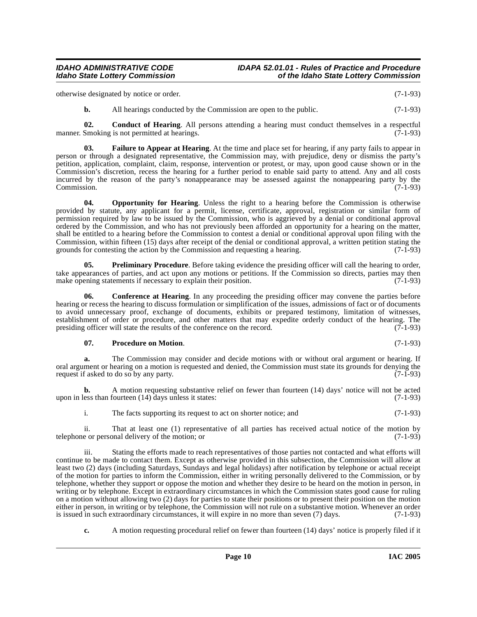otherwise designated by notice or order. (7-1-93)

<span id="page-9-0"></span>**b.** All hearings conducted by the Commission are open to the public. (7-1-93)

**02. Conduct of Hearing**. All persons attending a hearing must conduct themselves in a respectful manner. Smoking is not permitted at hearings. (7-1-93)

**03. Failure to Appear at Hearing**. At the time and place set for hearing, if any party fails to appear in person or through a designated representative, the Commission may, with prejudice, deny or dismiss the party's petition, application, complaint, claim, response, intervention or protest, or may, upon good cause shown or in the Commission's discretion, recess the hearing for a further period to enable said party to attend. Any and all costs incurred by the reason of the party's nonappearance may be assessed against the nonappearing party by the Commission. (7-1-93) Commission. (7-1-93)

<span id="page-9-1"></span>**04.** Opportunity for Hearing. Unless the right to a hearing before the Commission is otherwise provided by statute, any applicant for a permit, license, certificate, approval, registration or similar form of permission required by law to be issued by the Commission, who is aggrieved by a denial or conditional approval ordered by the Commission, and who has not previously been afforded an opportunity for a hearing on the matter, shall be entitled to a hearing before the Commission to contest a denial or conditional approval upon filing with the Commission, within fifteen (15) days after receipt of the denial or conditional approval, a written petition stating the grounds for contesting the action by the Commission and requesting a hearing.  $(7-1-93)$ grounds for contesting the action by the Commission and requesting a hearing.

**05. Preliminary Procedure**. Before taking evidence the presiding officer will call the hearing to order, take appearances of parties, and act upon any motions or petitions. If the Commission so directs, parties may then make opening statements if necessary to explain their position. (7-1-93)

**06.** Conference at Hearing. In any proceeding the presiding officer may convene the parties before hearing or recess the hearing to discuss formulation or simplification of the issues, admissions of fact or of documents to avoid unnecessary proof, exchange of documents, exhibits or prepared testimony, limitation of witnesses, establishment of order or procedure, and other matters that may expedite orderly conduct of the hearing. The presiding officer will state the results of the conference on the record. (7-1-93) presiding officer will state the results of the conference on the record.

### **07. Procedure on Motion**. (7-1-93)

**a.** The Commission may consider and decide motions with or without oral argument or hearing. If oral argument or hearing on a motion is requested and denied, the Commission must state its grounds for denying the request if asked to do so by any party. request if asked to do so by any party.

**b.** A motion requesting substantive relief on fewer than fourteen (14) days' notice will not be acted ess than fourteen (14) days unless it states: (7-1-93) upon in less than fourteen  $(14)$  days unless it states:

i. The facts supporting its request to act on shorter notice; and (7-1-93)

ii. That at least one (1) representative of all parties has received actual notice of the motion by e or personal delivery of the motion; or telephone or personal delivery of the motion; or

iii. Stating the efforts made to reach representatives of those parties not contacted and what efforts will continue to be made to contact them. Except as otherwise provided in this subsection, the Commission will allow at least two (2) days (including Saturdays, Sundays and legal holidays) after notification by telephone or actual receipt of the motion for parties to inform the Commission, either in writing personally delivered to the Commission, or by telephone, whether they support or oppose the motion and whether they desire to be heard on the motion in person, in writing or by telephone. Except in extraordinary circumstances in which the Commission states good cause for ruling on a motion without allowing two (2) days for parties to state their positions or to present their position on the motion either in person, in writing or by telephone, the Commission will not rule on a substantive motion. Whenever an order<br>is issued in such extraordinary circumstances, it will expire in no more than seven (7) days. (7-1-93) is issued in such extraordinary circumstances, it will expire in no more than seven  $(7)$  days.

**c.** A motion requesting procedural relief on fewer than fourteen (14) days' notice is properly filed if it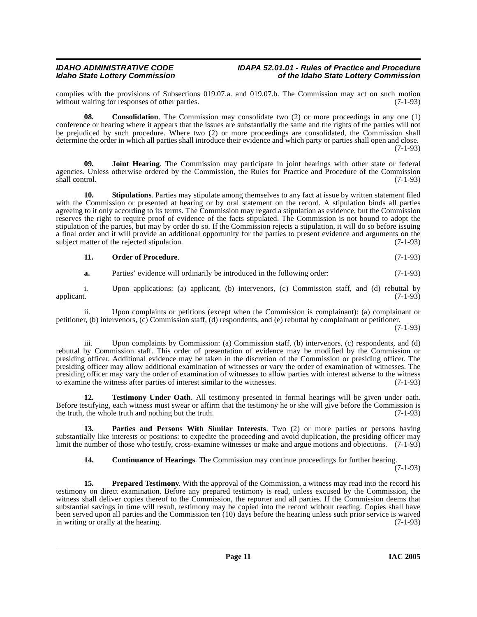complies with the provisions of Subsections 019.07.a. and 019.07.b. The Commission may act on such motion without waiting for responses of other parties. (7-1-93) without waiting for responses of other parties.

**08. Consolidation**. The Commission may consolidate two (2) or more proceedings in any one (1) conference or hearing where it appears that the issues are substantially the same and the rights of the parties will not be prejudiced by such procedure. Where two (2) or more proceedings are consolidated, the Commission shall determine the order in which all parties shall introduce their evidence and which party or parties shall open and close. (7-1-93)

<span id="page-10-1"></span>**09. Joint Hearing**. The Commission may participate in joint hearings with other state or federal agencies. Unless otherwise ordered by the Commission, the Rules for Practice and Procedure of the Commission shall control. (7-1-93) shall control. (7-1-93)

**10. Stipulations**. Parties may stipulate among themselves to any fact at issue by written statement filed with the Commission or presented at hearing or by oral statement on the record. A stipulation binds all parties agreeing to it only according to its terms. The Commission may regard a stipulation as evidence, but the Commission reserves the right to require proof of evidence of the facts stipulated. The Commission is not bound to adopt the stipulation of the parties, but may by order do so. If the Commission rejects a stipulation, it will do so before issuing a final order and it will provide an additional opportunity for the parties to present evidence and arguments on the subject matter of the rejected stipulation. (7-1-93)

#### **11. Order of Procedure**. (7-1-93)

**a.** Parties' evidence will ordinarily be introduced in the following order: (7-1-93)

i. Upon applications: (a) applicant, (b) intervenors, (c) Commission staff, and (d) rebuttal by applicant. (7-1-93) applicant. (7-1-93)

ii. Upon complaints or petitions (except when the Commission is complainant): (a) complainant or petitioner, (b) intervenors, (c) Commission staff, (d) respondents, and (e) rebuttal by complainant or petitioner.

(7-1-93)

Upon complaints by Commission: (a) Commission staff, (b) intervenors,  $(c)$  respondents, and  $(d)$ rebuttal by Commission staff. This order of presentation of evidence may be modified by the Commission or presiding officer. Additional evidence may be taken in the discretion of the Commission or presiding officer. The presiding officer may allow additional examination of witnesses or vary the order of examination of witnesses. The presiding officer may vary the order of examination of witnesses to allow parties with interest adverse to the witness to examine the witness after parties of interest similar to the witnesses. (7-1-93)

<span id="page-10-3"></span>**12. Testimony Under Oath**. All testimony presented in formal hearings will be given under oath. Before testifying, each witness must swear or affirm that the testimony he or she will give before the Commission is the truth, the whole truth and nothing but the truth. (7-1-93) the truth, the whole truth and nothing but the truth.

**13. Parties and Persons With Similar Interests**. Two (2) or more parties or persons having substantially like interests or positions: to expedite the proceeding and avoid duplication, the presiding officer may limit the number of those who testify, cross-examine witnesses or make and argue motions and objections. (7-1-93)

<span id="page-10-2"></span><span id="page-10-0"></span>**14. Continuance of Hearings**. The Commission may continue proceedings for further hearing.

(7-1-93)

**15. Prepared Testimony**. With the approval of the Commission, a witness may read into the record his testimony on direct examination. Before any prepared testimony is read, unless excused by the Commission, the witness shall deliver copies thereof to the Commission, the reporter and all parties. If the Commission deems that substantial savings in time will result, testimony may be copied into the record without reading. Copies shall have been served upon all parties and the Commission ten (10) days before the hearing unless such prior service is waived<br>in writing or orally at the hearing. in writing or orally at the hearing.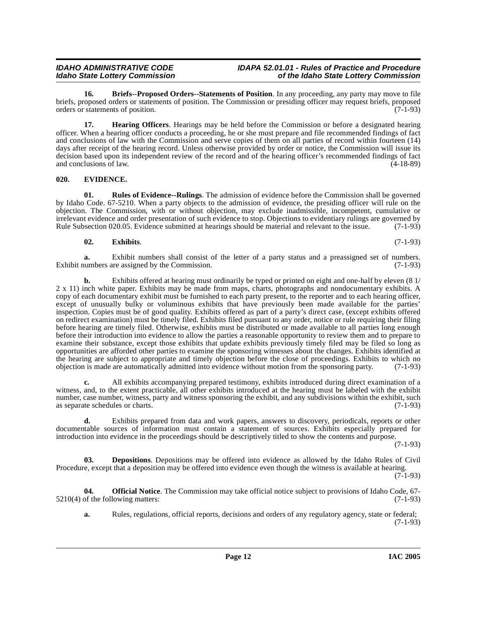<span id="page-11-1"></span>**16. Briefs--Proposed Orders--Statements of Position**. In any proceeding, any party may move to file briefs, proposed orders or statements of position. The Commission or presiding officer may request briefs, proposed orders or statements of position. (7-1-93) orders or statements of position.

<span id="page-11-5"></span>**17. Hearing Officers**. Hearings may be held before the Commission or before a designated hearing officer. When a hearing officer conducts a proceeding, he or she must prepare and file recommended findings of fact and conclusions of law with the Commission and serve copies of them on all parties of record within fourteen (14) days after receipt of the hearing record. Unless otherwise provided by order or notice, the Commission will issue its decision based upon its independent review of the record and of the hearing officer's recommended findings of fact and conclusions of law.  $(4-18-89)$ 

### <span id="page-11-3"></span><span id="page-11-0"></span>**020. EVIDENCE.**

<span id="page-11-7"></span>**01. Rules of Evidence--Rulings**. The admission of evidence before the Commission shall be governed by Idaho Code. 67-5210. When a party objects to the admission of evidence, the presiding officer will rule on the objection. The Commission, with or without objection, may exclude inadmissible, incompetent, cumulative or irrelevant evidence and order presentation of such evidence to stop. Objections to evidentiary rulings are governed by<br>Rule Subsection 020.05. Evidence submitted at hearings should be material and relevant to the issue. (7 Rule Subsection 020.05. Evidence submitted at hearings should be material and relevant to the issue.

### <span id="page-11-4"></span>**02. Exhibits**. (7-1-93)

**a.** Exhibit numbers shall consist of the letter of a party status and a preassigned set of numbers.<br>umbers are assigned by the Commission. (7-1-93) Exhibit numbers are assigned by the Commission.

**b.** Exhibits offered at hearing must ordinarily be typed or printed on eight and one-half by eleven (8 1/ 2 x 11) inch white paper. Exhibits may be made from maps, charts, photographs and nondocumentary exhibits. A copy of each documentary exhibit must be furnished to each party present, to the reporter and to each hearing officer, except of unusually bulky or voluminous exhibits that have previously been made available for the parties' inspection. Copies must be of good quality. Exhibits offered as part of a party's direct case, (except exhibits offered on redirect examination) must be timely filed. Exhibits filed pursuant to any order, notice or rule requiring their filing before hearing are timely filed. Otherwise, exhibits must be distributed or made available to all parties long enough before their introduction into evidence to allow the parties a reasonable opportunity to review them and to prepare to examine their substance, except those exhibits that update exhibits previously timely filed may be filed so long as opportunities are afforded other parties to examine the sponsoring witnesses about the changes. Exhibits identified at the hearing are subject to appropriate and timely objection before the close of proceedings. Exhibits to which no objection is made are automatically admitted into evidence without motion from the sponsoring party. (7-1-93 objection is made are automatically admitted into evidence without motion from the sponsoring party.

**c.** All exhibits accompanying prepared testimony, exhibits introduced during direct examination of a witness, and, to the extent practicable, all other exhibits introduced at the hearing must be labeled with the exhibit number, case number, witness, party and witness sponsoring the exhibit, and any subdivisions within the exhibit, such as separate schedules or charts. (7-1-93)

**d.** Exhibits prepared from data and work papers, answers to discovery, periodicals, reports or other documentable sources of information must contain a statement of sources. Exhibits especially prepared for introduction into evidence in the proceedings should be descriptively titled to show the contents and purpose.

(7-1-93)

<span id="page-11-2"></span>**03. Depositions**. Depositions may be offered into evidence as allowed by the Idaho Rules of Civil Procedure, except that a deposition may be offered into evidence even though the witness is available at hearing.

 $(7-1-93)$ 

**04. Official Notice**. The Commission may take official notice subject to provisions of Idaho Code, 67-  $5210(4)$  of the following matters: (7-1-93)

<span id="page-11-6"></span>**a.** Rules, regulations, official reports, decisions and orders of any regulatory agency, state or federal; (7-1-93)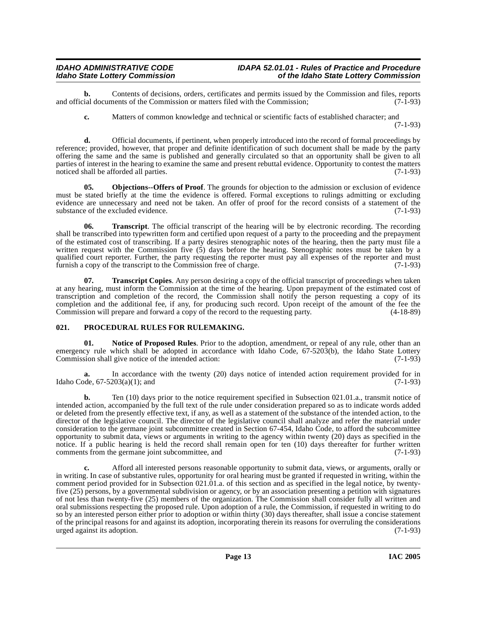**b.** Contents of decisions, orders, certificates and permits issued by the Commission and files, reports is documents of the Commission or matters filed with the Commission: (7-1-93) and official documents of the Commission or matters filed with the Commission;

**c.** Matters of common knowledge and technical or scientific facts of established character; and (7-1-93)

**d.** Official documents, if pertinent, when properly introduced into the record of formal proceedings by reference; provided, however, that proper and definite identification of such document shall be made by the party offering the same and the same is published and generally circulated so that an opportunity shall be given to all parties of interest in the hearing to examine the same and present rebuttal evidence. Opportunity to contest the matters noticed shall be afforded all parties. (7-1-93)

<span id="page-12-1"></span>**05. Objections--Offers of Proof**. The grounds for objection to the admission or exclusion of evidence must be stated briefly at the time the evidence is offered. Formal exceptions to rulings admitting or excluding evidence are unnecessary and need not be taken. An offer of proof for the record consists of a statement of the substance of the excluded evidence. (7-1-93) substance of the excluded evidence.

**06. Transcript**. The official transcript of the hearing will be by electronic recording. The recording shall be transcribed into typewritten form and certified upon request of a party to the proceeding and the prepayment of the estimated cost of transcribing. If a party desires stenographic notes of the hearing, then the party must file a written request with the Commission five (5) days before the hearing. Stenographic notes must be taken by a qualified court reporter. Further, the party requesting the reporter must pay all expenses of the reporter and must<br>furnish a copy of the transcript to the Commission free of charge. (7-1-93) furnish a copy of the transcript to the Commission free of charge.

**07. Transcript Copies**. Any person desiring a copy of the official transcript of proceedings when taken at any hearing, must inform the Commission at the time of the hearing. Upon prepayment of the estimated cost of transcription and completion of the record, the Commission shall notify the person requesting a copy of its completion and the additional fee, if any, for producing such record. Upon receipt of the amount of the fee the Commission will prepare and forward a copy of the record to the requesting party. (4-18-89)

### <span id="page-12-0"></span>**021. PROCEDURAL RULES FOR RULEMAKING.**

**Notice of Proposed Rules**. Prior to the adoption, amendment, or repeal of any rule, other than an emergency rule which shall be adopted in accordance with Idaho Code, 67-5203(b), the Idaho State Lottery<br>Commission shall give notice of the intended action: (7-1-93) Commission shall give notice of the intended action:

**a.** In accordance with the twenty (20) days notice of intended action requirement provided for in ode, 67-5203(a)(1); and (7-1-93) Idaho Code,  $67-5203(a)(1)$ ; and

**b.** Ten (10) days prior to the notice requirement specified in Subsection 021.01.a., transmit notice of intended action, accompanied by the full text of the rule under consideration prepared so as to indicate words added or deleted from the presently effective text, if any, as well as a statement of the substance of the intended action, to the director of the legislative council. The director of the legislative council shall analyze and refer the material under consideration to the germane joint subcommittee created in Section 67-454, Idaho Code, to afford the subcommittee opportunity to submit data, views or arguments in writing to the agency within twenty (20) days as specified in the notice. If a public hearing is held the record shall remain open for ten (10) days thereafter for further written comments from the germane joint subcommittee, and (7-1-93)

**c.** Afford all interested persons reasonable opportunity to submit data, views, or arguments, orally or in writing. In case of substantive rules, opportunity for oral hearing must be granted if requested in writing, within the comment period provided for in Subsection 021.01.a. of this section and as specified in the legal notice, by twentyfive (25) persons, by a governmental subdivision or agency, or by an association presenting a petition with signatures of not less than twenty-five (25) members of the organization. The Commission shall consider fully all written and oral submissions respecting the proposed rule. Upon adoption of a rule, the Commission, if requested in writing to do so by an interested person either prior to adoption or within thirty (30) days thereafter, shall issue a concise statement of the principal reasons for and against its adoption, incorporating therein its reasons for overruling the considerations urged against its adoption. (7-1-93) urged against its adoption.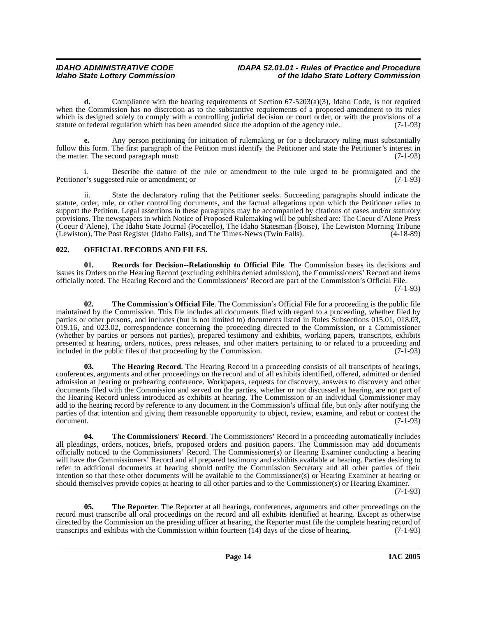### **IDAHO ADMINISTRATIVE CODE IDAPA 52.01.01 - Rules of Practice and Procedure<br>Idaho State Lottery Commission** of the Idaho State Lottery Commission **Idaho State Lottery Commission of the Idaho State Lottery Commission**

**d.** Compliance with the hearing requirements of Section 67-5203(a)(3), Idaho Code, is not required when the Commission has no discretion as to the substantive requirements of a proposed amendment to its rules which is designed solely to comply with a controlling judicial decision or court order, or with the provisions of a statute or federal regulation which has been amended since the adoption of the agency rule. (7-1-93)

**e.** Any person petitioning for initiation of rulemaking or for a declaratory ruling must substantially follow this form. The first paragraph of the Petition must identify the Petitioner and state the Petitioner's interest in the matter. The second paragraph must:  $(7-1-93)$ 

i. Describe the nature of the rule or amendment to the rule urged to be promulgated and the r's suggested rule or amendment; or (7-1-93) Petitioner's suggested rule or amendment; or

ii. State the declaratory ruling that the Petitioner seeks. Succeeding paragraphs should indicate the statute, order, rule, or other controlling documents, and the factual allegations upon which the Petitioner relies to support the Petition. Legal assertions in these paragraphs may be accompanied by citations of cases and/or statutory provisions. The newspapers in which Notice of Proposed Rulemaking will be published are: The Coeur d'Alene Press (Coeur d'Alene), The Idaho State Journal (Pocatello), The Idaho Statesman (Boise), The Lewiston Morning Tribune (Lewiston), The Post Register (Idaho Falls), and The Times-News (Twin Falls). (4-18-89)

### <span id="page-13-1"></span><span id="page-13-0"></span>**022. OFFICIAL RECORDS AND FILES.**

<span id="page-13-2"></span>**01. Records for Decision--Relationship to Official File**. The Commission bases its decisions and issues its Orders on the Hearing Record (excluding exhibits denied admission), the Commissioners' Record and items officially noted. The Hearing Record and the Commissioners' Record are part of the Commission's Official File.

(7-1-93)

<span id="page-13-4"></span>**02. The Commission's Official File**. The Commission's Official File for a proceeding is the public file maintained by the Commission. This file includes all documents filed with regard to a proceeding, whether filed by parties or other persons, and includes (but is not limited to) documents listed in Rules Subsections 015.01, 018.03, 019.16, and 023.02, correspondence concerning the proceeding directed to the Commission, or a Commissioner (whether by parties or persons not parties), prepared testimony and exhibits, working papers, transcripts, exhibits presented at hearing, orders, notices, press releases, and other matters pertaining to or related to a proceeding and included in the public files of that proceeding by the Commission. (7-1-93)

<span id="page-13-5"></span>**03. The Hearing Record**. The Hearing Record in a proceeding consists of all transcripts of hearings, conferences, arguments and other proceedings on the record and of all exhibits identified, offered, admitted or denied admission at hearing or prehearing conference. Workpapers, requests for discovery, answers to discovery and other documents filed with the Commission and served on the parties, whether or not discussed at hearing, are not part of the Hearing Record unless introduced as exhibits at hearing. The Commission or an individual Commissioner may add to the hearing record by reference to any document in the Commission's official file, but only after notifying the parties of that intention and giving them reasonable opportunity to object, review, examine, and rebut or contest the document. (7-1-93)

<span id="page-13-3"></span>**04. The Commissioners' Record**. The Commissioners' Record in a proceeding automatically includes all pleadings, orders, notices, briefs, proposed orders and position papers. The Commission may add documents officially noticed to the Commissioners' Record. The Commissioner(s) or Hearing Examiner conducting a hearing will have the Commissioners' Record and all prepared testimony and exhibits available at hearing. Parties desiring to refer to additional documents at hearing should notify the Commission Secretary and all other parties of their intention so that these other documents will be available to the Commissioner(s) or Hearing Examiner at hearing or should themselves provide copies at hearing to all other parties and to the Commissioner(s) or Hearing Examiner.

(7-1-93)

<span id="page-13-6"></span>**05.** The Reporter. The Reporter at all hearings, conferences, arguments and other proceedings on the record must transcribe all oral proceedings on the record and all exhibits identified at hearing. Except as otherwise directed by the Commission on the presiding officer at hearing, the Reporter must file the complete hearing record of transcripts and exhibits with the Commission within fourteen (14) days of the close of hearing. (7-1-93) transcripts and exhibits with the Commission within fourteen  $(14)$  days of the close of hearing.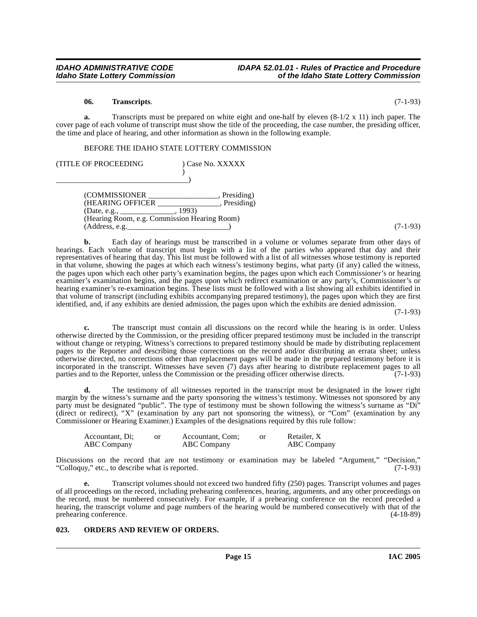#### **06. Transcripts**. (7-1-93)

**a.** Transcripts must be prepared on white eight and one-half by eleven (8-1/2 x 11) inch paper. The cover page of each volume of transcript must show the title of the proceeding, the case number, the presiding officer, the time and place of hearing, and other information as shown in the following example.

BEFORE THE IDAHO STATE LOTTERY COMMISSION

| (TITLE OF PROCEEDING                                                                                                       | Case No. XXXXX                    |            |
|----------------------------------------------------------------------------------------------------------------------------|-----------------------------------|------------|
| (COMMISSIONER<br>(HEARING OFFICER<br>(Date, e.g., $\_\_$<br>(Hearing Room, e.g. Commission Hearing Room)<br>(Address, e.g. | Presiding)<br>Presiding)<br>1993) | $(7-1-93)$ |

**b.** Each day of hearings must be transcribed in a volume or volumes separate from other days of hearings. Each volume of transcript must begin with a list of the parties who appeared that day and their representatives of hearing that day. This list must be followed with a list of all witnesses whose testimony is reported in that volume, showing the pages at which each witness's testimony begins, what party (if any) called the witness, the pages upon which each other party's examination begins, the pages upon which each Commissioner's or hearing examiner's examination begins, and the pages upon which redirect examination or any party's, Commissioner's or hearing examiner's re-examination begins. These lists must be followed with a list showing all exhibits identified in that volume of transcript (including exhibits accompanying prepared testimony), the pages upon which they are first identified, and, if any exhibits are denied admission, the pages upon which the exhibits are denied admission.

(7-1-93)

**c.** The transcript must contain all discussions on the record while the hearing is in order. Unless otherwise directed by the Commission, or the presiding officer prepared testimony must be included in the transcript without change or retyping. Witness's corrections to prepared testimony should be made by distributing replacement pages to the Reporter and describing those corrections on the record and/or distributing an errata sheet; unless otherwise directed, no corrections other than replacement pages will be made in the prepared testimony before it is incorporated in the transcript. Witnesses have seven (7) days after hearing to distribute replacement pages to all parties and to the Reporter, unless the Commission or the presiding officer otherwise directs. (7-1-93) parties and to the Reporter, unless the Commission or the presiding officer otherwise directs.

**d.** The testimony of all witnesses reported in the transcript must be designated in the lower right margin by the witness's surname and the party sponsoring the witness's testimony. Witnesses not sponsored by any party must be designated "public". The type of testimony must be shown following the witness's surname as "Di" (direct or redirect), "X" (examination by any part not sponsoring the witness), or "Com" (examination by any Commissioner or Hearing Examiner.) Examples of the designations required by this rule follow:

| Accountant, Di;    | Accountant, Com; | Retailer, X |
|--------------------|------------------|-------------|
| <b>ABC</b> Company | ABC Company      | ABC Company |

Discussions on the record that are not testimony or examination may be labeled "Argument," "Decision," "Colloquy," etc., to describe what is reported. (7-1-93) "Colloquy," etc., to describe what is reported.

**e.** Transcript volumes should not exceed two hundred fifty (250) pages. Transcript volumes and pages of all proceedings on the record, including prehearing conferences, hearing, arguments, and any other proceedings on the record, must be numbered consecutively. For example, if a prehearing conference on the record preceded a hearing, the transcript volume and page numbers of the hearing would be numbered consecutively with that of the prehearing conference. (4-18-89) prehearing conference.

#### <span id="page-14-1"></span><span id="page-14-0"></span>**023. ORDERS AND REVIEW OF ORDERS.**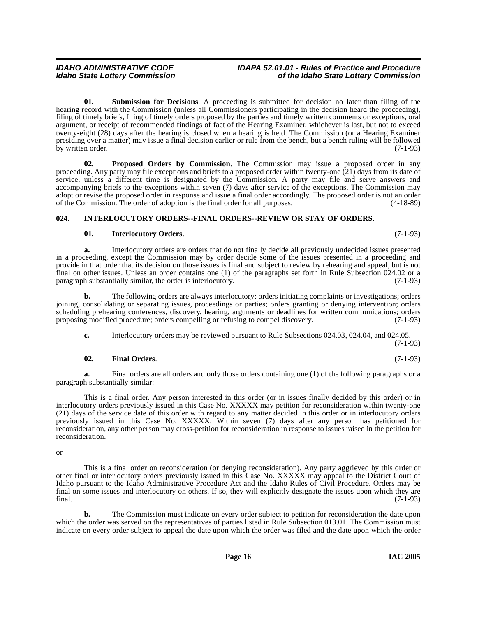<span id="page-15-3"></span>**01. Submission for Decisions**. A proceeding is submitted for decision no later than filing of the hearing record with the Commission (unless all Commissioners participating in the decision heard the proceeding), filing of timely briefs, filing of timely orders proposed by the parties and timely written comments or exceptions, oral argument, or receipt of recommended findings of fact of the Hearing Examiner, whichever is last, but not to exceed twenty-eight (28) days after the hearing is closed when a hearing is held. The Commission (or a Hearing Examiner presiding over a matter) may issue a final decision earlier or rule from the bench, but a bench ruling will be followed by written order.  $(7-1-93)$ 

<span id="page-15-2"></span>**02. Proposed Orders by Commission**. The Commission may issue a proposed order in any proceeding. Any party may file exceptions and briefs to a proposed order within twenty-one (21) days from its date of service, unless a different time is designated by the Commission. A party may file and serve answers and accompanying briefs to the exceptions within seven (7) days after service of the exceptions. The Commission may adopt or revise the proposed order in response and issue a final order accordingly. The proposed order is not an order of the Commission. The order of adoption is the final order for all purposes. (4-18-89)

### <span id="page-15-0"></span>**024. INTERLOCUTORY ORDERS--FINAL ORDERS--REVIEW OR STAY OF ORDERS.**

### <span id="page-15-1"></span>**01. Interlocutory Orders**. (7-1-93)

**a.** Interlocutory orders are orders that do not finally decide all previously undecided issues presented in a proceeding, except the Commission may by order decide some of the issues presented in a proceeding and provide in that order that its decision on those issues is final and subject to review by rehearing and appeal, but is not final on other issues. Unless an order contains one (1) of the paragraphs set forth in Rule Subsection 024.02 or a paragraph substantially similar, the order is interlocutory. (7-1-93)

**b.** The following orders are always interlocutory: orders initiating complaints or investigations; orders joining, consolidating or separating issues, proceedings or parties; orders granting or denying intervention; orders scheduling prehearing conferences, discovery, hearing, arguments or deadlines for written communications; orders proposing modified procedure; orders compelling or refusing to compel discovery. (7-1-93)

**c.** Interlocutory orders may be reviewed pursuant to Rule Subsections 024.03, 024.04, and 024.05.

(7-1-93)

### **02. Final Orders**. (7-1-93)

**a.** Final orders are all orders and only those orders containing one (1) of the following paragraphs or a paragraph substantially similar:

This is a final order. Any person interested in this order (or in issues finally decided by this order) or in interlocutory orders previously issued in this Case No. XXXXX may petition for reconsideration within twenty-one (21) days of the service date of this order with regard to any matter decided in this order or in interlocutory orders previously issued in this Case No. XXXXX. Within seven (7) days after any person has petitioned for reconsideration, any other person may cross-petition for reconsideration in response to issues raised in the petition for reconsideration.

or

This is a final order on reconsideration (or denying reconsideration). Any party aggrieved by this order or other final or interlocutory orders previously issued in this Case No. XXXXX may appeal to the District Court of Idaho pursuant to the Idaho Administrative Procedure Act and the Idaho Rules of Civil Procedure. Orders may be final on some issues and interlocutory on others. If so, they will explicitly designate the issues upon which they are final. (7-1-93)

**b.** The Commission must indicate on every order subject to petition for reconsideration the date upon which the order was served on the representatives of parties listed in Rule Subsection 013.01. The Commission must indicate on every order subject to appeal the date upon which the order was filed and the date upon which the order

**Idaho State Lottery Commission of the Idaho State Lottery Commission**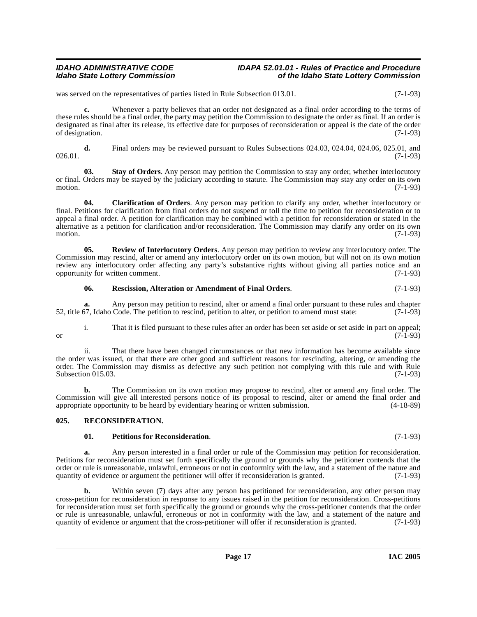#### **IDAHO ADMINISTRATIVE CODE IDAPA 52.01.01 - Rules of Practice and Procedure<br>Idaho State Lottery Commission in the Idaho State Lottery Commission Idaho State Lottery Commission of the Idaho State Lottery Commission**

was served on the representatives of parties listed in Rule Subsection 013.01. (7-1-93)

**c.** Whenever a party believes that an order not designated as a final order according to the terms of these rules should be a final order, the party may petition the Commission to designate the order as final. If an order is designated as final after its release, its effective date for purposes of reconsideration or appeal is the date of the order of designation. (7-1-93)

**d.** Final orders may be reviewed pursuant to Rules Subsections 024.03, 024.04, 024.06, 025.01, and (7-1-93)  $026.01.$  (7-1-93)

**03. Stay of Orders**. Any person may petition the Commission to stay any order, whether interlocutory or final. Orders may be stayed by the judiciary according to statute. The Commission may stay any order on its own<br>(7-1-93) motion.  $(7-1-93)$ 

**04. Clarification of Orders**. Any person may petition to clarify any order, whether interlocutory or final. Petitions for clarification from final orders do not suspend or toll the time to petition for reconsideration or to appeal a final order. A petition for clarification may be combined with a petition for reconsideration or stated in the alternative as a petition for clarification and/or reconsideration. The Commission may clarify any order on its own motion.  $(7-1-93)$ 

**05. Review of Interlocutory Orders**. Any person may petition to review any interlocutory order. The Commission may rescind, alter or amend any interlocutory order on its own motion, but will not on its own motion review any interlocutory order affecting any party's substantive rights without giving all parties notice and an opportunity for written comment. (7-1-93) opportunity for written comment.

### <span id="page-16-4"></span><span id="page-16-3"></span>**06. Rescission, Alteration or Amendment of Final Orders**. (7-1-93)

**a.** Any person may petition to rescind, alter or amend a final order pursuant to these rules and chapter 52, title 67, Idaho Code. The petition to rescind, petition to alter, or petition to amend must state: (7-1-93)

i. That it is filed pursuant to these rules after an order has been set aside or set aside in part on appeal; or  $(7-1-93)$ 

ii. That there have been changed circumstances or that new information has become available since the order was issued, or that there are other good and sufficient reasons for rescinding, altering, or amending the order. The Commission may dismiss as defective any such petition not complying with this rule and with Rule Subsection 015.03. (7-1-93)

**b.** The Commission on its own motion may propose to rescind, alter or amend any final order. The Commission will give all interested persons notice of its proposal to rescind, alter or amend the final order and appropriate opportunity to be heard by evidentiary hearing or written submission. (4-18-89)

### <span id="page-16-0"></span>**025. RECONSIDERATION.**

### <span id="page-16-2"></span><span id="page-16-1"></span>**01. Petitions for Reconsideration**. (7-1-93)

**a.** Any person interested in a final order or rule of the Commission may petition for reconsideration. Petitions for reconsideration must set forth specifically the ground or grounds why the petitioner contends that the order or rule is unreasonable, unlawful, erroneous or not in conformity with the law, and a statement of the nature and quantity of evidence or argument the petitioner will offer if reconsideration is granted. (7-1-93) quantity of evidence or argument the petitioner will offer if reconsideration is granted.

Within seven (7) days after any person has petitioned for reconsideration, any other person may cross-petition for reconsideration in response to any issues raised in the petition for reconsideration. Cross-petitions for reconsideration must set forth specifically the ground or grounds why the cross-petitioner contends that the order or rule is unreasonable, unlawful, erroneous or not in conformity with the law, and a statement of the nature and quantity of evidence or argument that the cross-petitioner will offer if reconsideration is granted. (7-1-93 quantity of evidence or argument that the cross-petitioner will offer if reconsideration is granted.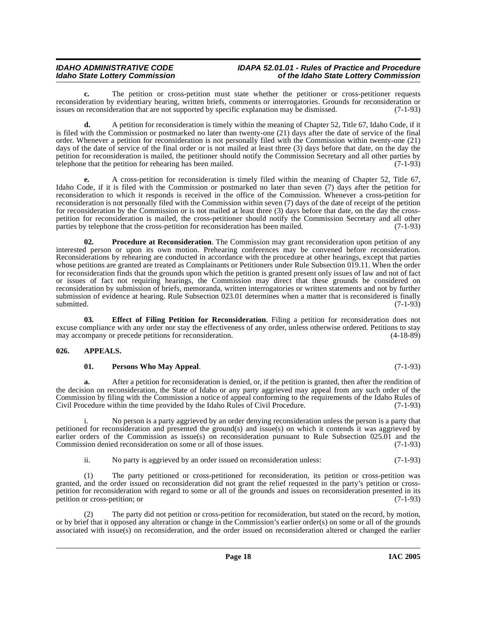**c.** The petition or cross-petition must state whether the petitioner or cross-petitioner requests reconsideration by evidentiary hearing, written briefs, comments or interrogatories. Grounds for reconsideration or issues on reconsideration that are not supported by specific explanation may be dismissed. (7-1-93)

**d.** A petition for reconsideration is timely within the meaning of Chapter 52, Title 67, Idaho Code, if it is filed with the Commission or postmarked no later than twenty-one (21) days after the date of service of the final order. Whenever a petition for reconsideration is not personally filed with the Commission within twenty-one (21) days of the date of service of the final order or is not mailed at least three (3) days before that date, on the day the petition for reconsideration is mailed, the petitioner should notify the Commission Secretary and all other parties by telephone that the petition for rehearing has been mailed. (7-1-93)

**e.** A cross-petition for reconsideration is timely filed within the meaning of Chapter 52, Title 67, Idaho Code, if it is filed with the Commission or postmarked no later than seven (7) days after the petition for reconsideration to which it responds is received in the office of the Commission. Whenever a cross-petition for reconsideration is not personally filed with the Commission within seven (7) days of the date of receipt of the petition for reconsideration by the Commission or is not mailed at least three (3) days before that date, on the day the crosspetition for reconsideration is mailed, the cross-petitioner should notify the Commission Secretary and all other<br>parties by telephone that the cross-petition for reconsideration has been mailed. (7-1-93) parties by telephone that the cross-petition for reconsideration has been mailed.

<span id="page-17-4"></span>**02. Procedure at Reconsideration**. The Commission may grant reconsideration upon petition of any interested person or upon its own motion. Prehearing conferences may be convened before reconsideration. Reconsiderations by rehearing are conducted in accordance with the procedure at other hearings, except that parties whose petitions are granted are treated as Complainants or Petitioners under Rule Subsection 019.11. When the order for reconsideration finds that the grounds upon which the petition is granted present only issues of law and not of fact or issues of fact not requiring hearings, the Commission may direct that these grounds be considered on reconsideration by submission of briefs, memoranda, written interrogatories or written statements and not by further submission of evidence at hearing. Rule Subsection 023.01 determines when a matter that is reconsidered is finally submitted. (7-1-93) submitted. (7-1-93)

<span id="page-17-2"></span>**03. Effect of Filing Petition for Reconsideration**. Filing a petition for reconsideration does not excuse compliance with any order nor stay the effectiveness of any order, unless otherwise ordered. Petitions to stay may accompany or precede petitions for reconsideration. (4-18-89)

### <span id="page-17-0"></span>**026. APPEALS.**

### <span id="page-17-3"></span><span id="page-17-1"></span>**01. Persons Who May Appeal**. (7-1-93)

**a.** After a petition for reconsideration is denied, or, if the petition is granted, then after the rendition of the decision on reconsideration, the State of Idaho or any party aggrieved may appeal from any such order of the Commission by filing with the Commission a notice of appeal conforming to the requirements of the Idaho Rules of Civil Procedure within the time provided by the Idaho Rules of Civil Procedure. (7-1-93)

No person is a party aggrieved by an order denying reconsideration unless the person is a party that petitioned for reconsideration and presented the ground(s) and issue(s) on which it contends it was aggrieved by earlier orders of the Commission as issue(s) on reconsideration pursuant to Rule Subsection 025.01 and the Commission denied reconsideration on some or all of those issues.  $(7-1-93)$ Commission denied reconsideration on some or all of those issues.

ii. No party is aggrieved by an order issued on reconsideration unless: (7-1-93)

(1) The party petitioned or cross-petitioned for reconsideration, its petition or cross-petition was granted, and the order issued on reconsideration did not grant the relief requested in the party's petition or crosspetition for reconsideration with regard to some or all of the grounds and issues on reconsideration presented in its petition or cross-petition; or (7-1-93)

(2) The party did not petition or cross-petition for reconsideration, but stated on the record, by motion, or by brief that it opposed any alteration or change in the Commission's earlier order(s) on some or all of the grounds associated with issue(s) on reconsideration, and the order issued on reconsideration altered or changed the earlier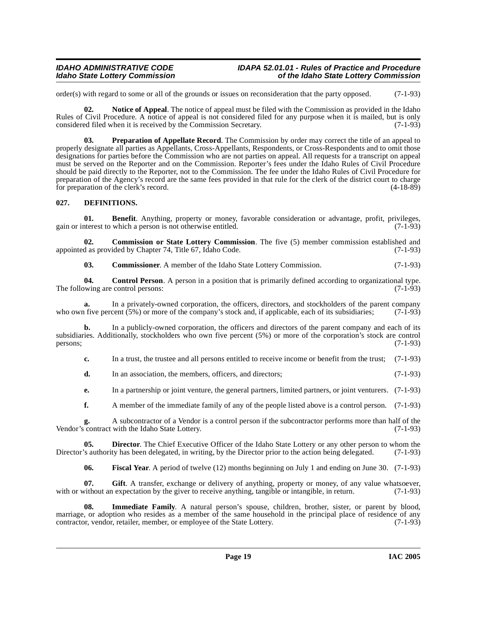#### **IDAHO ADMINISTRATIVE CODE IDAPA 52.01.01 - Rules of Practice and Procedure<br>Idaho State Lottery Commission** of the Idaho State Lottery Commission **Idaho State Lottery Commission of the Idaho State Lottery Commission**

order(s) with regard to some or all of the grounds or issues on reconsideration that the party opposed.  $(7-1-93)$ 

Notice of Appeal. The notice of appeal must be filed with the Commission as provided in the Idaho Rules of Civil Procedure. A notice of appeal is not considered filed for any purpose when it is mailed, but is only considered filed when it is received by the Commission Secretary. (7-1-93)

<span id="page-18-5"></span>**03. Preparation of Appellate Record**. The Commission by order may correct the title of an appeal to properly designate all parties as Appellants, Cross-Appellants, Respondents, or Cross-Respondents and to omit those designations for parties before the Commission who are not parties on appeal. All requests for a transcript on appeal must be served on the Reporter and on the Commission. Reporter's fees under the Idaho Rules of Civil Procedure should be paid directly to the Reporter, not to the Commission. The fee under the Idaho Rules of Civil Procedure for preparation of the Agency's record are the same fees provided in that rule for the clerk of the district court to charge<br>for preparation of the clerk's record. (4-18-89) for preparation of the clerk's record.

### <span id="page-18-2"></span><span id="page-18-0"></span>**027. DEFINITIONS.**

<span id="page-18-1"></span>**01. Benefit**. Anything, property or money, favorable consideration or advantage, profit, privileges, terest to which a person is not otherwise entitled. (7-1-93) gain or interest to which a person is not otherwise entitled.

**02. Commission or State Lottery Commission**. The five (5) member commission established and d as provided by Chapter 74, Title 67, Idaho Code. (7-1-93) appointed as provided by Chapter 74, Title 67, Idaho Code.

**03. Commissioner**. A member of the Idaho State Lottery Commission. (7-1-93)

**04. Control Person**. A person in a position that is primarily defined according to organizational type.<br>wing are control persons: (7-1-93) The following are control persons:

**a.** In a privately-owned corporation, the officers, directors, and stockholders of the parent company is five percent (5%) or more of the company's stock and, if applicable, each of its subsidiaries; (7-1-93) who own five percent  $(5%)$  or more of the company's stock and, if applicable, each of its subsidiaries;

**b.** In a publicly-owned corporation, the officers and directors of the parent company and each of its subsidiaries. Additionally, stockholders who own five percent (5%) or more of the corporation's stock are control persons; (7-1-93)  $p$ ersons;  $(7-1-93)$ 

**c.** In a trust, the trustee and all persons entitled to receive income or benefit from the trust; (7-1-93)

**d.** In an association, the members, officers, and directors: (7-1-93)

**e.** In a partnership or joint venture, the general partners, limited partners, or joint venturers. (7-1-93)

**f.** A member of the immediate family of any of the people listed above is a control person. (7-1-93)

**g.** A subcontractor of a Vendor is a control person if the subcontractor performs more than half of the contract with the Idaho State Lottery. (7-1-93) Vendor's contract with the Idaho State Lottery.

**05. Director**. The Chief Executive Officer of the Idaho State Lottery or any other person to whom the Director's authority has been delegated, in writing, by the Director prior to the action being delegated. (7-1-93)

<span id="page-18-4"></span><span id="page-18-3"></span>**06. Fiscal Year**. A period of twelve (12) months beginning on July 1 and ending on June 30. (7-1-93)

**07. Gift**. A transfer, exchange or delivery of anything, property or money, of any value whatsoever, with or without an expectation by the giver to receive anything, tangible or intangible, in return. (7-1-93)

**08. Immediate Family**. A natural person's spouse, children, brother, sister, or parent by blood, marriage, or adoption who resides as a member of the same household in the principal place of residence of any<br>contractor, vendor, retailer, member, or employee of the State Lottery. (7-1-93) contractor, vendor, retailer, member, or employee of the State Lottery.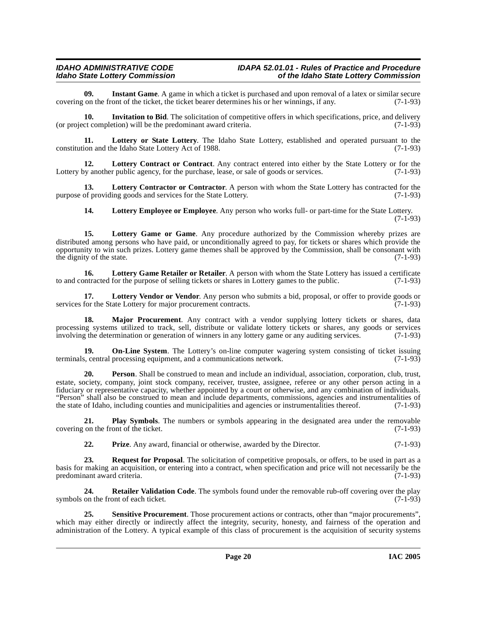<span id="page-19-0"></span>**09.** Instant Game. A game in which a ticket is purchased and upon removal of a latex or similar secure on the front of the ticket, the ticket bearer determines his or her winnings, if any. (7-1-93) covering on the front of the ticket, the ticket bearer determines his or her winnings, if any.

<span id="page-19-1"></span>**10. Invitation to Bid**. The solicitation of competitive offers in which specifications, price, and delivery (or project completion) will be the predominant award criteria. (7-1-93)

<span id="page-19-8"></span>**11.** Lottery or State Lottery. The Idaho State Lottery, established and operated pursuant to the ion and the Idaho State Lottery Act of 1988. constitution and the Idaho State Lottery Act of 1988.

<span id="page-19-2"></span>**12. Lottery Contract or Contract**. Any contract entered into either by the State Lottery or for the Lottery by another public agency, for the purchase, lease, or sale of goods or services. (7-1-93)

**13. Lottery Contractor or Contractor**. A person with whom the State Lottery has contracted for the purpose of providing goods and services for the State Lottery. (7-1-93)

<span id="page-19-6"></span><span id="page-19-4"></span><span id="page-19-3"></span>**14. Lottery Employee or Employee**. Any person who works full- or part-time for the State Lottery. (7-1-93)

**15. Lottery Game or Game**. Any procedure authorized by the Commission whereby prizes are distributed among persons who have paid, or unconditionally agreed to pay, for tickets or shares which provide the opportunity to win such prizes. Lottery game themes shall be approved by the Commission, shall be consonant with the dignity of the state. (7-1-93) the dignity of the state.

<span id="page-19-5"></span>**16. Lottery Game Retailer or Retailer**. A person with whom the State Lottery has issued a certificate to and contracted for the purpose of selling tickets or shares in Lottery games to the public. (7-1-93)

<span id="page-19-7"></span>**17.** Lottery Vendor or Vendor. Any person who submits a bid, proposal, or offer to provide goods or for the State Lottery for major procurement contracts. (7-1-93) services for the State Lottery for major procurement contracts.

<span id="page-19-9"></span>**18. Major Procurement**. Any contract with a vendor supplying lottery tickets or shares, data processing systems utilized to track, sell, distribute or validate lottery tickets or shares, any goods or services involving the determination or generation of winners in any lottery game or any auditing services. (7-1-93)

<span id="page-19-10"></span>**19. On-Line System**. The Lottery's on-line computer wagering system consisting of ticket issuing s. central processing equipment, and a communications network. terminals, central processing equipment, and a communications network.

**20. Person**. Shall be construed to mean and include an individual, association, corporation, club, trust, estate, society, company, joint stock company, receiver, trustee, assignee, referee or any other person acting in a fiduciary or representative capacity, whether appointed by a court or otherwise, and any combination of individuals. "Person" shall also be construed to mean and include departments, commissions, agencies and instrumentalities of the state of Idaho, including counties and municipalities and agencies or instrumentalities thereof. (7-1-93)

**21. Play Symbols**. The numbers or symbols appearing in the designated area under the removable on the front of the ticket. (7-1-93) covering on the front of the ticket.

<span id="page-19-13"></span><span id="page-19-12"></span><span id="page-19-11"></span>**22. Prize**. Any award, financial or otherwise, awarded by the Director. (7-1-93)

**Request for Proposal**. The solicitation of competitive proposals, or offers, to be used in part as a basis for making an acquisition, or entering into a contract, when specification and price will not necessarily be the predominant award criteria. (7-1-93) predominant award criteria.

**24. Retailer Validation Code**. The symbols found under the removable rub-off covering over the play symbols on the front of each ticket. (7-1-93)

<span id="page-19-14"></span>**25. Sensitive Procurement**. Those procurement actions or contracts, other than "major procurements", which may either directly or indirectly affect the integrity, security, honesty, and fairness of the operation and administration of the Lottery. A typical example of this class of procurement is the acquisition of security systems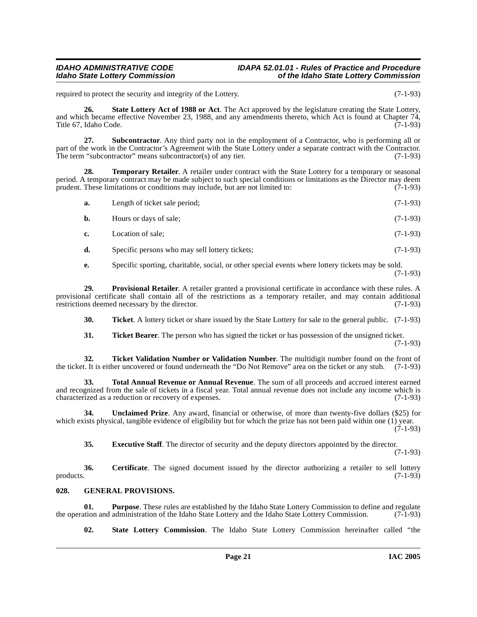required to protect the security and integrity of the Lottery. (7-1-93)

<span id="page-20-4"></span>**26. State Lottery Act of 1988 or Act**. The Act approved by the legislature creating the State Lottery, and which became effective November 23, 1988, and any amendments thereto, which Act is found at Chapter 74, Title 67, Idaho Code. (7-1-93)

**27. Subcontractor**. Any third party not in the employment of a Contractor, who is performing all or part of the work in the Contractor's Agreement with the State Lottery under a separate contract with the Contractor. The term "subcontractor" means subcontractor(s) of any tier. (7-1-93)

**28. Temporary Retailer**. A retailer under contract with the State Lottery for a temporary or seasonal period. A temporary contract may be made subject to such special conditions or limitations as the Director may deem<br>prudent. These limitations or conditions may include, but are not limited to: (7-1-93) prudent. These limitations or conditions may include, but are not limited to:

<span id="page-20-6"></span>

| a. | Length of ticket sale period; | $(7-1-93)$ |
|----|-------------------------------|------------|
|    | Hours or days of sale;        | $(7-1-93)$ |

- **c.** Location of sale; (7-1-93)
- **d.** Specific persons who may sell lottery tickets; (7-1-93)
- <span id="page-20-3"></span>**e.** Specific sporting, charitable, social, or other special events where lottery tickets may be sold. (7-1-93)

**29. Provisional Retailer**. A retailer granted a provisional certificate in accordance with these rules. A provisional certificate shall contain all of the restrictions as a temporary retailer, and may contain additional restrictions deemed necessary by the director. (7-1-93) restrictions deemed necessary by the director.

**30. Ticket**. A lottery ticket or share issued by the State Lottery for sale to the general public. (7-1-93)

<span id="page-20-9"></span><span id="page-20-8"></span><span id="page-20-7"></span>**31. Ticket Bearer**. The person who has signed the ticket or has possession of the unsigned ticket. (7-1-93)

**32. Ticket Validation Number or Validation Number**. The multidigit number found on the front of the front of the front of the "Do Not Remove" area on the ticket or any stub. (7-1-93) the ticket. It is either uncovered or found underneath the "Do Not Remove" area on the ticket or any stub.

**33. Total Annual Revenue or Annual Revenue**. The sum of all proceeds and accrued interest earned and recognized from the sale of tickets in a fiscal year. Total annual revenue does not include any income which is characterized as a reduction or recovery of expenses. (7-1-93) characterized as a reduction or recovery of expenses.

**34. Unclaimed Prize**. Any award, financial or otherwise, of more than twenty-five dollars (\$25) for which exists physical, tangible evidence of eligibility but for which the prize has not been paid within one (1) year.  $(7-1-93)$ 

<span id="page-20-10"></span><span id="page-20-1"></span>**35. Executive Staff**. The director of security and the deputy directors appointed by the director.

(7-1-93)

**36.** Certificate. The signed document issued by the director authorizing a retailer to sell lottery products. (7-1-93)  $p_{\text{p}}$  products.  $(7-1-93)$ 

### <span id="page-20-2"></span><span id="page-20-0"></span>**028. GENERAL PROVISIONS.**

**01. Purpose**. These rules are established by the Idaho State Lottery Commission to define and regulate tion and administration of the Idaho State Lottery and the Idaho State Lottery Commission. (7-1-93) the operation and administration of the Idaho State Lottery and the Idaho State Lottery Commission.

<span id="page-20-5"></span>**02. State Lottery Commission**. The Idaho State Lottery Commission hereinafter called "the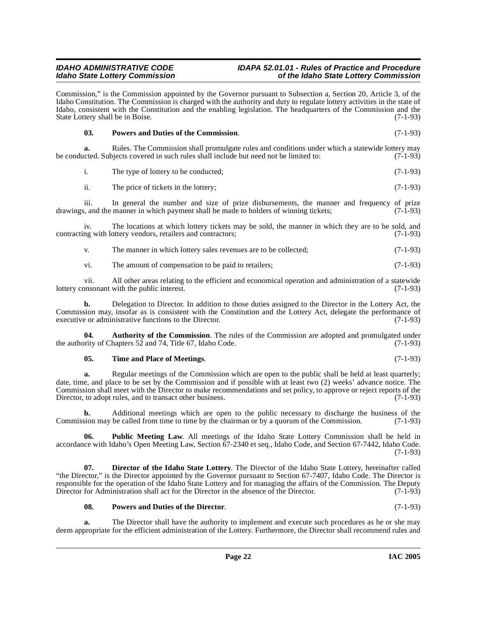#### **IDAHO ADMINISTRATIVE CODE IDAPA 52.01.01 - Rules of Practice and Procedure<br>Idaho State Lottery Commission** of the Idaho State Lottery Commission **Idaho State Lottery Commission of the Idaho State Lottery Commission**

Commission," is the Commission appointed by the Governor pursuant to Subsection a, Section 20, Article 3, of the Idaho Constitution. The Commission is charged with the authority and duty to regulate lottery activities in the state of Idaho, consistent with the Constitution and the enabling legislation. The headquarters of the Commission and the State Lottery shall be in Boise. (7-1-93)

<span id="page-21-2"></span>

| 03. | <b>Powers and Duties of the Commission.</b> | $(7-1-93)$ |
|-----|---------------------------------------------|------------|
|-----|---------------------------------------------|------------|

**a.** Rules. The Commission shall promulgate rules and conditions under which a statewide lottery may cted. Subjects covered in such rules shall include but need not be limited to: (7-1-93) be conducted. Subjects covered in such rules shall include but need not be limited to:

i. The type of lottery to be conducted; (7-1-93)

ii. The price of tickets in the lottery; (7-1-93)

iii. In general the number and size of prize disbursements, the manner and frequency of prize<br>s, and the manner in which payment shall be made to holders of winning tickets; (7-1-93) drawings, and the manner in which payment shall be made to holders of winning tickets;

iv. The locations at which lottery tickets may be sold, the manner in which they are to be sold, and contracting with lottery vendors, retailers and contractors; (7-1-93)

v. The manner in which lottery sales revenues are to be collected; (7-1-93)

vi. The amount of compensation to be paid to retailers; (7-1-93)

vii. All other areas relating to the efficient and economical operation and administration of a statewide onsonant with the public interest. lottery consonant with the public interest.

**b.** Delegation to Director. In addition to those duties assigned to the Director in the Lottery Act, the Commission may, insofar as is consistent with the Constitution and the Lottery Act, delegate the performance of executive or administrative functions to the Director. (7-1-93) executive or administrative functions to the Director.

**04.** Authority of the Commission. The rules of the Commission are adopted and promulgated under ority of Chapters 52 and 74, Title 67, Idaho Code. (7-1-93) the authority of Chapters 52 and 74, Title 67, Idaho Code.

#### <span id="page-21-0"></span>**05. Time and Place of Meetings**. (7-1-93)

**a.** Regular meetings of the Commission which are open to the public shall be held at least quarterly; date, time, and place to be set by the Commission and if possible with at least two (2) weeks' advance notice. The Commission shall meet with the Director to make recommendations and set policy, to approve or reject reports of the Director, to adopt rules, and to transact other business. (7-1-93) Director, to adopt rules, and to transact other business.

**b.** Additional meetings which are open to the public necessary to discharge the business of the Commission may be called from time to time by the chairman or by a quorum of the Commission. (7-1-93)

<span id="page-21-3"></span>**06. Public Meeting Law**. All meetings of the Idaho State Lottery Commission shall be held in accordance with Idaho's Open Meeting Law, Section 67-2340 et seq., Idaho Code, and Section 67-7442, Idaho Code.  $(7-1-93)$ 

**07. Director of the Idaho State Lottery**. The Director of the Idaho State Lottery, hereinafter called "the Director," is the Director appointed by the Governor pursuant to Section 67-7407, Idaho Code. The Director is responsible for the operation of the Idaho State Lottery and for managing the affairs of the Commission. The Deputy Director for Administration shall act for the Director in the absence of the Director. (7-1-93)

#### <span id="page-21-1"></span>**08. Powers and Duties of the Director**. (7-1-93)

The Director shall have the authority to implement and execute such procedures as he or she may deem appropriate for the efficient administration of the Lottery. Furthermore, the Director shall recommend rules and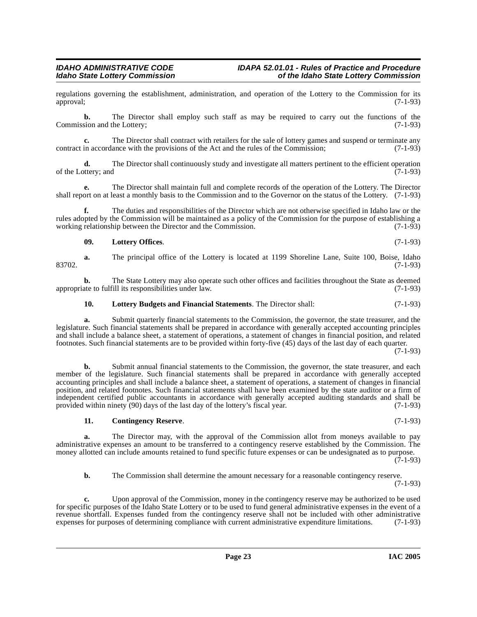regulations governing the establishment, administration, and operation of the Lottery to the Commission for its approval; (7-1-93) approval; (7-1-93)

**b.** The Director shall employ such staff as may be required to carry out the functions of the Commission and the Lottery; (7-1-93)

**c.** The Director shall contract with retailers for the sale of lottery games and suspend or terminate any in accordance with the provisions of the Act and the rules of the Commission: (7-1-93) contract in accordance with the provisions of the Act and the rules of the Commission;

**d.** The Director shall continuously study and investigate all matters pertinent to the efficient operation of the Lottery; and  $(7-1-93)$ 

**e.** The Director shall maintain full and complete records of the operation of the Lottery. The Director shall report on at least a monthly basis to the Commission and to the Governor on the status of the Lottery. (7-1-93)

**f.** The duties and responsibilities of the Director which are not otherwise specified in Idaho law or the rules adopted by the Commission will be maintained as a policy of the Commission for the purpose of establishing a working relationship between the Director and the Commission. (7-1-93) working relationship between the Director and the Commission.

#### <span id="page-22-2"></span>**09. Lottery Offices**. (7-1-93)

**a.** The principal office of the Lottery is located at 1199 Shoreline Lane, Suite 100, Boise, Idaho 83702. (7-1-93)

**b.** The State Lottery may also operate such other offices and facilities throughout the State as deemed ate to fulfill its responsibilities under law. (7-1-93) appropriate to fulfill its responsibilities under law.

### <span id="page-22-1"></span>**10. Lottery Budgets and Financial Statements**. The Director shall: (7-1-93)

**a.** Submit quarterly financial statements to the Commission, the governor, the state treasurer, and the legislature. Such financial statements shall be prepared in accordance with generally accepted accounting principles and shall include a balance sheet, a statement of operations, a statement of changes in financial position, and related footnotes. Such financial statements are to be provided within forty-five (45) days of the last day of each quarter.

(7-1-93)

**b.** Submit annual financial statements to the Commission, the governor, the state treasurer, and each member of the legislature. Such financial statements shall be prepared in accordance with generally accepted accounting principles and shall include a balance sheet, a statement of operations, a statement of changes in financial position, and related footnotes. Such financial statements shall have been examined by the state auditor or a firm of independent certified public accountants in accordance with generally accepted auditing standards and shall be provided within ninety (90) days of the last day of the lottery's fiscal year. (7-1-93)

#### <span id="page-22-0"></span>**11. Contingency Reserve**. (7-1-93)

**a.** The Director may, with the approval of the Commission allot from moneys available to pay administrative expenses an amount to be transferred to a contingency reserve established by the Commission. The money allotted can include amounts retained to fund specific future expenses or can be undesignated as to purpose.

(7-1-93)

**b.** The Commission shall determine the amount necessary for a reasonable contingency reserve. (7-1-93)

**c.** Upon approval of the Commission, money in the contingency reserve may be authorized to be used for specific purposes of the Idaho State Lottery or to be used to fund general administrative expenses in the event of a revenue shortfall. Expenses funded from the contingency reserve shall not be included with other administrative expenses for purposes of determining compliance with current administrative expenditure limitations. (7-1-93) expenses for purposes of determining compliance with current administrative expenditure limitations.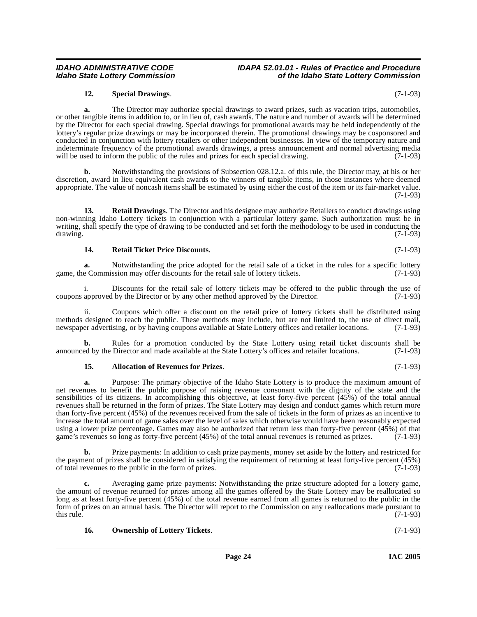### <span id="page-23-3"></span><span id="page-23-2"></span>**14. Retail Ticket Price Discounts**. (7-1-93)

**a.** Notwithstanding the price adopted for the retail sale of a ticket in the rules for a specific lottery game, the Commission may offer discounts for the retail sale of lottery tickets. (7-1-93)

i. Discounts for the retail sale of lottery tickets may be offered to the public through the use of approved by the Director (7-1-93) coupons approved by the Director or by any other method approved by the Director.

ii. Coupons which offer a discount on the retail price of lottery tickets shall be distributed using methods designed to reach the public. These methods may include, but are not limited to, the use of direct mail, newspaper advertising, or by having coupons available at State Lottery offices and retailer locations. (7-1-9 newspaper advertising, or by having coupons available at State Lottery offices and retailer locations.

**b.** Rules for a promotion conducted by the State Lottery using retail ticket discounts shall be announced by the Director and made available at the State Lottery's offices and retailer locations. (7-1-93)

#### <span id="page-23-0"></span>**15. Allocation of Revenues for Prizes**. (7-1-93)

**a.** Purpose: The primary objective of the Idaho State Lottery is to produce the maximum amount of net revenues to benefit the public purpose of raising revenue consonant with the dignity of the state and the sensibilities of its citizens. In accomplishing this objective, at least forty-five percent (45%) of the total annual revenues shall be returned in the form of prizes. The State Lottery may design and conduct games which return more than forty-five percent (45%) of the revenues received from the sale of tickets in the form of prizes as an incentive to increase the total amount of game sales over the level of sales which otherwise would have been reasonably expected using a lower prize percentage. Games may also be authorized that return less than forty-five percent (45%) of that game's revenues so long as forty-five percent (45%) of the total annual revenues is returned as prizes. (7-1-93)

**b.** Prize payments: In addition to cash prize payments, money set aside by the lottery and restricted for the payment of prizes shall be considered in satisfying the requirement of returning at least forty-five percent (45%) of total revenues to the public in the form of prizes. (7-1-93) of total revenues to the public in the form of prizes.

**c.** Averaging game prize payments: Notwithstanding the prize structure adopted for a lottery game, the amount of revenue returned for prizes among all the games offered by the State Lottery may be reallocated so long as at least forty-five percent (45%) of the total revenue earned from all games is returned to the public in the form of prizes on an annual basis. The Director will report to the Commission on any reallocations made pursuant to this rule.  $(7-1-93)$ 

## <span id="page-23-1"></span>**16. Ownership of Lottery Tickets**. (7-1-93)

**a.** The Director may authorize special drawings to award prizes, such as vacation trips, automobiles, or other tangible items in addition to, or in lieu of, cash awards. The nature and number of awards will be determined by the Director for each special drawing. Special drawings for promotional awards may be held independently of the lottery's regular prize drawings or may be incorporated therein. The promotional drawings may be cosponsored and conducted in conjunction with lottery retailers or other independent businesses. In view of the temporary nature and indeterminate frequency of the promotional awards drawings, a press announcement and normal advertising media will be used to inform the public of the rules and prizes for each special drawing. (7-1-93)

<span id="page-23-4"></span>**12. Special Drawings**. (7-1-93)

**b.** Notwithstanding the provisions of Subsection 028.12.a. of this rule, the Director may, at his or her discretion, award in lieu equivalent cash awards to the winners of tangible items, in those instances where deemed appropriate. The value of noncash items shall be estimated by using either the cost of the item or its fair-market value. (7-1-93)

**13. Retail Drawings**. The Director and his designee may authorize Retailers to conduct drawings using non-winning Idaho Lottery tickets in conjunction with a particular lottery game. Such authorization must be in writing, shall specify the type of drawing to be conducted and set forth the methodology to be used in conducting the drawing. (7-1-93)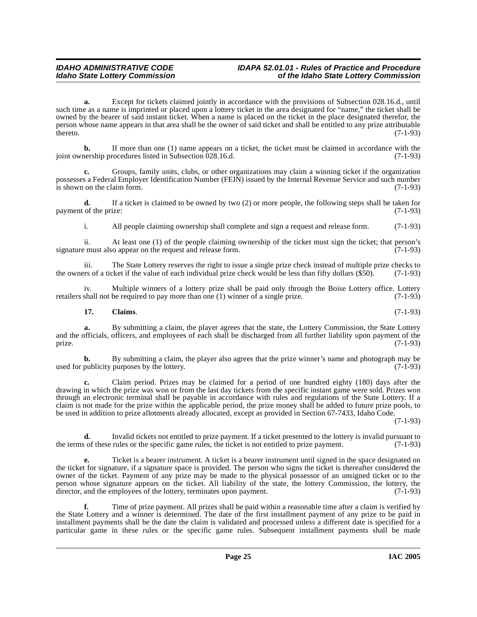**a.** Except for tickets claimed jointly in accordance with the provisions of Subsection 028.16.d., until such time as a name is imprinted or placed upon a lottery ticket in the area designated for "name," the ticket shall be owned by the bearer of said instant ticket. When a name is placed on the ticket in the place designated therefor, the person whose name appears in that area shall be the owner of said ticket and shall be entitled to any prize attributable thereto.  $(7-1-93)$ 

**b.** If more than one (1) name appears on a ticket, the ticket must be claimed in accordance with the nership procedures listed in Subsection 028.16.d. (7-1-93) joint ownership procedures listed in Subsection 028.16.d.

**c.** Groups, family units, clubs, or other organizations may claim a winning ticket if the organization possesses a Federal Employer Identification Number (FEIN) issued by the Internal Revenue Service and such number<br>is shown on the claim form. is shown on the claim form.

**d.** If a ticket is claimed to be owned by two (2) or more people, the following steps shall be taken for payment of the prize:  $(7-1-93)$ 

i. All people claiming ownership shall complete and sign a request and release form. (7-1-93)

ii. At least one (1) of the people claiming ownership of the ticket must sign the ticket; that person's signature must also appear on the request and release form.

iii. The State Lottery reserves the right to issue a single prize check instead of multiple prize checks to res of a ticket if the value of each individual prize check would be less than fifty dollars (\$50). (7-1-93) the owners of a ticket if the value of each individual prize check would be less than fifty dollars  $(\$50)$ .

iv. Multiple winners of a lottery prize shall be paid only through the Boise Lottery office. Lottery shall not be required to pay more than one (1) winner of a single prize. (7-1-93) retailers shall not be required to pay more than one  $(1)$  winner of a single prize.

### <span id="page-24-0"></span>**17. Claims**. (7-1-93)

**a.** By submitting a claim, the player agrees that the state, the Lottery Commission, the State Lottery and the officials, officers, and employees of each shall be discharged from all further liability upon payment of the prize. (7-1-93) prize.  $(7-1-93)$ 

**b.** By submitting a claim, the player also agrees that the prize winner's name and photograph may be publicity purposes by the lottery. (7-1-93) used for publicity purposes by the lottery.

**c.** Claim period. Prizes may be claimed for a period of one hundred eighty (180) days after the drawing in which the prize was won or from the last day tickets from the specific instant game were sold. Prizes won through an electronic terminal shall be payable in accordance with rules and regulations of the State Lottery. If a claim is not made for the prize within the applicable period, the prize money shall be added to future prize pools, to be used in addition to prize allotments already allocated, except as provided in Section 67-7433, Idaho Code.

(7-1-93)

**d.** Invalid tickets not entitled to prize payment. If a ticket presented to the lottery is invalid pursuant to so f these rules or the specific game rules, the ticket is not entitled to prize payment. (7-1-93) the terms of these rules or the specific game rules, the ticket is not entitled to prize payment.

**e.** Ticket is a bearer instrument. A ticket is a bearer instrument until signed in the space designated on the ticket for signature, if a signature space is provided. The person who signs the ticket is thereafter considered the owner of the ticket. Payment of any prize may be made to the physical possessor of an unsigned ticket or to the person whose signature appears on the ticket. All liability of the state, the lottery Commission, the lottery, the director, and the employees of the lottery, terminates upon payment. (7-1-93)

**f.** Time of prize payment. All prizes shall be paid within a reasonable time after a claim is verified by the State Lottery and a winner is determined. The date of the first installment payment of any prize to be paid in installment payments shall be the date the claim is validated and processed unless a different date is specified for a particular game in these rules or the specific game rules. Subsequent installment payments shall be made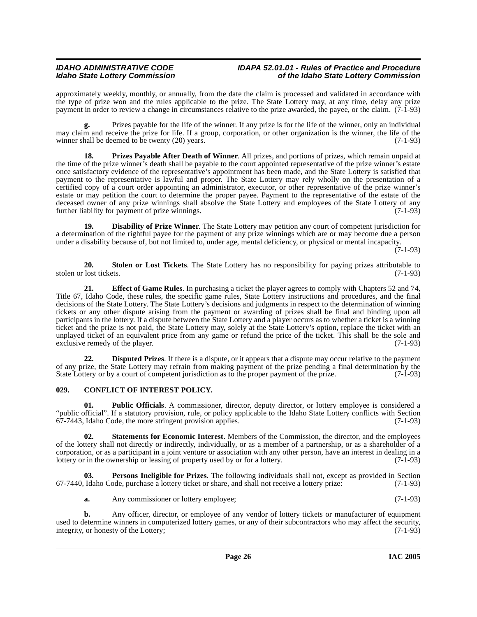approximately weekly, monthly, or annually, from the date the claim is processed and validated in accordance with the type of prize won and the rules applicable to the prize. The State Lottery may, at any time, delay any prize payment in order to review a change in circumstances relative to the prize awarded, the payee, or the claim. (7-1-93)

**g.** Prizes payable for the life of the winner. If any prize is for the life of the winner, only an individual may claim and receive the prize for life. If a group, corporation, or other organization is the winner, the life of the winner shall be deemed to be twenty (20) years. (7-1-93) winner shall be deemed to be twenty  $(20)$  years.

<span id="page-25-6"></span>**18. Prizes Payable After Death of Winner**. All prizes, and portions of prizes, which remain unpaid at the time of the prize winner's death shall be payable to the court appointed representative of the prize winner's estate once satisfactory evidence of the representative's appointment has been made, and the State Lottery is satisfied that payment to the representative is lawful and proper. The State Lottery may rely wholly on the presentation of a certified copy of a court order appointing an administrator, executor, or other representative of the prize winner's estate or may petition the court to determine the proper payee. Payment to the representative of the estate of the deceased owner of any prize winnings shall absolve the State Lottery and employees of the State Lottery of any further liability for payment of prize winnings. (7-1-93) further liability for payment of prize winnings.

<span id="page-25-2"></span>**19. Disability of Prize Winner**. The State Lottery may petition any court of competent jurisdiction for a determination of the rightful payee for the payment of any prize winnings which are or may become due a person under a disability because of, but not limited to, under age, mental deficiency, or physical or mental incapacity.

(7-1-93)

<span id="page-25-8"></span>**20. Stolen or Lost Tickets**. The State Lottery has no responsibility for paying prizes attributable to lost tickets. (7-1-93) stolen or lost tickets.

<span id="page-25-4"></span>**21. Effect of Game Rules**. In purchasing a ticket the player agrees to comply with Chapters 52 and 74, Title 67, Idaho Code, these rules, the specific game rules, State Lottery instructions and procedures, and the final decisions of the State Lottery. The State Lottery's decisions and judgments in respect to the determination of winning tickets or any other dispute arising from the payment or awarding of prizes shall be final and binding upon all participants in the lottery. If a dispute between the State Lottery and a player occurs as to whether a ticket is a winning ticket and the prize is not paid, the State Lottery may, solely at the State Lottery's option, replace the ticket with an unplayed ticket of an equivalent price from any game or refund the price of the ticket. This shall be the sole and exclusive remedy of the player. (7-1-93)

<span id="page-25-3"></span>**22. Disputed Prizes**. If there is a dispute, or it appears that a dispute may occur relative to the payment of any prize, the State Lottery may refrain from making payment of the prize pending a final determination by the State Lottery or by a court of competent iurisdiction as to the proper payment of the prize. (7-1-93) State Lottery or by a court of competent jurisdiction as to the proper payment of the prize.

### <span id="page-25-1"></span><span id="page-25-0"></span>**029. CONFLICT OF INTEREST POLICY.**

**01.** Public Officials. A commissioner, director, deputy director, or lottery employee is considered a "public official". If a statutory provision, rule, or policy applicable to the Idaho State Lottery conflicts with Section  $67-7443$ , Idaho Code, the more stringent provision applies. (7-1-93)

<span id="page-25-7"></span>**02. Statements for Economic Interest**. Members of the Commission, the director, and the employees of the lottery shall not directly or indirectly, individually, or as a member of a partnership, or as a shareholder of a corporation, or as a participant in a joint venture or association with any other person, have an interest in dealing in a lottery or in the ownership or leasing of property used by or for a lottery. (7-1-93)

**03. Persons Ineligible for Prizes**. The following individuals shall not, except as provided in Section Idaho Code, purchase a lottery ticket or share, and shall not receive a lottery prize: (7-1-93) 67-7440, Idaho Code, purchase a lottery ticket or share, and shall not receive a lottery prize:

<span id="page-25-5"></span>**a.** Any commissioner or lottery employee; (7-1-93)

**b.** Any officer, director, or employee of any vendor of lottery tickets or manufacturer of equipment used to determine winners in computerized lottery games, or any of their subcontractors who may affect the security, integrity, or honesty of the Lottery; (7-1-93) integrity, or honesty of the Lottery;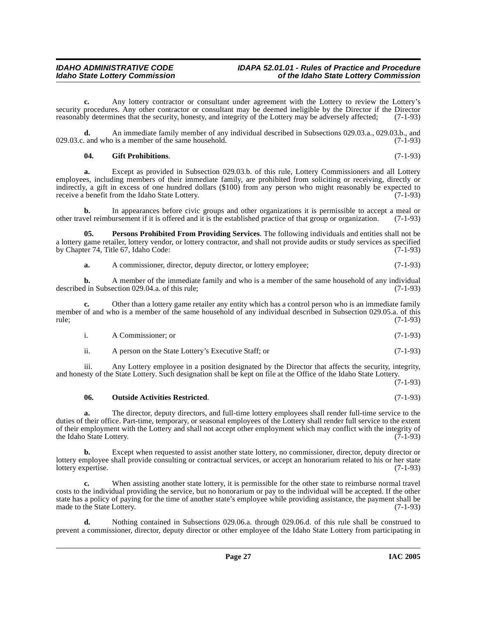**c.** Any lottery contractor or consultant under agreement with the Lottery to review the Lottery's security procedures. Any other contractor or consultant may be deemed ineligible by the Director if the Director reasonably determines that the security, honesty, and integrity of the Lottery may be adversely affected; (7-1-93)

**d.** An immediate family member of any individual described in Subsections 029.03.a., 029.03.b., and and who is a member of the same household. (7-1-93)  $029.03.c.$  and who is a member of the same household.

#### <span id="page-26-0"></span>**04. Gift Prohibitions**. (7-1-93)

**a.** Except as provided in Subsection 029.03.b. of this rule, Lottery Commissioners and all Lottery employees, including members of their immediate family, are prohibited from soliciting or receiving, directly or indirectly, a gift in excess of one hundred dollars (\$100) from any person who might reasonably be expected to receive a benefit from the Idaho State Lottery. (7-1-93)

**b.** In appearances before civic groups and other organizations it is permissible to accept a meal or vel reimbursement if it is offered and it is the established practice of that group or organization. (7-1-93) other travel reimbursement if it is offered and it is the established practice of that group or organization.

**05. Persons Prohibited From Providing Services**. The following individuals and entities shall not be a lottery game retailer, lottery vendor, or lottery contractor, and shall not provide audits or study services as specified<br>by Chapter 74, Title 67, Idaho Code: (7-1-93) by Chapter 74, Title 67, Idaho Code:

<span id="page-26-2"></span>**a.** A commissioner, director, deputy director, or lottery employee; (7-1-93)

**b.** A member of the immediate family and who is a member of the same household of any individual d in Subsection 029.04.a. of this rule: described in Subsection 029.04.a. of this rule;

**c.** Other than a lottery game retailer any entity which has a control person who is an immediate family member of and who is a member of the same household of any individual described in Subsection 029.05.a. of this rule; (7-1-93) rule; (7-1-93)

| A Commissioner: or | $(7-1-93)$ |
|--------------------|------------|
|                    |            |

ii. A person on the State Lottery's Executive Staff; or (7-1-93)

iii. Any Lottery employee in a position designated by the Director that affects the security, integrity, and honesty of the State Lottery. Such designation shall be kept on file at the Office of the Idaho State Lottery. (7-1-93)

### <span id="page-26-1"></span>**06. Outside Activities Restricted**. (7-1-93)

**a.** The director, deputy directors, and full-time lottery employees shall render full-time service to the duties of their office. Part-time, temporary, or seasonal employees of the Lottery shall render full service to the extent of their employment with the Lottery and shall not accept other employment which may conflict with the integrity of the Idaho State Lottery. (7-1-93) the Idaho State Lottery.

**b.** Except when requested to assist another state lottery, no commissioner, director, deputy director or lottery employee shall provide consulting or contractual services, or accept an honorarium related to his or her state<br>(7-1-93) lottery expertise.

**c.** When assisting another state lottery, it is permissible for the other state to reimburse normal travel costs to the individual providing the service, but no honorarium or pay to the individual will be accepted. If the other state has a policy of paying for the time of another state's employee while providing assistance, the payment shall be made to the State Lottery. (7-1-93)

**d.** Nothing contained in Subsections 029.06.a. through 029.06.d. of this rule shall be construed to prevent a commissioner, director, deputy director or other employee of the Idaho State Lottery from participating in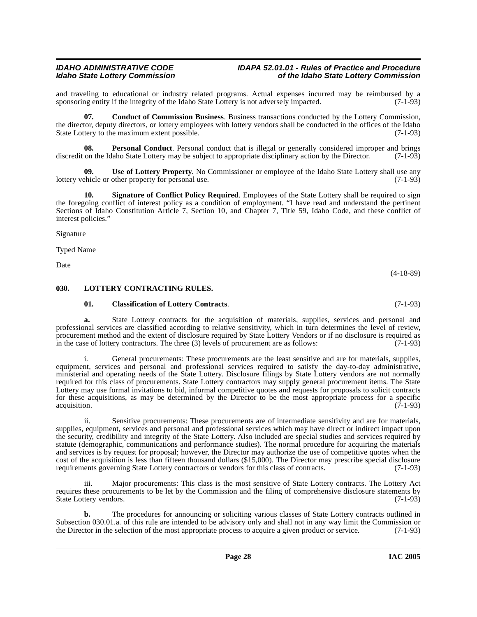and traveling to educational or industry related programs. Actual expenses incurred may be reimbursed by a sponsoring entity if the integrity of the Idaho State Lottery is not adversely impacted. (7-1-93) sponsoring entity if the integrity of the Idaho State Lottery is not adversely impacted.

<span id="page-27-2"></span>**07. Conduct of Commission Business**. Business transactions conducted by the Lottery Commission, the director, deputy directors, or lottery employees with lottery vendors shall be conducted in the offices of the Idaho State Lottery to the maximum extent possible. (7-1-93)

**Personal Conduct**. Personal conduct that is illegal or generally considered improper and brings laho State Lottery may be subject to appropriate disciplinary action by the Director. (7-1-93) discredit on the Idaho State Lottery may be subject to appropriate disciplinary action by the Director.

<span id="page-27-5"></span>**09.** Use of Lottery Property. No Commissioner or employee of the Idaho State Lottery shall use any chicle or other property for personal use. (7-1-93) lottery vehicle or other property for personal use.

<span id="page-27-4"></span>**Signature of Conflict Policy Required.** Employees of the State Lottery shall be required to sign the foregoing conflict of interest policy as a condition of employment. "I have read and understand the pertinent Sections of Idaho Constitution Article 7, Section 10, and Chapter 7, Title 59, Idaho Code, and these conflict of interest policies."

Signature

Typed Name

Date

#### <span id="page-27-0"></span>**030. LOTTERY CONTRACTING RULES.**

#### <span id="page-27-3"></span><span id="page-27-1"></span>**01. Classification of Lottery Contracts**. (7-1-93)

**a.** State Lottery contracts for the acquisition of materials, supplies, services and personal and professional services are classified according to relative sensitivity, which in turn determines the level of review, procurement method and the extent of disclosure required by State Lottery Vendors or if no disclosure is required as in the case of lottery contractors. The three (3) levels of procurement are as follows: (7-1-93)

i. General procurements: These procurements are the least sensitive and are for materials, supplies, equipment, services and personal and professional services required to satisfy the day-to-day administrative, ministerial and operating needs of the State Lottery. Disclosure filings by State Lottery vendors are not normally required for this class of procurements. State Lottery contractors may supply general procurement items. The State Lottery may use formal invitations to bid, informal competitive quotes and requests for proposals to solicit contracts for these acquisitions, as may be determined by the Director to be the most appropriate process for a specific acquisition. (7-1-93)

ii. Sensitive procurements: These procurements are of intermediate sensitivity and are for materials, supplies, equipment, services and personal and professional services which may have direct or indirect impact upon the security, credibility and integrity of the State Lottery. Also included are special studies and services required by statute (demographic, communications and performance studies). The normal procedure for acquiring the materials and services is by request for proposal; however, the Director may authorize the use of competitive quotes when the cost of the acquisition is less than fifteen thousand dollars (\$15,000). The Director may prescribe special disclosure requirements governing State Lottery contractors or vendors for this class of contracts. (7-1-93)

iii. Major procurements: This class is the most sensitive of State Lottery contracts. The Lottery Act requires these procurements to be let by the Commission and the filing of comprehensive disclosure statements by State Lottery vendors. (7-1-93)

**b.** The procedures for announcing or soliciting various classes of State Lottery contracts outlined in Subsection 030.01.a. of this rule are intended to be advisory only and shall not in any way limit the Commission or the Director in the selection of the most appropriate process to acquire a given product or service. (7-1the Director in the selection of the most appropriate process to acquire a given product or service.

(4-18-89)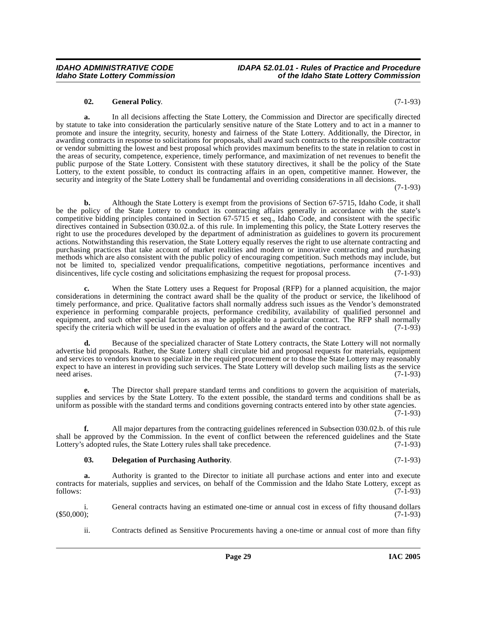#### **02. General Policy**. (7-1-93)

**a.** In all decisions affecting the State Lottery, the Commission and Director are specifically directed by statute to take into consideration the particularly sensitive nature of the State Lottery and to act in a manner to promote and insure the integrity, security, honesty and fairness of the State Lottery. Additionally, the Director, in awarding contracts in response to solicitations for proposals, shall award such contracts to the responsible contractor or vendor submitting the lowest and best proposal which provides maximum benefits to the state in relation to cost in the areas of security, competence, experience, timely performance, and maximization of net revenues to benefit the public purpose of the State Lottery. Consistent with these statutory directives, it shall be the policy of the State Lottery, to the extent possible, to conduct its contracting affairs in an open, competitive manner. However, the security and integrity of the State Lottery shall be fundamental and overriding considerations in all decisions.

(7-1-93)

**b.** Although the State Lottery is exempt from the provisions of Section 67-5715, Idaho Code, it shall be the policy of the State Lottery to conduct its contracting affairs generally in accordance with the state's competitive bidding principles contained in Section 67-5715 et seq., Idaho Code, and consistent with the specific directives contained in Subsection 030.02.a. of this rule. In implementing this policy, the State Lottery reserves the right to use the procedures developed by the department of administration as guidelines to govern its procurement actions. Notwithstanding this reservation, the State Lottery equally reserves the right to use alternate contracting and purchasing practices that take account of market realities and modern or innovative contracting and purchasing methods which are also consistent with the public policy of encouraging competition. Such methods may include, but not be limited to, specialized vendor prequalifications, competitive negotiations, performance incentives and disincentives, life cycle costing and solicitations emphasizing the request for proposal process. (7-1-93)

**c.** When the State Lottery uses a Request for Proposal (RFP) for a planned acquisition, the major considerations in determining the contract award shall be the quality of the product or service, the likelihood of timely performance, and price. Qualitative factors shall normally address such issues as the Vendor's demonstrated experience in performing comparable projects, performance credibility, availability of qualified personnel and equipment, and such other special factors as may be applicable to a particular contract. The RFP shall normally specify the criteria which will be used in the evaluation of offers and the award of the contract. (7-1-93) specify the criteria which will be used in the evaluation of offers and the award of the contract.

**d.** Because of the specialized character of State Lottery contracts, the State Lottery will not normally advertise bid proposals. Rather, the State Lottery shall circulate bid and proposal requests for materials, equipment and services to vendors known to specialize in the required procurement or to those the State Lottery may reasonably expect to have an interest in providing such services. The State Lottery will develop such mailing lists as the service need arises. (7-1-93)

**e.** The Director shall prepare standard terms and conditions to govern the acquisition of materials, supplies and services by the State Lottery. To the extent possible, the standard terms and conditions shall be as uniform as possible with the standard terms and conditions governing contracts entered into by other state agencies. (7-1-93)

**f.** All major departures from the contracting guidelines referenced in Subsection 030.02.b. of this rule shall be approved by the Commission. In the event of conflict between the referenced guidelines and the State<br>Lottery's adopted rules, the State Lottery rules shall take precedence. (7-1-93) Lottery's adopted rules, the State Lottery rules shall take precedence.

#### <span id="page-28-0"></span>**03. Delegation of Purchasing Authority**. (7-1-93)

**a.** Authority is granted to the Director to initiate all purchase actions and enter into and execute contracts for materials, supplies and services, on behalf of the Commission and the Idaho State Lottery, except as follows: (7-1-93)

i. General contracts having an estimated one-time or annual cost in excess of fifty thousand dollars (\$50,000); (7-1-93)  $(550,000);$  (950,000);

ii. Contracts defined as Sensitive Procurements having a one-time or annual cost of more than fifty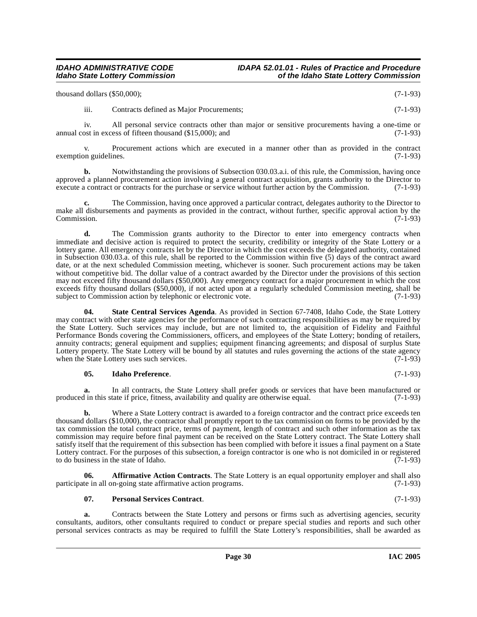| thousand dollars (\$50,000); | $(7-1-93)$ |
|------------------------------|------------|
|                              |            |

iii. Contracts defined as Major Procurements; (7-1-93)

iv. All personal service contracts other than major or sensitive procurements having a one-time or annual cost in excess of fifteen thousand  $(\text{$}15,000)$ ; and  $(\text{$}7-1-93)$ 

v. Procurement actions which are executed in a manner other than as provided in the contract exemption guidelines. (7-1-93)

**b.** Notwithstanding the provisions of Subsection 030.03.a.i. of this rule, the Commission, having once approved a planned procurement action involving a general contract acquisition, grants authority to the Director to execute a contract or contracts for the purchase or service without further action by the Commission. (7-1 execute a contract or contracts for the purchase or service without further action by the Commission.

**c.** The Commission, having once approved a particular contract, delegates authority to the Director to make all disbursements and payments as provided in the contract, without further, specific approval action by the Commission. (7-1-93) Commission. (7-1-93)

**d.** The Commission grants authority to the Director to enter into emergency contracts when immediate and decisive action is required to protect the security, credibility or integrity of the State Lottery or a lottery game. All emergency contracts let by the Director in which the cost exceeds the delegated authority, contained in Subsection 030.03.a. of this rule, shall be reported to the Commission within five (5) days of the contract award date, or at the next scheduled Commission meeting, whichever is sooner. Such procurement actions may be taken without competitive bid. The dollar value of a contract awarded by the Director under the provisions of this section may not exceed fifty thousand dollars (\$50,000). Any emergency contract for a major procurement in which the cost exceeds fifty thousand dollars (\$50,000), if not acted upon at a regularly scheduled Commission meeting, shall be subject to Commission action by telephonic or electronic vote. (7-1-93) subject to Commission action by telephonic or electronic vote.

<span id="page-29-2"></span>**04. State Central Services Agenda**. As provided in Section 67-7408, Idaho Code, the State Lottery may contract with other state agencies for the performance of such contracting responsibilities as may be required by the State Lottery. Such services may include, but are not limited to, the acquisition of Fidelity and Faithful Performance Bonds covering the Commissioners, officers, and employees of the State Lottery; bonding of retailers, annuity contracts; general equipment and supplies; equipment financing agreements; and disposal of surplus State Lottery property. The State Lottery will be bound by all statutes and rules governing the actions of the state agency when the State Lottery uses such services. when the State Lottery uses such services.

### **05. Idaho Preference**. (7-1-93)

**a.** In all contracts, the State Lottery shall prefer goods or services that have been manufactured or l in this state if price, fitness, availability and quality are otherwise equal. (7-1-93) produced in this state if price, fitness, availability and quality are otherwise equal.

**b.** Where a State Lottery contract is awarded to a foreign contractor and the contract price exceeds ten thousand dollars (\$10,000), the contractor shall promptly report to the tax commission on forms to be provided by the tax commission the total contract price, terms of payment, length of contract and such other information as the tax commission may require before final payment can be received on the State Lottery contract. The State Lottery shall satisfy itself that the requirement of this subsection has been complied with before it issues a final payment on a State Lottery contract. For the purposes of this subsection, a foreign contractor is one who is not domiciled in or registered to do business in the state of Idaho. (7-1-93)

**Affirmative Action Contracts**. The State Lottery is an equal opportunity employer and shall also on-going state affirmative action programs. (7-1-93) participate in all on-going state affirmative action programs.

### <span id="page-29-1"></span><span id="page-29-0"></span>**07. Personal Services Contract**. (7-1-93)

**a.** Contracts between the State Lottery and persons or firms such as advertising agencies, security consultants, auditors, other consultants required to conduct or prepare special studies and reports and such other personal services contracts as may be required to fulfill the State Lottery's responsibilities, shall be awarded as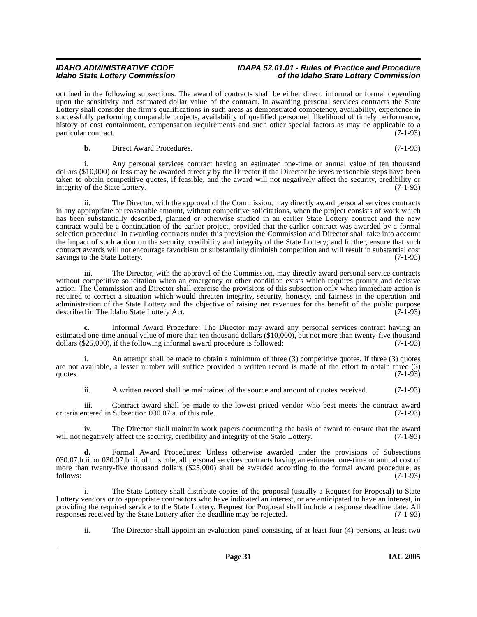outlined in the following subsections. The award of contracts shall be either direct, informal or formal depending upon the sensitivity and estimated dollar value of the contract. In awarding personal services contracts the State Lottery shall consider the firm's qualifications in such areas as demonstrated competency, availability, experience in successfully performing comparable projects, availability of qualified personnel, likelihood of timely performance, history of cost containment, compensation requirements and such other special factors as may be applicable to a particular contract. (7-1-93)

**b.** Direct Award Procedures. (7-1-93)

i. Any personal services contract having an estimated one-time or annual value of ten thousand dollars (\$10,000) or less may be awarded directly by the Director if the Director believes reasonable steps have been taken to obtain competitive quotes, if feasible, and the award will not negatively affect the security, credibility or integrity of the State Lottery.

ii. The Director, with the approval of the Commission, may directly award personal services contracts in any appropriate or reasonable amount, without competitive solicitations, when the project consists of work which has been substantially described, planned or otherwise studied in an earlier State Lottery contract and the new contract would be a continuation of the earlier project, provided that the earlier contract was awarded by a formal selection procedure. In awarding contracts under this provision the Commission and Director shall take into account the impact of such action on the security, credibility and integrity of the State Lottery; and further, ensure that such contract awards will not encourage favoritism or substantially diminish competition and will result in substantial cost savings to the State Lottery.

iii. The Director, with the approval of the Commission, may directly award personal service contracts without competitive solicitation when an emergency or other condition exists which requires prompt and decisive action. The Commission and Director shall exercise the provisions of this subsection only when immediate action is required to correct a situation which would threaten integrity, security, honesty, and fairness in the operation and administration of the State Lottery and the objective of raising net revenues for the benefit of the public purpose described in The Idaho State Lottery Act. (7-1-93)

**c.** Informal Award Procedure: The Director may award any personal services contract having an estimated one-time annual value of more than ten thousand dollars  $(\$10,000)$ , but not more than twenty-five thousand dollars  $(\$25,000)$ , if the following informal award procedure is followed:  $(7-1-93)$ dollars  $(\$25,000)$ , if the following informal award procedure is followed:

i. An attempt shall be made to obtain a minimum of three (3) competitive quotes. If three (3) quotes are not available, a lesser number will suffice provided a written record is made of the effort to obtain three  $(3)$  quotes.  $(7-1-93)$ quotes.  $(7-1-93)$ 

ii. A written record shall be maintained of the source and amount of quotes received. (7-1-93)

iii. Contract award shall be made to the lowest priced vendor who best meets the contract award criteria entered in Subsection 030.07.a. of this rule. (7-1-93)

iv. The Director shall maintain work papers documenting the basis of award to ensure that the award negatively affect the security, credibility and integrity of the State Lottery. (7-1-93) will not negatively affect the security, credibility and integrity of the State Lottery.

**d.** Formal Award Procedures: Unless otherwise awarded under the provisions of Subsections 030.07.b.ii. or 030.07.b.iii. of this rule, all personal services contracts having an estimated one-time or annual cost of more than twenty-five thousand dollars (\$25,000) shall be awarded according to the formal award procedure, as follows:  $(7-1-93)$  $f_{\text{follows}}:$  (7-1-93)

i. The State Lottery shall distribute copies of the proposal (usually a Request for Proposal) to State Lottery vendors or to appropriate contractors who have indicated an interest, or are anticipated to have an interest, in providing the required service to the State Lottery. Request for Proposal shall include a response deadline date. All responses received by the State Lottery after the deadline may be rejected. (7-1-93) responses received by the State Lottery after the deadline may be rejected.

ii. The Director shall appoint an evaluation panel consisting of at least four (4) persons, at least two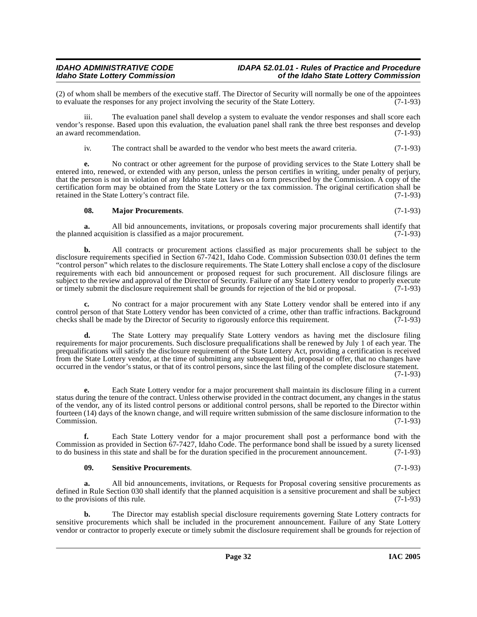(2) of whom shall be members of the executive staff. The Director of Security will normally be one of the appointees to evaluate the responses for any project involving the security of the State Lottery.  $(7-1-93)$ to evaluate the responses for any project involving the security of the State Lottery.

iii. The evaluation panel shall develop a system to evaluate the vendor responses and shall score each vendor's response. Based upon this evaluation, the evaluation panel shall rank the three best responses and develop an award recommendation. (7-1-93) an award recommendation.

iv. The contract shall be awarded to the vendor who best meets the award criteria. (7-1-93)

**e.** No contract or other agreement for the purpose of providing services to the State Lottery shall be entered into, renewed, or extended with any person, unless the person certifies in writing, under penalty of perjury, that the person is not in violation of any Idaho state tax laws on a form prescribed by the Commission. A copy of the certification form may be obtained from the State Lottery or the tax commission. The original certification shall be retained in the State Lottery's contract file. (7-1-93)

#### <span id="page-31-0"></span>**08. Major Procurements**. (7-1-93)

**a.** All bid announcements, invitations, or proposals covering major procurements shall identify that the planned acquisition is classified as a major procurement. (7-1-93)

**b.** All contracts or procurement actions classified as major procurements shall be subject to the disclosure requirements specified in Section 67-7421, Idaho Code. Commission Subsection 030.01 defines the term "control person" which relates to the disclosure requirements. The State Lottery shall enclose a copy of the disclosure requirements with each bid announcement or proposed request for such procurement. All disclosure filings are subject to the review and approval of the Director of Security. Failure of any State Lottery vendor to properly execute<br>or timely submit the disclosure requirement shall be grounds for rejection of the bid or proposal. (7or timely submit the disclosure requirement shall be grounds for rejection of the bid or proposal.

No contract for a major procurement with any State Lottery vendor shall be entered into if any control person of that State Lottery vendor has been convicted of a crime, other than traffic infractions. Background checks shall be made by the Director of Security to rigorously enforce this requirement. (7-1-93) checks shall be made by the Director of Security to rigorously enforce this requirement.

**d.** The State Lottery may prequalify State Lottery vendors as having met the disclosure filing requirements for major procurements. Such disclosure prequalifications shall be renewed by July 1 of each year. The prequalifications will satisfy the disclosure requirement of the State Lottery Act, providing a certification is received from the State Lottery vendor, at the time of submitting any subsequent bid, proposal or offer, that no changes have occurred in the vendor's status, or that of its control persons, since the last filing of the complete disclosure statement. (7-1-93)

**e.** Each State Lottery vendor for a major procurement shall maintain its disclosure filing in a current status during the tenure of the contract. Unless otherwise provided in the contract document, any changes in the status of the vendor, any of its listed control persons or additional control persons, shall be reported to the Director within fourteen (14) days of the known change, and will require written submission of the same disclosure information to the Commission. (7-1-93)

**f.** Each State Lottery vendor for a major procurement shall post a performance bond with the Commission as provided in Section 67-7427, Idaho Code. The performance bond shall be issued by a surety licensed to do business in this state and shall be for the duration specified in the procurement announcement. (7-1-93)

#### <span id="page-31-1"></span>**09. Sensitive Procurements**. (7-1-93)

**a.** All bid announcements, invitations, or Requests for Proposal covering sensitive procurements as defined in Rule Section 030 shall identify that the planned acquisition is a sensitive procurement and shall be subject to the provisions of this rule. to the provisions of this rule.

**b.** The Director may establish special disclosure requirements governing State Lottery contracts for sensitive procurements which shall be included in the procurement announcement. Failure of any State Lottery vendor or contractor to properly execute or timely submit the disclosure requirement shall be grounds for rejection of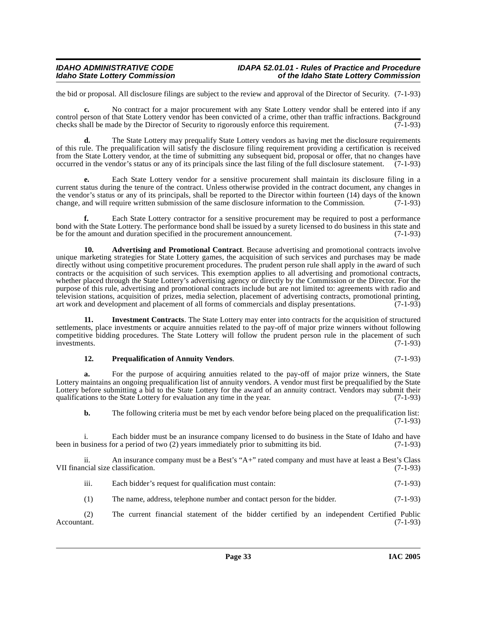the bid or proposal. All disclosure filings are subject to the review and approval of the Director of Security. (7-1-93)

**c.** No contract for a major procurement with any State Lottery vendor shall be entered into if any control person of that State Lottery vendor has been convicted of a crime, other than traffic infractions. Background checks shall be made by the Director of Security to rigorously enforce this requirement.  $(7-1-93)$ 

**d.** The State Lottery may prequalify State Lottery vendors as having met the disclosure requirements of this rule. The prequalification will satisfy the disclosure filing requirement providing a certification is received from the State Lottery vendor, at the time of submitting any subsequent bid, proposal or offer, that no changes have occurred in the vendor's status or any of its principals since the last filing of the full disclosure statement. (7-1-93)

**e.** Each State Lottery vendor for a sensitive procurement shall maintain its disclosure filing in a current status during the tenure of the contract. Unless otherwise provided in the contract document, any changes in the vendor's status or any of its principals, shall be reported to the Director within fourteen (14) days of the known change, and will require written submission of the same disclosure information to the Commission. (7-1-93)

**f.** Each State Lottery contractor for a sensitive procurement may be required to post a performance bond with the State Lottery. The performance bond shall be issued by a surety licensed to do business in this state and be for the amount and duration specified in the procurement announcement. (7-1-93)

<span id="page-32-0"></span>**10. Advertising and Promotional Contract**. Because advertising and promotional contracts involve unique marketing strategies for State Lottery games, the acquisition of such services and purchases may be made directly without using competitive procurement procedures. The prudent person rule shall apply in the award of such contracts or the acquisition of such services. This exemption applies to all advertising and promotional contracts, whether placed through the State Lottery's advertising agency or directly by the Commission or the Director. For the purpose of this rule, advertising and promotional contracts include but are not limited to: agreements with radio and television stations, acquisition of prizes, media selection, placement of advertising contracts, promotional printing, art work and development and placement of all forms of commercials and display presentations. (7-1-93)

**11. Investment Contracts**. The State Lottery may enter into contracts for the acquisition of structured settlements, place investments or acquire annuities related to the pay-off of major prize winners without following competitive bidding procedures. The State Lottery will follow the prudent person rule in the placement of such<br>investments. (7-1-93) investments. (7-1-93)

#### <span id="page-32-2"></span><span id="page-32-1"></span>**12. Prequalification of Annuity Vendors**. (7-1-93)

**a.** For the purpose of acquiring annuities related to the pay-off of major prize winners, the State Lottery maintains an ongoing prequalification list of annuity vendors. A vendor must first be prequalified by the State Lottery before submitting a bid to the State Lottery for the award of an annuity contract. Vendors may submit their qualifications to the State Lottery for evaluation any time in the year. (7-1-93) qualifications to the State Lottery for evaluation any time in the year.

**b.** The following criteria must be met by each vendor before being placed on the prequalification list: (7-1-93)

i. Each bidder must be an insurance company licensed to do business in the State of Idaho and have business for a period of two (2) years immediately prior to submitting its bid. (7-1-93) been in business for a period of two (2) years immediately prior to submitting its bid.

ii. An insurance company must be a Best's "A+" rated company and must have at least a Best's Class VII financial size classification. (7-1-93)

iii. Each bidder's request for qualification must contain: (7-1-93)

(1) The name, address, telephone number and contact person for the bidder. (7-1-93)

(2) The current financial statement of the bidder certified by an independent Certified Public Accountant. (7-1-93)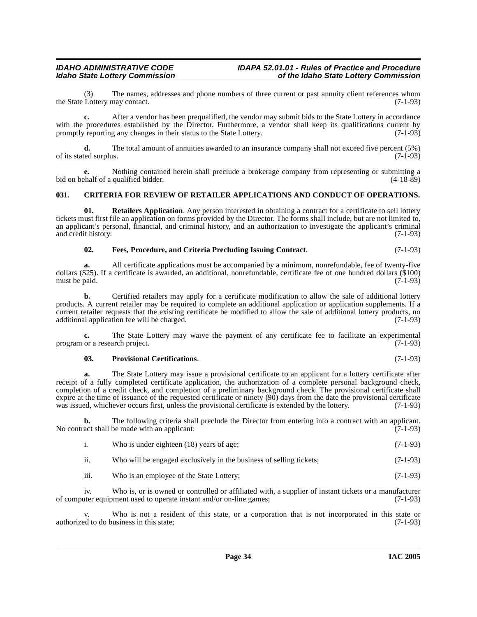(3) The names, addresses and phone numbers of three current or past annuity client references whom Lottery may contact. (7-1-93) the State Lottery may contact.

**c.** After a vendor has been prequalified, the vendor may submit bids to the State Lottery in accordance with the procedures established by the Director. Furthermore, a vendor shall keep its qualifications current by promptly reporting any changes in their status to the State Lottery. (7-1-93) promptly reporting any changes in their status to the State Lottery.

**d.** The total amount of annuities awarded to an insurance company shall not exceed five percent (5%) of its stated surplus.  $(7-1-93)$ 

**e.** Nothing contained herein shall preclude a brokerage company from representing or submitting a chalf of a qualified bidder. (4-18-89) bid on behalf of a qualified bidder.

### <span id="page-33-1"></span><span id="page-33-0"></span>**031. CRITERIA FOR REVIEW OF RETAILER APPLICATIONS AND CONDUCT OF OPERATIONS.**

**01.** Retailers Application. Any person interested in obtaining a contract for a certificate to sell lottery tickets must first file an application on forms provided by the Director. The forms shall include, but are not limited to, an applicant's personal, financial, and criminal history, and an authorization to investigate the applicant's criminal and credit history. (7-1-93)

#### <span id="page-33-2"></span>**02. Fees, Procedure, and Criteria Precluding Issuing Contract**. (7-1-93)

**a.** All certificate applications must be accompanied by a minimum, nonrefundable, fee of twenty-five dollars (\$25). If a certificate is awarded, an additional, nonrefundable, certificate fee of one hundred dollars (\$100) must be paid. (7-1-93)

**b.** Certified retailers may apply for a certificate modification to allow the sale of additional lottery products. A current retailer may be required to complete an additional application or application supplements. If a current retailer requests that the existing certificate be modified to allow the sale of additional lottery products, no additional application fee will be charged. (7-1-93) additional application fee will be charged.

**c.** The State Lottery may waive the payment of any certificate fee to facilitate an experimental or a research project. (7-1-93) program or a research project.

#### <span id="page-33-3"></span>**03. Provisional Certifications**. (7-1-93)

**a.** The State Lottery may issue a provisional certificate to an applicant for a lottery certificate after receipt of a fully completed certificate application, the authorization of a complete personal background check, completion of a credit check, and completion of a preliminary background check. The provisional certificate shall expire at the time of issuance of the requested certificate or ninety (90) days from the date the provisional certificate was issued, whichever occurs first, unless the provisional certificate is extended by the lottery. (7-1-93)

**b.** The following criteria shall preclude the Director from entering into a contract with an applicant. (7-1-93)  $(7-1-93)$ No contract shall be made with an applicant:

| Who is under eighteen (18) years of age; | $(7-1-93)$ |
|------------------------------------------|------------|
|------------------------------------------|------------|

ii. Who will be engaged exclusively in the business of selling tickets; (7-1-93)

iii. Who is an employee of the State Lottery; (7-1-93)

iv. Who is, or is owned or controlled or affiliated with, a supplier of instant tickets or a manufacturer equipment used to operate instant and/or on-line games; (7-1-93) of computer equipment used to operate instant and/or on-line games;

v. Who is not a resident of this state, or a corporation that is not incorporated in this state or d to do business in this state; (7-1-93) authorized to do business in this state;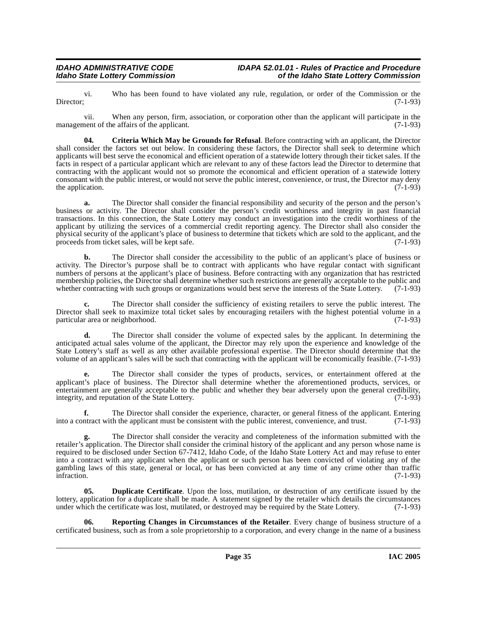vi. Who has been found to have violated any rule, regulation, or order of the Commission or the Director: (7-1-93) Director; (7-1-93)

vii. When any person, firm, association, or corporation other than the applicant will participate in the management of the affairs of the applicant. (7-1-93)

<span id="page-34-0"></span>**04. Criteria Which May be Grounds for Refusal**. Before contracting with an applicant, the Director shall consider the factors set out below. In considering these factors, the Director shall seek to determine which applicants will best serve the economical and efficient operation of a statewide lottery through their ticket sales. If the facts in respect of a particular applicant which are relevant to any of these factors lead the Director to determine that contracting with the applicant would not so promote the economical and efficient operation of a statewide lottery consonant with the public interest, or would not serve the public interest, convenience, or trust, the Director may deny the application.

**a.** The Director shall consider the financial responsibility and security of the person and the person's business or activity. The Director shall consider the person's credit worthiness and integrity in past financial transactions. In this connection, the State Lottery may conduct an investigation into the credit worthiness of the applicant by utilizing the services of a commercial credit reporting agency. The Director shall also consider the physical security of the applicant's place of business to determine that tickets which are sold to the applicant, and the proceeds from ticket sales, will be kept safe. (7-1-93)

**b.** The Director shall consider the accessibility to the public of an applicant's place of business or activity. The Director's purpose shall be to contract with applicants who have regular contact with significant numbers of persons at the applicant's place of business. Before contracting with any organization that has restricted membership policies, the Director shall determine whether such restrictions are generally acceptable to the public and whether contracting with such groups or organizations would best serve the interests of the State Lotte whether contracting with such groups or organizations would best serve the interests of the State Lottery.

**c.** The Director shall consider the sufficiency of existing retailers to serve the public interest. The Director shall seek to maximize total ticket sales by encouraging retailers with the highest potential volume in a particular area or neighborhood.

**d.** The Director shall consider the volume of expected sales by the applicant. In determining the anticipated actual sales volume of the applicant, the Director may rely upon the experience and knowledge of the State Lottery's staff as well as any other available professional expertise. The Director should determine that the volume of an applicant's sales will be such that contracting with the applicant will be economically feasible. (7-1-93)

**e.** The Director shall consider the types of products, services, or entertainment offered at the applicant's place of business. The Director shall determine whether the aforementioned products, services, or entertainment are generally acceptable to the public and whether they bear adversely upon the general credibility, integrity, and reputation of the State Lottery. (7-1-93) integrity, and reputation of the State Lottery.

**f.** The Director shall consider the experience, character, or general fitness of the applicant. Entering into a contract with the applicant must be consistent with the public interest, convenience, and trust. (7-1-93)

**g.** The Director shall consider the veracity and completeness of the information submitted with the retailer's application. The Director shall consider the criminal history of the applicant and any person whose name is required to be disclosed under Section 67-7412, Idaho Code, of the Idaho State Lottery Act and may refuse to enter into a contract with any applicant when the applicant or such person has been convicted of violating any of the gambling laws of this state, general or local, or has been convicted at any time of any crime other than traffic infraction.  $(7-1-93)$ 

<span id="page-34-1"></span>**Duplicate Certificate**. Upon the loss, mutilation, or destruction of any certificate issued by the lottery, application for a duplicate shall be made. A statement signed by the retailer which details the circumstances under which the certificate was lost, mutilated, or destroved may be required by the State Lottery. (7under which the certificate was lost, mutilated, or destroyed may be required by the State Lottery.

<span id="page-34-2"></span>**06. Reporting Changes in Circumstances of the Retailer**. Every change of business structure of a certificated business, such as from a sole proprietorship to a corporation, and every change in the name of a business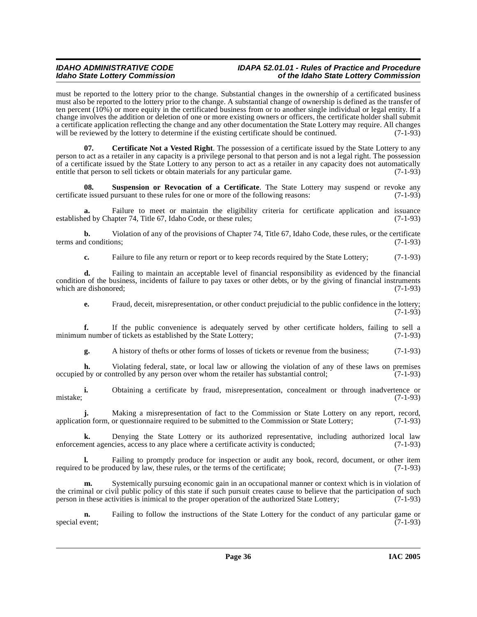must be reported to the lottery prior to the change. Substantial changes in the ownership of a certificated business must also be reported to the lottery prior to the change. A substantial change of ownership is defined as the transfer of ten percent (10%) or more equity in the certificated business from or to another single individual or legal entity. If a change involves the addition or deletion of one or more existing owners or officers, the certificate holder shall submit a certificate application reflecting the change and any other documentation the State Lottery may require. All changes will be reviewed by the lottery to determine if the existing certificate should be continued.  $(7-1-93)$ 

<span id="page-35-0"></span>**07. Certificate Not a Vested Right**. The possession of a certificate issued by the State Lottery to any person to act as a retailer in any capacity is a privilege personal to that person and is not a legal right. The possession of a certificate issued by the State Lottery to any person to act as a retailer in any capacity does not automatically entitle that person to sell tickets or obtain materials for any particular game. (7-1-93) entitle that person to sell tickets or obtain materials for any particular game.

<span id="page-35-1"></span>**08. Suspension or Revocation of a Certificate**. The State Lottery may suspend or revoke any certificate issued pursuant to these rules for one or more of the following reasons: (7-1-93)

Failure to meet or maintain the eligibility criteria for certificate application and issuance apter 74, Title 67, Idaho Code, or these rules; (7-1-93) established by Chapter 74, Title 67, Idaho Code, or these rules;

**b.** Violation of any of the provisions of Chapter 74, Title 67, Idaho Code, these rules, or the certificate terms and conditions; (7-1-93)

**c.** Failure to file any return or report or to keep records required by the State Lottery; (7-1-93)

**d.** Failing to maintain an acceptable level of financial responsibility as evidenced by the financial condition of the business, incidents of failure to pay taxes or other debts, or by the giving of financial instruments which are dishonored: (7-1-93) which are dishonored:

**e.** Fraud, deceit, misrepresentation, or other conduct prejudicial to the public confidence in the lottery;  $(7-1-93)$ 

**f.** If the public convenience is adequately served by other certificate holders, failing to sell a m number of tickets as established by the State Lottery; (7-1-93) minimum number of tickets as established by the State Lottery;

**g.** A history of thefts or other forms of losses of tickets or revenue from the business; (7-1-93)

**h.** Violating federal, state, or local law or allowing the violation of any of these laws on premises by or controlled by any person over whom the retailer has substantial control: (7-1-93) occupied by or controlled by any person over whom the retailer has substantial control;

**i.** Obtaining a certificate by fraud, misrepresentation, concealment or through inadvertence or (7-1-93) mistake; (7-1-93)

**j.** Making a misrepresentation of fact to the Commission or State Lottery on any report, record, application form, or questionnaire required to be submitted to the Commission or State Lottery; (7-1-93)

**k.** Denying the State Lottery or its authorized representative, including authorized local law nent agencies, access to any place where a certificate activity is conducted: (7-1-93) enforcement agencies, access to any place where a certificate activity is conducted;

**l.** Failing to promptly produce for inspection or audit any book, record, document, or other item required to be produced by law, these rules, or the terms of the certificate; (7-1-93)

**m.** Systemically pursuing economic gain in an occupational manner or context which is in violation of the criminal or civil public policy of this state if such pursuit creates cause to believe that the participation of such person in these activities is inimical to the proper operation of the authorized State Lottery; (7-1-93)

**n.** Failing to follow the instructions of the State Lottery for the conduct of any particular game or special event; (7-1-93) special event; (7-1-93)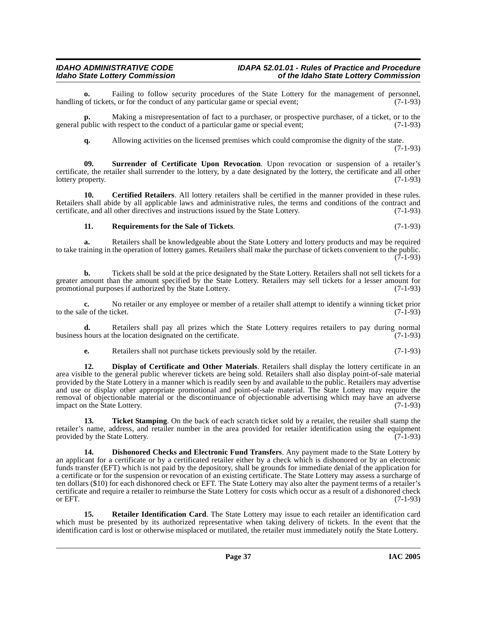Failing to follow security procedures of the State Lottery for the management of personnel, s, or for the conduct of any particular game or special event; (7-1-93) handling of tickets, or for the conduct of any particular game or special event;

**p.** Making a misrepresentation of fact to a purchaser, or prospective purchaser, of a ticket, or to the general public with respect to the conduct of a particular game or special event; (7-1-93)

<span id="page-36-5"></span>**q.** Allowing activities on the licensed premises which could compromise the dignity of the state. (7-1-93)

**09. Surrender of Certificate Upon Revocation**. Upon revocation or suspension of a retailer's certificate, the retailer shall surrender to the lottery, by a date designated by the lottery, the certificate and all other lottery property. (7-1-93) lottery property.

**10. Certified Retailers**. All lottery retailers shall be certified in the manner provided in these rules. Retailers shall abide by all applicable laws and administrative rules, the terms and conditions of the contract and certificate, and all other directives and instructions issued by the State Lottery. (7-1-93)

### <span id="page-36-3"></span><span id="page-36-0"></span>**11. Requirements for the Sale of Tickets**. (7-1-93)

**a.** Retailers shall be knowledgeable about the State Lottery and lottery products and may be required to take training in the operation of lottery games. Retailers shall make the purchase of tickets convenient to the public.  $(7-1-93)$ 

**b.** Tickets shall be sold at the price designated by the State Lottery. Retailers shall not sell tickets for a greater amount than the amount specified by the State Lottery. Retailers may sell tickets for a lesser amount for promotional purposes if authorized by the State Lottery. promotional purposes if authorized by the State Lottery.

**c.** No retailer or any employee or member of a retailer shall attempt to identify a winning ticket prior to the sale of the ticket.  $(7-\hat{1}-93)$ 

**d.** Retailers shall pay all prizes which the State Lottery requires retailers to pay during normal hours at the location designated on the certificate. (7-1-93) business hours at the location designated on the certificate.

<span id="page-36-2"></span>**e.** Retailers shall not purchase tickets previously sold by the retailer. (7-1-93)

**12. Display of Certificate and Other Materials**. Retailers shall display the lottery certificate in an area visible to the general public wherever tickets are being sold. Retailers shall also display point-of-sale material provided by the State Lottery in a manner which is readily seen by and available to the public. Retailers may advertise and use or display other appropriate promotional and point-of-sale material. The State Lottery may require the removal of objectionable material or the discontinuance of objectionable advertising which may have an adverse impact on the State Lottery. (7-1-93)

<span id="page-36-6"></span>**13. Ticket Stamping**. On the back of each scratch ticket sold by a retailer, the retailer shall stamp the retailer's name, address, and retailer number in the area provided for retailer identification using the equipment provided by the State Lottery. provided by the State Lottery.

<span id="page-36-1"></span>**Dishonored Checks and Electronic Fund Transfers.** Any payment made to the State Lottery by an applicant for a certificate or by a certificated retailer either by a check which is dishonored or by an electronic funds transfer (EFT) which is not paid by the depository, shall be grounds for immediate denial of the application for a certificate or for the suspension or revocation of an existing certificate. The State Lottery may assess a surcharge of ten dollars (\$10) for each dishonored check or EFT. The State Lottery may also alter the payment terms of a retailer's certificate and require a retailer to reimburse the State Lottery for costs which occur as a result of a dishonored check or EFT.  $(7-1-93)$ 

<span id="page-36-4"></span>**15. Retailer Identification Card**. The State Lottery may issue to each retailer an identification card which must be presented by its authorized representative when taking delivery of tickets. In the event that the identification card is lost or otherwise misplaced or mutilated, the retailer must immediately notify the State Lottery.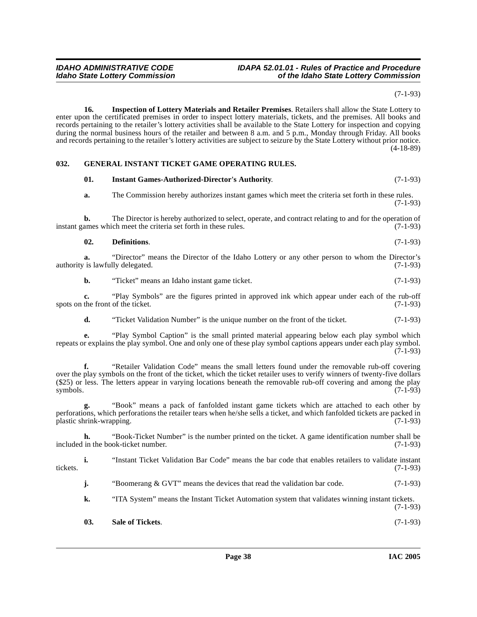(7-1-93)

<span id="page-37-3"></span>**16. Inspection of Lottery Materials and Retailer Premises**. Retailers shall allow the State Lottery to enter upon the certificated premises in order to inspect lottery materials, tickets, and the premises. All books and records pertaining to the retailer's lottery activities shall be available to the State Lottery for inspection and copying during the normal business hours of the retailer and between 8 a.m. and 5 p.m., Monday through Friday. All books and records pertaining to the retailer's lottery activities are subject to seizure by the State Lottery without prior notice. (4-18-89)

### <span id="page-37-0"></span>**032. GENERAL INSTANT TICKET GAME OPERATING RULES.**

### <span id="page-37-4"></span><span id="page-37-2"></span>**01. Instant Games-Authorized-Director's Authority**. (7-1-93) **a.** The Commission hereby authorizes instant games which meet the criteria set forth in these rules. (7-1-93)

**b.** The Director is hereby authorized to select, operate, and contract relating to and for the operation of ames which meet the criteria set forth in these rules. (7-1-93) instant games which meet the criteria set forth in these rules.

### <span id="page-37-1"></span>**02. Definitions**. (7-1-93)

**a.** "Director" means the Director of the Idaho Lottery or any other person to whom the Director's is lawfully delegated. (7-1-93) authority is lawfully delegated.

**b.** "Ticket" means an Idaho instant game ticket. (7-1-93)

**c.** "Play Symbols" are the figures printed in approved ink which appear under each of the rub-off the front of the ticket. (7-1-93) spots on the front of the ticket.

**d.** "Ticket Validation Number" is the unique number on the front of the ticket. (7-1-93)

**e.** "Play Symbol Caption" is the small printed material appearing below each play symbol which repeats or explains the play symbol. One and only one of these play symbol captions appears under each play symbol. (7-1-93)

**f.** "Retailer Validation Code" means the small letters found under the removable rub-off covering over the play symbols on the front of the ticket, which the ticket retailer uses to verify winners of twenty-five dollars (\$25) or less. The letters appear in varying locations beneath the removable rub-off covering and among the play symbols.  $(7-1-93)$ symbols.  $(7-1-93)$ 

**g.** "Book" means a pack of fanfolded instant game tickets which are attached to each other by perforations, which perforations the retailer tears when he/she sells a ticket, and which fanfolded tickets are packed in plastic shrink-wrapping. (7-1-93)

**h.** "Book-Ticket Number" is the number printed on the ticket. A game identification number shall be in the book-ticket number. (7-1-93) included in the book-ticket number.

**i.** "Instant Ticket Validation Bar Code" means the bar code that enables retailers to validate instant tickets. (7-1-93)

**j.** "Boomerang & GVT" means the devices that read the validation bar code. (7-1-93)

**k.** "ITA System" means the Instant Ticket Automation system that validates winning instant tickets.

**03. Sale of Tickets**. (7-1-93)

(7-1-93)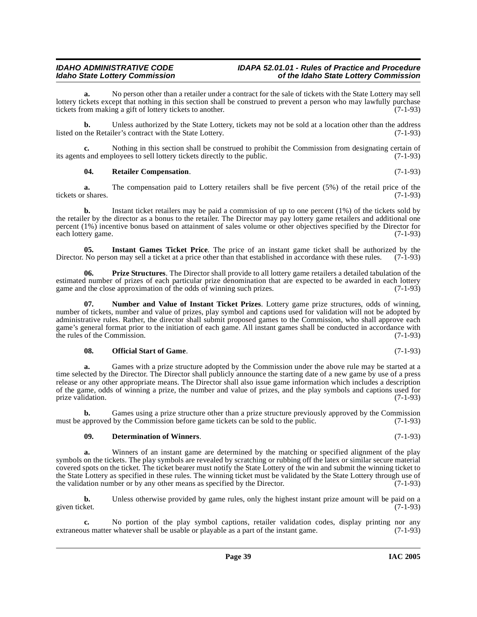**a.** No person other than a retailer under a contract for the sale of tickets with the State Lottery may sell lottery tickets except that nothing in this section shall be construed to prevent a person who may lawfully purchase tickets from making a gift of lottery tickets to another. (7-1-93)

**b.** Unless authorized by the State Lottery, tickets may not be sold at a location other than the address listed on the Retailer's contract with the State Lottery. (7-1-93)

**c.** Nothing in this section shall be construed to prohibit the Commission from designating certain of s and employees to sell lottery tickets directly to the public. (7-1-93) its agents and employees to sell lottery tickets directly to the public.

#### <span id="page-38-5"></span>**04. Retailer Compensation**. (7-1-93)

**a.** The compensation paid to Lottery retailers shall be five percent (5%) of the retail price of the tickets or shares. (7-1-93)

**b.** Instant ticket retailers may be paid a commission of up to one percent (1%) of the tickets sold by the retailer by the director as a bonus to the retailer. The Director may pay lottery game retailers and additional one percent (1%) incentive bonus based on attainment of sales volume or other objectives specified by the Director for each lottery game. (7-1-93)

<span id="page-38-1"></span>**05.** Instant Games Ticket Price. The price of an instant game ticket shall be authorized by the No person may sell a ticket at a price other than that established in accordance with these rules. (7-1-93) Director. No person may sell a ticket at a price other than that established in accordance with these rules.

<span id="page-38-4"></span>**06. Prize Structures**. The Director shall provide to all lottery game retailers a detailed tabulation of the estimated number of prizes of each particular prize denomination that are expected to be awarded in each lottery game and the close approximation of the odds of winning such prizes. (7-1-93)

<span id="page-38-2"></span>**07. Number and Value of Instant Ticket Prizes**. Lottery game prize structures, odds of winning, number of tickets, number and value of prizes, play symbol and captions used for validation will not be adopted by administrative rules. Rather, the director shall submit proposed games to the Commission, who shall approve each game's general format prior to the initiation of each game. All instant games shall be conducted in accordance with the rules of the Commission. (7-1-93) the rules of the Commission.

#### <span id="page-38-3"></span>**08. Official Start of Game**. (7-1-93)

**a.** Games with a prize structure adopted by the Commission under the above rule may be started at a time selected by the Director. The Director shall publicly announce the starting date of a new game by use of a press release or any other appropriate means. The Director shall also issue game information which includes a description of the game, odds of winning a prize, the number and value of prizes, and the play symbols and captions used for prize validation. (7-1-93) prize validation.

**b.** Games using a prize structure other than a prize structure previously approved by the Commission must be approved by the Commission before game tickets can be sold to the public. (7-1-93)

### <span id="page-38-0"></span>**09. Determination of Winners**. (7-1-93)

**a.** Winners of an instant game are determined by the matching or specified alignment of the play symbols on the tickets. The play symbols are revealed by scratching or rubbing off the latex or similar secure material covered spots on the ticket. The ticket bearer must notify the State Lottery of the win and submit the winning ticket to the State Lottery as specified in these rules. The winning ticket must be validated by the State Lottery through use of the validation number or by any other means as specified by the Director. (7-1-93) the validation number or by any other means as specified by the Director.

**b.** Unless otherwise provided by game rules, only the highest instant prize amount will be paid on a ket.  $(7-1-93)$ given ticket. (7-1-93)

**c.** No portion of the play symbol captions, retailer validation codes, display printing nor any us matter whatever shall be usable or playable as a part of the instant game. (7-1-93) extraneous matter whatever shall be usable or playable as a part of the instant game.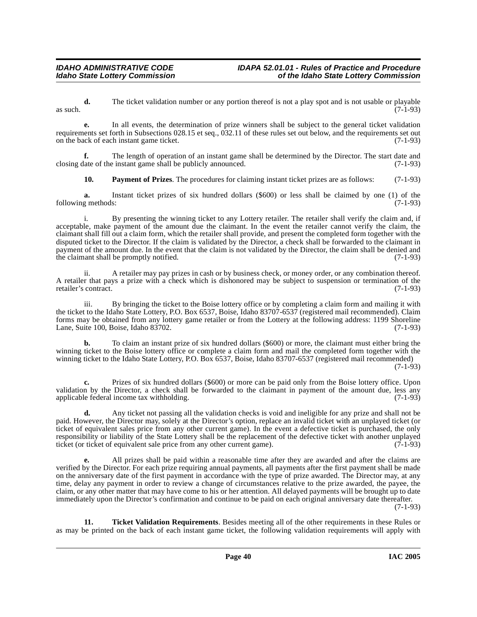**d.** The ticket validation number or any portion thereof is not a play spot and is not usable or playable (7-1-93) as such.  $(7-1-93)$ 

**e.** In all events, the determination of prize winners shall be subject to the general ticket validation requirements set forth in Subsections 028.15 et seq., 032.11 of these rules set out below, and the requirements set out on the back of each instant game ticket. on the back of each instant game ticket.

**f.** The length of operation of an instant game shall be determined by the Director. The start date and closing date of the instant game shall be publicly announced. (7-1-93)

<span id="page-39-0"></span>**10. Payment of Prizes**. The procedures for claiming instant ticket prizes are as follows: (7-1-93)

**a.** Instant ticket prizes of six hundred dollars (\$600) or less shall be claimed by one (1) of the following methods: (7-1-93)

i. By presenting the winning ticket to any Lottery retailer. The retailer shall verify the claim and, if acceptable, make payment of the amount due the claimant. In the event the retailer cannot verify the claim, the claimant shall fill out a claim form, which the retailer shall provide, and present the completed form together with the disputed ticket to the Director. If the claim is validated by the Director, a check shall be forwarded to the claimant in payment of the amount due. In the event that the claim is not validated by the Director, the claim shall be denied and the claimant shall be promptly notified. (7-1-93) the claimant shall be promptly notified.

ii. A retailer may pay prizes in cash or by business check, or money order, or any combination thereof. A retailer that pays a prize with a check which is dishonored may be subject to suspension or termination of the retailer's contract. (7-1-93)

iii. By bringing the ticket to the Boise lottery office or by completing a claim form and mailing it with the ticket to the Idaho State Lottery, P.O. Box 6537, Boise, Idaho 83707-6537 (registered mail recommended). Claim forms may be obtained from any lottery game retailer or from the Lottery at the following address: 1199 Shoreline Lane, Suite 100, Boise, Idaho 83702.

**b.** To claim an instant prize of six hundred dollars (\$600) or more, the claimant must either bring the winning ticket to the Boise lottery office or complete a claim form and mail the completed form together with the winning ticket to the Idaho State Lottery, P.O. Box 6537, Boise, Idaho 83707-6537 (registered mail recommended) (7-1-93)

**c.** Prizes of six hundred dollars (\$600) or more can be paid only from the Boise lottery office. Upon validation by the Director, a check shall be forwarded to the claimant in payment of the amount due, less any applicable federal income tax withholding. (7-1-93) applicable federal income tax withholding.

**d.** Any ticket not passing all the validation checks is void and ineligible for any prize and shall not be paid. However, the Director may, solely at the Director's option, replace an invalid ticket with an unplayed ticket (or ticket of equivalent sales price from any other current game). In the event a defective ticket is purchased, the only responsibility or liability of the State Lottery shall be the replacement of the defective ticket with another unplayed ticket (or ticket of equivalent sale price from any other current game). ticket (or ticket of equivalent sale price from any other current game).

**e.** All prizes shall be paid within a reasonable time after they are awarded and after the claims are verified by the Director. For each prize requiring annual payments, all payments after the first payment shall be made on the anniversary date of the first payment in accordance with the type of prize awarded. The Director may, at any time, delay any payment in order to review a change of circumstances relative to the prize awarded, the payee, the claim, or any other matter that may have come to his or her attention. All delayed payments will be brought up to date immediately upon the Director's confirmation and continue to be paid on each original anniversary date thereafter.

(7-1-93)

<span id="page-39-1"></span>**11. Ticket Validation Requirements**. Besides meeting all of the other requirements in these Rules or as may be printed on the back of each instant game ticket, the following validation requirements will apply with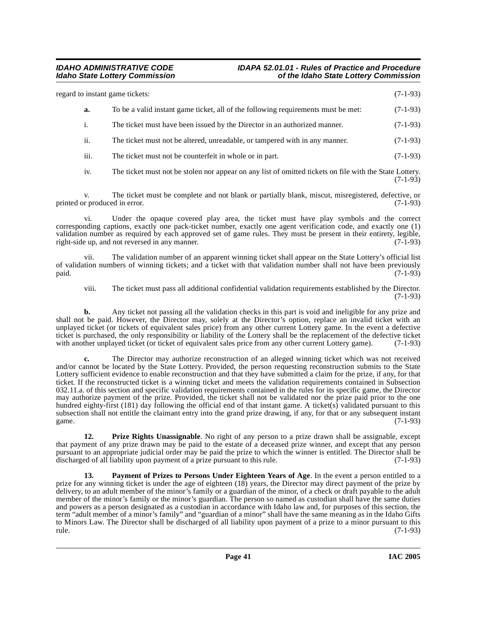| regard to instant game tickets: |                  | $(7-1-93)$                                                                        |            |
|---------------------------------|------------------|-----------------------------------------------------------------------------------|------------|
|                                 | a.               | To be a valid instant game ticket, all of the following requirements must be met: | $(7-1-93)$ |
|                                 | 1.               | The ticket must have been issued by the Director in an authorized manner.         | $(7-1-93)$ |
|                                 | ii.              | The ticket must not be altered, unreadable, or tampered with in any manner.       | $(7-1-93)$ |
|                                 | $\cdots$<br>111. | The ticket must not be counterfeit in whole or in part.                           | $(7-1-93)$ |

iv. The ticket must not be stolen nor appear on any list of omitted tickets on file with the State Lottery.  $(7-1-93)$ 

v. The ticket must be complete and not blank or partially blank, miscut, misregistered, defective, or printed or produced in error. (7-1-93)

vi. Under the opaque covered play area, the ticket must have play symbols and the correct corresponding captions, exactly one pack-ticket number, exactly one agent verification code, and exactly one (1) validation number as required by each approved set of game rules. They must be present in their entirety, legible, right-side up, and not reversed in any manner. (7-1-93)

vii. The validation number of an apparent winning ticket shall appear on the State Lottery's official list of validation numbers of winning tickets; and a ticket with that validation number shall not have been previously paid. (7-1-93) paid. (7-1-93)

viii. The ticket must pass all additional confidential validation requirements established by the Director. (7-1-93)

**b.** Any ticket not passing all the validation checks in this part is void and ineligible for any prize and shall not be paid. However, the Director may, solely at the Director's option, replace an invalid ticket with an unplayed ticket (or tickets of equivalent sales price) from any other current Lottery game. In the event a defective ticket is purchased, the only responsibility or liability of the Lottery shall be the replacement of the defective ticket with another unplayed ticket (or ticket of equivalent sales price from any other current Lottery game). (7-1-93)

**c.** The Director may authorize reconstruction of an alleged winning ticket which was not received and/or cannot be located by the State Lottery. Provided, the person requesting reconstruction submits to the State Lottery sufficient evidence to enable reconstruction and that they have submitted a claim for the prize, if any, for that ticket. If the reconstructed ticket is a winning ticket and meets the validation requirements contained in Subsection 032.11.a. of this section and specific validation requirements contained in the rules for its specific game, the Director may authorize payment of the prize. Provided, the ticket shall not be validated nor the prize paid prior to the one hundred eighty-first (181) day following the official end of that instant game. A ticket(s) validated pursuant to this subsection shall not entitle the claimant entry into the grand prize drawing, if any, for that or any subsequent instant game. game.  $(7-1-93)$ 

<span id="page-40-1"></span>**12. Prize Rights Unassignable**. No right of any person to a prize drawn shall be assignable, except that payment of any prize drawn may be paid to the estate of a deceased prize winner, and except that any person pursuant to an appropriate judicial order may be paid the prize to which the winner is entitled. The Director shall be discharged of all liability upon payment of a prize pursuant to this rule. (7-1-93)

<span id="page-40-0"></span>**13. Payment of Prizes to Persons Under Eighteen Years of Age**. In the event a person entitled to a prize for any winning ticket is under the age of eighteen (18) years, the Director may direct payment of the prize by delivery, to an adult member of the minor's family or a guardian of the minor, of a check or draft payable to the adult member of the minor's family or the minor's guardian. The person so named as custodian shall have the same duties and powers as a person designated as a custodian in accordance with Idaho law and, for purposes of this section, the term "adult member of a minor's family" and "guardian of a minor" shall have the same meaning as in the Idaho Gifts to Minors Law. The Director shall be discharged of all liability upon payment of a prize to a minor pursuant to this rule. (7-1-93)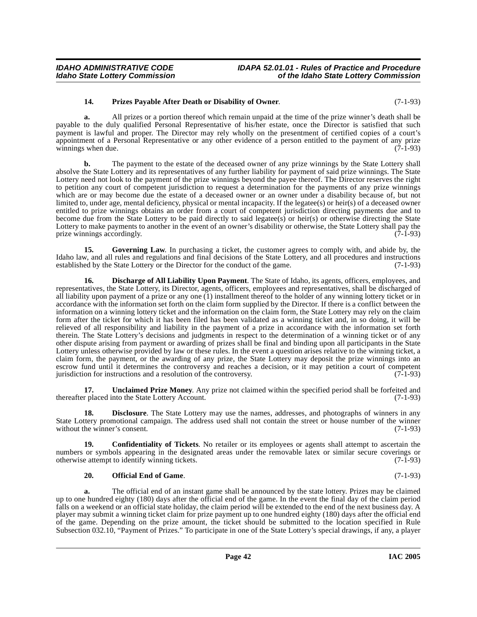### <span id="page-41-4"></span>**14. Prizes Payable After Death or Disability of Owner**. (7-1-93)

**a.** All prizes or a portion thereof which remain unpaid at the time of the prize winner's death shall be payable to the duly qualified Personal Representative of his/her estate, once the Director is satisfied that such payment is lawful and proper. The Director may rely wholly on the presentment of certified copies of a court's appointment of a Personal Representative or any other evidence of a person entitled to the payment of any prize winnings when due. (7-1-93)

**b.** The payment to the estate of the deceased owner of any prize winnings by the State Lottery shall absolve the State Lottery and its representatives of any further liability for payment of said prize winnings. The State Lottery need not look to the payment of the prize winnings beyond the payee thereof. The Director reserves the right to petition any court of competent jurisdiction to request a determination for the payments of any prize winnings which are or may become due the estate of a deceased owner or an owner under a disability because of, but not limited to, under age, mental deficiency, physical or mental incapacity. If the legatee(s) or heir(s) of a deceased owner entitled to prize winnings obtains an order from a court of competent jurisdiction directing payments due and to become due from the State Lottery to be paid directly to said legatee(s) or heir(s) or otherwise directing the State Lottery to make payments to another in the event of an owner's disability or otherwise, the State Lottery shall pay the prize winnings accordingly. (7-1-93)

<span id="page-41-2"></span>**15.** Governing Law. In purchasing a ticket, the customer agrees to comply with, and abide by, the Idaho law, and all rules and regulations and final decisions of the State Lottery, and all procedures and instructions established by the State Lottery or the Director for the conduct of the game. (7-1-93) established by the State Lottery or the Director for the conduct of the game.

<span id="page-41-1"></span>**16. Discharge of All Liability Upon Payment**. The State of Idaho, its agents, officers, employees, and representatives, the State Lottery, its Director, agents, officers, employees and representatives, shall be discharged of all liability upon payment of a prize or any one  $(1)$  installment thereof to the holder of any winning lottery ticket or in accordance with the information set forth on the claim form supplied by the Director. If there is a conflict between the information on a winning lottery ticket and the information on the claim form, the State Lottery may rely on the claim form after the ticket for which it has been filed has been validated as a winning ticket and, in so doing, it will be relieved of all responsibility and liability in the payment of a prize in accordance with the information set forth therein. The State Lottery's decisions and judgments in respect to the determination of a winning ticket or of any other dispute arising from payment or awarding of prizes shall be final and binding upon all participants in the State Lottery unless otherwise provided by law or these rules. In the event a question arises relative to the winning ticket, a claim form, the payment, or the awarding of any prize, the State Lottery may deposit the prize winnings into an escrow fund until it determines the controversy and reaches a decision, or it may petition a court of competent jurisdiction for instructions and a resolution of the controversy.  $(7-1-93)$ 

<span id="page-41-5"></span>**17. Unclaimed Prize Money**. Any prize not claimed within the specified period shall be forfeited and relaced into the State Lottery Account. thereafter placed into the State Lottery Account.

**18. Disclosure**. The State Lottery may use the names, addresses, and photographs of winners in any State Lottery promotional campaign. The address used shall not contain the street or house number of the winner without the winner's consent. (7-1-93)

**19. Confidentiality of Tickets**. No retailer or its employees or agents shall attempt to ascertain the numbers or symbols appearing in the designated areas under the removable latex or similar secure coverings or otherwise attempt to identify winning tickets. (7-1-93)

### <span id="page-41-3"></span><span id="page-41-0"></span>**20. Official End of Game**. (7-1-93)

**a.** The official end of an instant game shall be announced by the state lottery. Prizes may be claimed up to one hundred eighty (180) days after the official end of the game. In the event the final day of the claim period falls on a weekend or an official state holiday, the claim period will be extended to the end of the next business day. A player may submit a winning ticket claim for prize payment up to one hundred eighty (180) days after the official end of the game. Depending on the prize amount, the ticket should be submitted to the location specified in Rule Subsection 032.10, "Payment of Prizes." To participate in one of the State Lottery's special drawings, if any, a player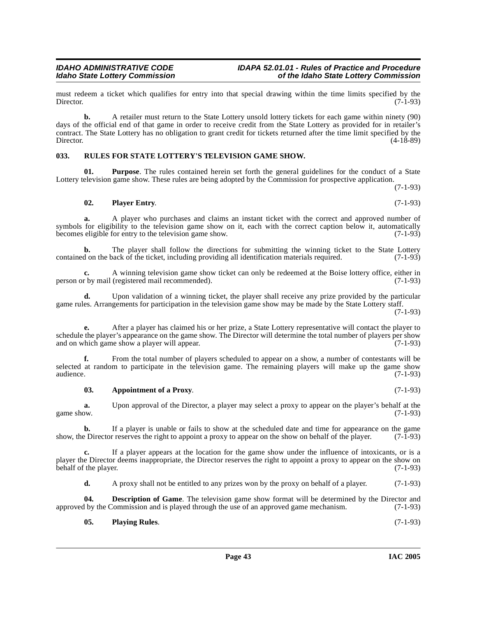must redeem a ticket which qualifies for entry into that special drawing within the time limits specified by the Director. (7-1-93) Director. (7-1-93)

**b.** A retailer must return to the State Lottery unsold lottery tickets for each game within ninety (90) days of the official end of that game in order to receive credit from the State Lottery as provided for in retailer's contract. The State Lottery has no obligation to grant credit for tickets returned after the time limit specified by the Director. (4-18-89)

#### <span id="page-42-4"></span><span id="page-42-0"></span>**033. RULES FOR STATE LOTTERY'S TELEVISION GAME SHOW.**

**01. Purpose**. The rules contained herein set forth the general guidelines for the conduct of a State Lottery television game show. These rules are being adopted by the Commission for prospective application.

(7-1-93)

<span id="page-42-3"></span>
$$
02. \qquad \text{Player Entry.} \tag{7-1-93}
$$

**a.** A player who purchases and claims an instant ticket with the correct and approved number of symbols for eligibility to the television game show on it, each with the correct caption below it, automatically becomes eligible for entry to the television game show. (7-1-93)

**b.** The player shall follow the directions for submitting the winning ticket to the State Lottery d on the back of the ticket, including providing all identification materials required. (7-1-93) contained on the back of the ticket, including providing all identification materials required.

**c.** A winning television game show ticket can only be redeemed at the Boise lottery office, either in person or by mail (registered mail recommended). (7-1-93)

**d.** Upon validation of a winning ticket, the player shall receive any prize provided by the particular game rules. Arrangements for participation in the television game show may be made by the State Lottery staff.

(7-1-93)

**e.** After a player has claimed his or her prize, a State Lottery representative will contact the player to schedule the player's appearance on the game show. The Director will determine the total number of players per show<br>and on which game show a player will appear. (7-1-93) and on which game show a player will appear.

**f.** From the total number of players scheduled to appear on a show, a number of contestants will be selected at random to participate in the television game. The remaining players will make up the game show audience. (7-1-93) audience. (7-1-93)

#### <span id="page-42-1"></span>**03.** Appointment of a Proxy. (7-1-93)

**a.** Upon approval of the Director, a player may select a proxy to appear on the player's behalf at the game show.  $(7-1-93)$ 

**b.** If a player is unable or fails to show at the scheduled date and time for appearance on the game be Director reserves the right to appoint a proxy to appear on the show on behalf of the player. (7-1-93) show, the Director reserves the right to appoint a proxy to appear on the show on behalf of the player.

**c.** If a player appears at the location for the game show under the influence of intoxicants, or is a player the Director deems inappropriate, the Director reserves the right to appoint a proxy to appear on the show on behalf of the player. (7-1-93) behalf of the player.

<span id="page-42-2"></span>**d.** A proxy shall not be entitled to any prizes won by the proxy on behalf of a player. (7-1-93)

**04. Description of Game**. The television game show format will be determined by the Director and approved by the Commission and is played through the use of an approved game mechanism. (7-1-93)

**05. Playing Rules**. (7-1-93)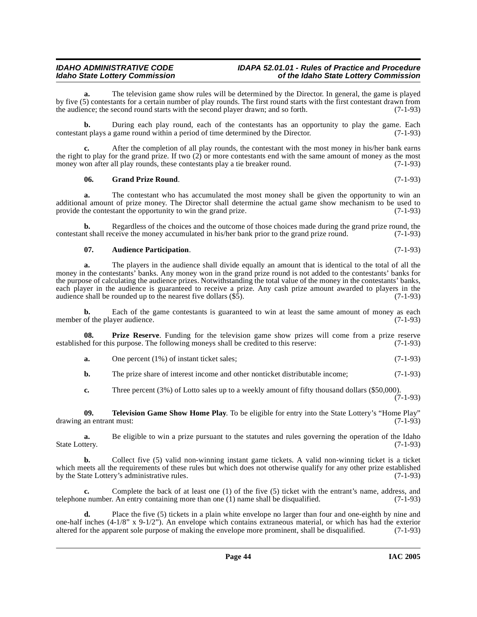#### **IDAHO ADMINISTRATIVE CODE IDAPA 52.01.01 - Rules of Practice and Procedure<br>Idaho State Lottery Commission in the Idaho State Lottery Commission Idaho State Lottery Commission of the Idaho State Lottery Commission**

**a.** The television game show rules will be determined by the Director. In general, the game is played by five (5) contestants for a certain number of play rounds. The first round starts with the first contestant drawn from the audience; the second round starts with the second player drawn; and so forth.  $(7-1-93)$ the audience; the second round starts with the second player drawn; and so forth.

**b.** During each play round, each of the contestants has an opportunity to play the game. Each contestant plays a game round within a period of time determined by the Director. (7-1-93)

**c.** After the completion of all play rounds, the contestant with the most money in his/her bank earns the right to play for the grand prize. If two (2) or more contestants end with the same amount of money as the most money won after all play rounds, these contestants play a tie breaker round. (7-1-93)

#### **06. Grand Prize Round**. (7-1-93)

**a.** The contestant who has accumulated the most money shall be given the opportunity to win an additional amount of prize money. The Director shall determine the actual game show mechanism to be used to provide the contestant the opportunity to win the grand prize. (7-1-93) provide the contestant the opportunity to win the grand prize.

**b.** Regardless of the choices and the outcome of those choices made during the grand prize round, the contestant shall receive the money accumulated in his/her bank prior to the grand prize round. (7-1-93)

### <span id="page-43-0"></span>**07. Audience Participation**. (7-1-93)

**a.** The players in the audience shall divide equally an amount that is identical to the total of all the money in the contestants' banks. Any money won in the grand prize round is not added to the contestants' banks for the purpose of calculating the audience prizes. Notwithstanding the total value of the money in the contestants' banks, each player in the audience is guaranteed to receive a prize. Any cash prize amount awarded to players in the audience shall be rounded up to the nearest five dollars (\$5). (7-1-93) audience shall be rounded up to the nearest five dollars  $(\$5)$ .

**b.** Each of the game contestants is guaranteed to win at least the same amount of money as each of the player audience. (7-1-93) member of the player audience.

**08. Prize Reserve**. Funding for the television game show prizes will come from a prize reserve ed for this purpose. The following moneys shall be credited to this reserve: (7-1-93) established for this purpose. The following moneys shall be credited to this reserve:

<span id="page-43-1"></span>**a.** One percent (1%) of instant ticket sales; (7-1-93)

**b.** The prize share of interest income and other nonticket distributable income: (7-1-93)

<span id="page-43-2"></span>**c.** Three percent (3%) of Lotto sales up to a weekly amount of fifty thousand dollars (\$50,000).  $(7-1-93)$ 

**09. Television Game Show Home Play**. To be eligible for entry into the State Lottery's "Home Play" drawing an entrant must: (7-1-93)

**a.** Be eligible to win a prize pursuant to the statutes and rules governing the operation of the Idaho (7-1-93) State Lottery.

**b.** Collect five (5) valid non-winning instant game tickets. A valid non-winning ticket is a ticket which meets all the requirements of these rules but which does not otherwise qualify for any other prize established<br>by the State Lottery's administrative rules. (7-1-93) by the State Lottery's administrative rules.

**c.** Complete the back of at least one (1) of the five (5) ticket with the entrant's name, address, and telephone number. An entry containing more than one (1) name shall be disqualified. (7-1-93)

**d.** Place the five (5) tickets in a plain white envelope no larger than four and one-eighth by nine and one-half inches  $(4-1/8$ " x  $9-1/2$ "). An envelope which contains extraneous material, or which has had the exterior altered for the apparent sole purpose of making the envelope more prominent, shall be disqualified. (7-1 altered for the apparent sole purpose of making the envelope more prominent, shall be disqualified.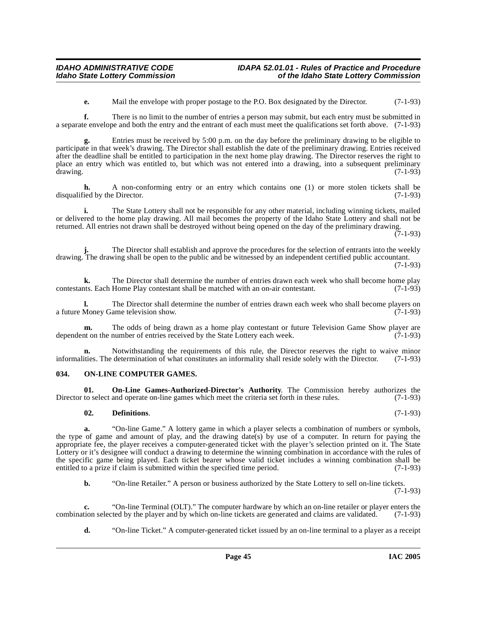**e.** Mail the envelope with proper postage to the P.O. Box designated by the Director. (7-1-93)

**f.** There is no limit to the number of entries a person may submit, but each entry must be submitted in a separate envelope and both the entry and the entrant of each must meet the qualifications set forth above. (7-1-93)

**g.** Entries must be received by 5:00 p.m. on the day before the preliminary drawing to be eligible to participate in that week's drawing. The Director shall establish the date of the preliminary drawing. Entries received after the deadline shall be entitled to participation in the next home play drawing. The Director reserves the right to place an entry which was entitled to, but which was not entered into a drawing, into a subsequent preliminary drawing. (7-1-93)

**h.** A non-conforming entry or an entry which contains one (1) or more stolen tickets shall be disqualified by the Director. (7-1-93)

**i.** The State Lottery shall not be responsible for any other material, including winning tickets, mailed or delivered to the home play drawing. All mail becomes the property of the Idaho State Lottery and shall not be returned. All entries not drawn shall be destroyed without being opened on the day of the preliminary drawing.

(7-1-93)

**j.** The Director shall establish and approve the procedures for the selection of entrants into the weekly drawing. The drawing shall be open to the public and be witnessed by an independent certified public accountant. (7-1-93)

**k.** The Director shall determine the number of entries drawn each week who shall become home play that the Director shall be matched with an on-air contestant. (7-1-93) contestants. Each Home Play contestant shall be matched with an on-air contestant.

**l.** The Director shall determine the number of entries drawn each week who shall become players on a future Money Game television show. (7-1-93)

**m.** The odds of being drawn as a home play contestant or future Television Game Show player are dependent on the number of entries received by the State Lottery each week. (7-1-93)

**n.** Notwithstanding the requirements of this rule, the Director reserves the right to waive minor ities. The determination of what constitutes an informality shall reside solely with the Director. (7-1-93) informalities. The determination of what constitutes an informality shall reside solely with the Director.

#### <span id="page-44-2"></span><span id="page-44-0"></span>**034. ON-LINE COMPUTER GAMES.**

**01. On-Line Games-Authorized-Director's Authority**. The Commission hereby authorizes the to select and operate on-line games which meet the criteria set forth in these rules. (7-1-93) Director to select and operate on-line games which meet the criteria set forth in these rules.

#### <span id="page-44-3"></span><span id="page-44-1"></span>**02. Definitions**. (7-1-93)

**a.** "On-line Game." A lottery game in which a player selects a combination of numbers or symbols, the type of game and amount of play, and the drawing date(s) by use of a computer. In return for paying the appropriate fee, the player receives a computer-generated ticket with the player's selection printed on it. The State Lottery or it's designee will conduct a drawing to determine the winning combination in accordance with the rules of the specific game being played. Each ticket bearer whose valid ticket includes a winning combination shall be entitled to a prize if claim is submitted within the specified time period. (7-1-93)

**b.** "On-line Retailer." A person or business authorized by the State Lottery to sell on-line tickets.

(7-1-93)

**c.** "On-line Terminal (OLT)." The computer hardware by which an on-line retailer or player enters the tion selected by the player and by which on-line tickets are generated and claims are validated. (7-1-93) combination selected by the player and by which on-line tickets are generated and claims are validated.

**d.** "On-line Ticket." A computer-generated ticket issued by an on-line terminal to a player as a receipt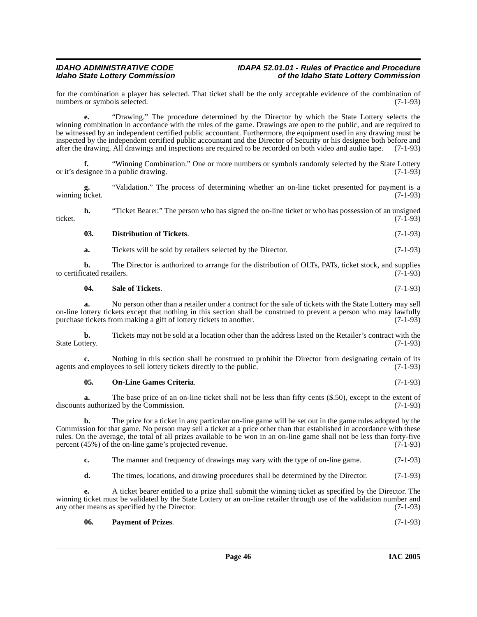#### **IDAHO ADMINISTRATIVE CODE IDAPA 52.01.01 - Rules of Practice and Procedure<br>Idaho State Lottery Commission in the Idaho State Lottery Commission Idaho State Lottery Commission of the Idaho State Lottery Commission**

for the combination a player has selected. That ticket shall be the only acceptable evidence of the combination of numbers or symbols selected. (7-1-93) numbers or symbols selected.

**e.** "Drawing." The procedure determined by the Director by which the State Lottery selects the winning combination in accordance with the rules of the game. Drawings are open to the public, and are required to be witnessed by an independent certified public accountant. Furthermore, the equipment used in any drawing must be inspected by the independent certified public accountant and the Director of Security or his designee both before and after the drawing. All drawings and inspections are required to be recorded on both video and audio tape after the drawing. All drawings and inspections are required to be recorded on both video and audio tape.

**f.** "Winning Combination." One or more numbers or symbols randomly selected by the State Lottery a public drawing. (7-1-93) or it's designee in a public drawing.

**g.** "Validation." The process of determining whether an on-line ticket presented for payment is a winning ticket.  $(7-1-93)$ 

**h.** "Ticket Bearer." The person who has signed the on-line ticket or who has possession of an unsigned (7-1-93) ticket. (7-1-93)

#### **03. Distribution of Tickets**. (7-1-93)

**a.** Tickets will be sold by retailers selected by the Director. (7-1-93)

**b.** The Director is authorized to arrange for the distribution of OLTs, PATs, ticket stock, and supplies cated retailers. (7-1-93) to certificated retailers.

#### <span id="page-45-2"></span>**04. Sale of Tickets**. (7-1-93)

**a.** No person other than a retailer under a contract for the sale of tickets with the State Lottery may sell on-line lottery tickets except that nothing in this section shall be construed to prevent a person who may lawfully purchase tickets from making a gift of lottery tickets to another. (7-1-93) purchase tickets from making a gift of lottery tickets to another.

**b.** Tickets may not be sold at a location other than the address listed on the Retailer's contract with the tery. (7-1-93) State Lottery.

**c.** Nothing in this section shall be construed to prohibit the Director from designating certain of its nd employees to sell lottery tickets directly to the public. (7-1-93) agents and employees to sell lottery tickets directly to the public.

#### <span id="page-45-0"></span>**05. On-Line Games Criteria**. (7-1-93)

**a.** The base price of an on-line ticket shall not be less than fifty cents (\$.50), except to the extent of discounts authorized by the Commission. (7-1-93)

**b.** The price for a ticket in any particular on-line game will be set out in the game rules adopted by the Commission for that game. No person may sell a ticket at a price other than that established in accordance with these rules. On the average, the total of all prizes available to be won in an on-line game shall not be less than forty-five percent (45%) of the on-line game's projected revenue. percent (45%) of the on-line game's projected revenue.

|  | The manner and frequency of drawings may vary with the type of on-line game. |  |  |  | $(7-1-93)$ |
|--|------------------------------------------------------------------------------|--|--|--|------------|
|--|------------------------------------------------------------------------------|--|--|--|------------|

**d.** The times, locations, and drawing procedures shall be determined by the Director. (7-1-93)

**e.** A ticket bearer entitled to a prize shall submit the winning ticket as specified by the Director. The winning ticket must be validated by the State Lottery or an on-line retailer through use of the validation number and any other means as specified by the Director. (7-1-93) any other means as specified by the Director.

<span id="page-45-1"></span>

| - 06. | <b>Payment of Prizes.</b> | $(7-1-93)$ |  |
|-------|---------------------------|------------|--|
|-------|---------------------------|------------|--|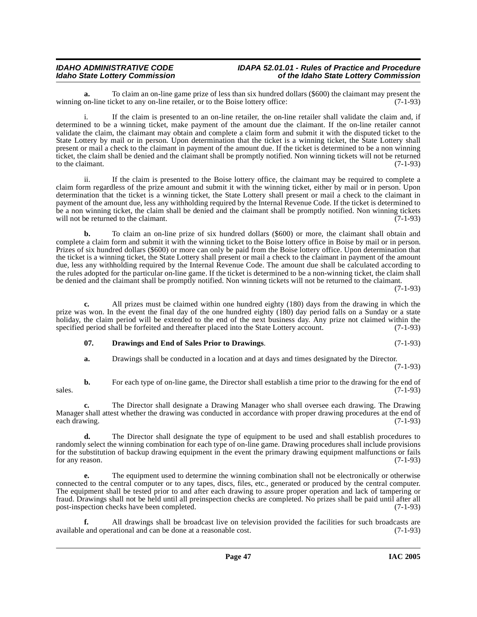**a.** To claim an on-line game prize of less than six hundred dollars (\$600) the claimant may present the on-line ticket to any on-line retailer, or to the Boise lottery office: (7-1-93) winning on-line ticket to any on-line retailer, or to the Boise lottery office:

i. If the claim is presented to an on-line retailer, the on-line retailer shall validate the claim and, if determined to be a winning ticket, make payment of the amount due the claimant. If the on-line retailer cannot validate the claim, the claimant may obtain and complete a claim form and submit it with the disputed ticket to the State Lottery by mail or in person. Upon determination that the ticket is a winning ticket, the State Lottery shall present or mail a check to the claimant in payment of the amount due. If the ticket is determined to be a non winning ticket, the claim shall be denied and the claimant shall be promptly notified. Non winning tickets will not be returned to the claimant.  $(7-1-93)$ 

ii. If the claim is presented to the Boise lottery office, the claimant may be required to complete a claim form regardless of the prize amount and submit it with the winning ticket, either by mail or in person. Upon determination that the ticket is a winning ticket, the State Lottery shall present or mail a check to the claimant in payment of the amount due, less any withholding required by the Internal Revenue Code. If the ticket is determined to be a non winning ticket, the claim shall be denied and the claimant shall be promptly notified. Non winning tickets will not be returned to the claimant. (7-1-93) will not be returned to the claimant.

**b.** To claim an on-line prize of six hundred dollars (\$600) or more, the claimant shall obtain and complete a claim form and submit it with the winning ticket to the Boise lottery office in Boise by mail or in person. Prizes of six hundred dollars (\$600) or more can only be paid from the Boise lottery office. Upon determination that the ticket is a winning ticket, the State Lottery shall present or mail a check to the claimant in payment of the amount due, less any withholding required by the Internal Revenue Code. The amount due shall be calculated according to the rules adopted for the particular on-line game. If the ticket is determined to be a non-winning ticket, the claim shall be denied and the claimant shall be promptly notified. Non winning tickets will not be returned to the claimant.

(7-1-93)

**c.** All prizes must be claimed within one hundred eighty (180) days from the drawing in which the prize was won. In the event the final day of the one hundred eighty (180) day period falls on a Sunday or a state holiday, the claim period will be extended to the end of the next business day. Any prize not claimed within the specified period shall be forfeited and thereafter placed into the State Lottery account. (7-1-93) specified period shall be forfeited and thereafter placed into the State Lottery account.

### <span id="page-46-0"></span>**07. Drawings and End of Sales Prior to Drawings**. (7-1-93)

**a.** Drawings shall be conducted in a location and at days and times designated by the Director.

(7-1-93)

**b.** For each type of on-line game, the Director shall establish a time prior to the drawing for the end of  $s$ sales. (7-1-93)

**c.** The Director shall designate a Drawing Manager who shall oversee each drawing. The Drawing Manager shall attest whether the drawing was conducted in accordance with proper drawing procedures at the end of each drawing. (7-1-93)

**d.** The Director shall designate the type of equipment to be used and shall establish procedures to randomly select the winning combination for each type of on-line game. Drawing procedures shall include provisions for the substitution of backup drawing equipment in the event the primary drawing equipment malfunctions or fails for any reason.  $(7-1-93)$ 

**e.** The equipment used to determine the winning combination shall not be electronically or otherwise connected to the central computer or to any tapes, discs, files, etc., generated or produced by the central computer. The equipment shall be tested prior to and after each drawing to assure proper operation and lack of tampering or fraud. Drawings shall not be held until all preinspection checks are completed. No prizes shall be paid until after all post-inspection checks have been completed. (7-1-93)

All drawings shall be broadcast live on television provided the facilities for such broadcasts are rational and can be done at a reasonable cost. (7-1-93) available and operational and can be done at a reasonable cost.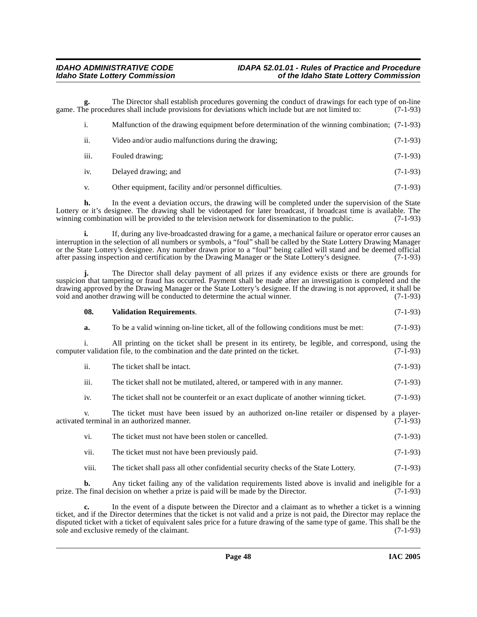**g.** The Director shall establish procedures governing the conduct of drawings for each type of on-line procedures shall include provisions for deviations which include but are not limited to:  $(7-1-93)$ game. The procedures shall include provisions for deviations which include but are not limited to:

|      | Malfunction of the drawing equipment before determination of the winning combination; (7-1-93) |            |
|------|------------------------------------------------------------------------------------------------|------------|
| ii.  | Video and/or audio malfunctions during the drawing;                                            | $(7-1-93)$ |
| iii. | Fouled drawing:                                                                                | $(7-1-93)$ |
| iv.  | Delayed drawing; and                                                                           | $(7-1-93)$ |
|      |                                                                                                |            |

v. Other equipment, facility and/or personnel difficulties. (7-1-93)

**h.** In the event a deviation occurs, the drawing will be completed under the supervision of the State Lottery or it's designee. The drawing shall be videotaped for later broadcast, if broadcast time is available. The winning combination will be provided to the television network for dissemination to the public. (7-1-93) winning combination will be provided to the television network for dissemination to the public.

**i.** If, during any live-broadcasted drawing for a game, a mechanical failure or operator error causes an interruption in the selection of all numbers or symbols, a "foul" shall be called by the State Lottery Drawing Manager or the State Lottery's designee. Any number drawn prior to a "foul" being called will stand and be deemed official<br>after passing inspection and certification by the Drawing Manager or the State Lottery's designee. (7-1-93) after passing inspection and certification by the Drawing Manager or the State Lottery's designee.

**j.** The Director shall delay payment of all prizes if any evidence exists or there are grounds for suspicion that tampering or fraud has occurred. Payment shall be made after an investigation is completed and the drawing approved by the Drawing Manager or the State Lottery's designee. If the drawing is not approved, it shall be void and another drawing will be conducted to determine the actual winner. (7-1-93) void and another drawing will be conducted to determine the actual winner.

### <span id="page-47-0"></span>**08. Validation Requirements**. (7-1-93)

| a. | To be a valid winning on-line ticket, all of the following conditions must be met: | $(7-1-93)$ |
|----|------------------------------------------------------------------------------------|------------|
|    |                                                                                    |            |

i. All printing on the ticket shall be present in its entirety, be legible, and correspond, using the computer validation file, to the combination and the date printed on the ticket. (7-1-93)

| ii.              | The ticket shall be intact.                                                                                                                 | $(7-1-93)$ |
|------------------|---------------------------------------------------------------------------------------------------------------------------------------------|------------|
| $\cdots$<br>111. | The ticket shall not be mutilated, altered, or tampered with in any manner.                                                                 | $(7-1-93)$ |
| 1V.              | The ticket shall not be counterfeit or an exact duplicate of another winning ticket.                                                        | $(7-1-93)$ |
|                  | The ticket must have been issued by an authorized on-line retailer or dispensed by a player-<br>activated terminal in an authorized manner. | $(7-1-93)$ |

| The ticket must not have been stolen or cancelled. | $(7-1-93)$ |
|----------------------------------------------------|------------|
|                                                    |            |

- vii. The ticket must not have been previously paid. (7-1-93)
- viii. The ticket shall pass all other confidential security checks of the State Lottery. (7-1-93)

**b.** Any ticket failing any of the validation requirements listed above is invalid and ineligible for a prize. The final decision on whether a prize is paid will be made by the Director. (7-1-93)

**c.** In the event of a dispute between the Director and a claimant as to whether a ticket is a winning ticket, and if the Director determines that the ticket is not valid and a prize is not paid, the Director may replace the disputed ticket with a ticket of equivalent sales price for a future drawing of the same type of game. This shall be the sole and exclusive remedy of the claimant. (7-1-93) sole and exclusive remedy of the claimant.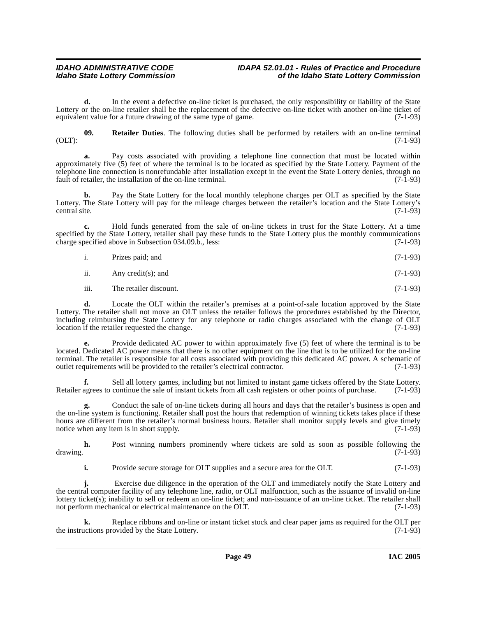**d.** In the event a defective on-line ticket is purchased, the only responsibility or liability of the State Lottery or the on-line retailer shall be the replacement of the defective on-line ticket with another on-line ticket of equivalent value for a future drawing of the same type of game. (7-1-93)

<span id="page-48-0"></span>**09.** Retailer Duties. The following duties shall be performed by retailers with an on-line terminal (7-1-93)  $(OLT):$  (0.1)  $(7-1-93)$ 

**a.** Pay costs associated with providing a telephone line connection that must be located within approximately five (5) feet of where the terminal is to be located as specified by the State Lottery. Payment of the telephone line connection is nonrefundable after installation except in the event the State Lottery denies, through no fault of retailer, the installation of the on-line terminal. (7-1-93) fault of retailer, the installation of the on-line terminal.

Pay the State Lottery for the local monthly telephone charges per OLT as specified by the State Lottery. The State Lottery will pay for the mileage charges between the retailer's location and the State Lottery's central site. (7-1-93)

**c.** Hold funds generated from the sale of on-line tickets in trust for the State Lottery. At a time specified by the State Lottery, retailer shall pay these funds to the State Lottery plus the monthly communications charge specified above in Subsection 034.09.b., less: (7-1-93)

| $\mathbf{i}$ . | Prizes paid; and |  |  | $(7-1-93)$ |
|----------------|------------------|--|--|------------|
|----------------|------------------|--|--|------------|

ii. Any credit(s); and  $(7-1-93)$ 

iii. The retailer discount. (7-1-93)

**d.** Locate the OLT within the retailer's premises at a point-of-sale location approved by the State Lottery. The retailer shall not move an OLT unless the retailer follows the procedures established by the Director, including reimbursing the State Lottery for any telephone or radio charges associated with the change of OLT location if the retailer requested the change.

**e.** Provide dedicated AC power to within approximately five (5) feet of where the terminal is to be located. Dedicated AC power means that there is no other equipment on the line that is to be utilized for the on-line terminal. The retailer is responsible for all costs associated with providing this dedicated AC power. A schematic of outlet requirements will be provided to the retailer's electrical contractor. (7-1-93)

**f.** Sell all lottery games, including but not limited to instant game tickets offered by the State Lottery. Retailer agrees to continue the sale of instant tickets from all cash registers or other points of purchase. (7-1-93)

**g.** Conduct the sale of on-line tickets during all hours and days that the retailer's business is open and the on-line system is functioning. Retailer shall post the hours that redemption of winning tickets takes place if these hours are different from the retailer's normal business hours. Retailer shall monitor supply levels and give timely notice when any item is in short supply. (7-1-93)

**h.** Post winning numbers prominently where tickets are sold as soon as possible following the drawing. (7-1-93)

**i.** Provide secure storage for OLT supplies and a secure area for the OLT. (7-1-93)

**j.** Exercise due diligence in the operation of the OLT and immediately notify the State Lottery and the central computer facility of any telephone line, radio, or OLT malfunction, such as the issuance of invalid on-line lottery ticket(s); inability to sell or redeem an on-line ticket; and non-issuance of an on-line ticket. The retailer shall not perform mechanical or electrical maintenance on the OLT. (7-1-93)

Replace ribbons and on-line or instant ticket stock and clear paper jams as required for the OLT per covided by the State Lottery. (7-1-93) the instructions provided by the State Lottery.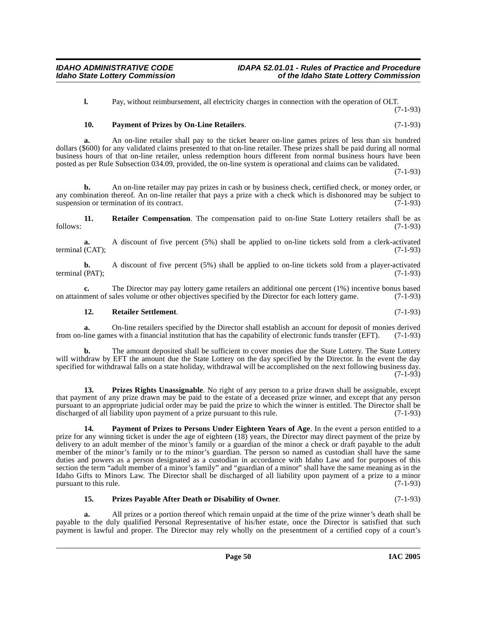**l.** Pay, without reimbursement, all electricity charges in connection with the operation of OLT. (7-1-93)

### <span id="page-49-0"></span>**10. Payment of Prizes by On-Line Retailers**. (7-1-93)

**a.** An on-line retailer shall pay to the ticket bearer on-line games prizes of less than six hundred dollars (\$600) for any validated claims presented to that on-line retailer. These prizes shall be paid during all normal business hours of that on-line retailer, unless redemption hours different from normal business hours have been posted as per Rule Subsection 034.09, provided, the on-line system is operational and claims can be validated.

(7-1-93)

**b.** An on-line retailer may pay prizes in cash or by business check, certified check, or money order, or any combination thereof. An on-line retailer that pays a prize with a check which is dishonored may be subject to suspension or termination of its contract. (7-1-93)

<span id="page-49-4"></span>**11. Retailer Compensation**. The compensation paid to on-line State Lottery retailers shall be as (7-1-93) follows: (7-1-93)

**a.** A discount of five percent (5%) shall be applied to on-line tickets sold from a clerk-activated (CAT): (7-1-93) terminal (CAT);

**b.** A discount of five percent (5%) shall be applied to on-line tickets sold from a player-activated (PAT): (7-1-93) terminal (PAT);

**c.** The Director may pay lottery game retailers an additional one percent (1%) incentive bonus based ment of sales volume or other objectives specified by the Director for each lottery game. (7-1-93) on attainment of sales volume or other objectives specified by the Director for each lottery game.

#### **12. Retailer Settlement**. (7-1-93)

**a.** On-line retailers specified by the Director shall establish an account for deposit of monies derived from on-line games with a financial institution that has the capability of electronic funds transfer (EFT). (7-1-93)

**b.** The amount deposited shall be sufficient to cover monies due the State Lottery. The State Lottery will withdraw by EFT the amount due the State Lottery on the day specified by the Director. In the event the day specified for withdrawal falls on a state holiday, withdrawal will be accomplished on the next following business day.  $(7-1-93)$ 

<span id="page-49-3"></span>13. Prizes Rights Unassignable. No right of any person to a prize drawn shall be assignable, except that payment of any prize drawn may be paid to the estate of a deceased prize winner, and except that any person pursuant to an appropriate judicial order may be paid the prize to which the winner is entitled. The Director shall be discharged of all liability upon payment of a prize pursuant to this rule. (7-1-93)

<span id="page-49-1"></span>**14. Payment of Prizes to Persons Under Eighteen Years of Age**. In the event a person entitled to a prize for any winning ticket is under the age of eighteen (18) years, the Director may direct payment of the prize by delivery to an adult member of the minor's family or a guardian of the minor a check or draft payable to the adult member of the minor's family or to the minor's guardian. The person so named as custodian shall have the same duties and powers as a person designated as a custodian in accordance with Idaho Law and for purposes of this section the term "adult member of a minor's family" and "guardian of a minor" shall have the same meaning as in the Idaho Gifts to Minors Law. The Director shall be discharged of all liability upon payment of a prize to a minor pursuant to this rule. (7-1-93) pursuant to this rule.

### <span id="page-49-2"></span>**15. Prizes Payable After Death or Disability of Owner**. (7-1-93)

**a.** All prizes or a portion thereof which remain unpaid at the time of the prize winner's death shall be payable to the duly qualified Personal Representative of his/her estate, once the Director is satisfied that such payment is lawful and proper. The Director may rely wholly on the presentment of a certified copy of a court's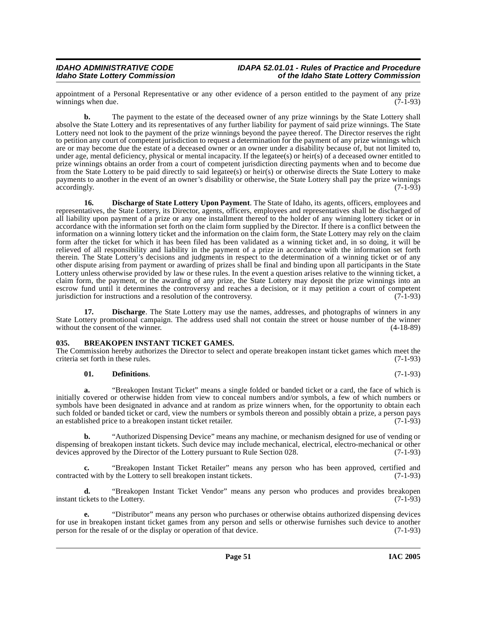appointment of a Personal Representative or any other evidence of a person entitled to the payment of any prize winnings when due. (7-1-93) winnings when due.

**b.** The payment to the estate of the deceased owner of any prize winnings by the State Lottery shall absolve the State Lottery and its representatives of any further liability for payment of said prize winnings. The State Lottery need not look to the payment of the prize winnings beyond the payee thereof. The Director reserves the right to petition any court of competent jurisdiction to request a determination for the payment of any prize winnings which are or may become due the estate of a deceased owner or an owner under a disability because of, but not limited to, under age, mental deficiency, physical or mental incapacity. If the legatee(s) or heir(s) of a deceased owner entitled to prize winnings obtains an order from a court of competent jurisdiction directing payments when and to become due from the State Lottery to be paid directly to said legatee(s) or heir(s) or otherwise directs the State Lottery to make payments to another in the event of an owner's disability or otherwise, the State Lottery shall pay the prize winnings accordingly. (7-1-93)

<span id="page-50-2"></span>**16. Discharge of State Lottery Upon Payment**. The State of Idaho, its agents, officers, employees and representatives, the State Lottery, its Director, agents, officers, employees and representatives shall be discharged of all liability upon payment of a prize or any one installment thereof to the holder of any winning lottery ticket or in accordance with the information set forth on the claim form supplied by the Director. If there is a conflict between the information on a winning lottery ticket and the information on the claim form, the State Lottery may rely on the claim form after the ticket for which it has been filed has been validated as a winning ticket and, in so doing, it will be relieved of all responsibility and liability in the payment of a prize in accordance with the information set forth therein. The State Lottery's decisions and judgments in respect to the determination of a winning ticket or of any other dispute arising from payment or awarding of prizes shall be final and binding upon all participants in the State Lottery unless otherwise provided by law or these rules. In the event a question arises relative to the winning ticket, a claim form, the payment, or the awarding of any prize, the State Lottery may deposit the prize winnings into an escrow fund until it determines the controversy and reaches a decision, or it may petition a court of competent jurisdiction for instructions and a resolution of the controversy. (7-1-93) jurisdiction for instructions and a resolution of the controversy.

**Discharge**. The State Lottery may use the names, addresses, and photographs of winners in any State Lottery promotional campaign. The address used shall not contain the street or house number of the winner without the consent of the winner. (4-18-89) without the consent of the winner.

### <span id="page-50-1"></span><span id="page-50-0"></span>**035. BREAKOPEN INSTANT TICKET GAMES.**

The Commission hereby authorizes the Director to select and operate breakopen instant ticket games which meet the criteria set forth in these rules. (7-1-93) criteria set forth in these rules.

#### **01. Definitions**. (7-1-93)

**a.** "Breakopen Instant Ticket" means a single folded or banded ticket or a card, the face of which is initially covered or otherwise hidden from view to conceal numbers and/or symbols, a few of which numbers or symbols have been designated in advance and at random as prize winners when, for the opportunity to obtain each such folded or banded ticket or card, view the numbers or symbols thereon and possibly obtain a prize, a person pays an established price to a breakopen instant ticket retailer. (7-1-93)

**b.** "Authorized Dispensing Device" means any machine, or mechanism designed for use of vending or dispensing of breakopen instant tickets. Such device may include mechanical, electrical, electro-mechanical or other devices approved by the Director of the Lottery pursuant to Rule Section 028. (7-1-93)

"Breakopen Instant Ticket Retailer" means any person who has been approved, certified and y the Lottery to sell breakopen instant tickets. (7-1-93) contracted with by the Lottery to sell breakopen instant tickets.

**d.** "Breakopen Instant Ticket Vendor" means any person who produces and provides breakopen instant tickets to the Lottery. (7-1-93)

**e.** "Distributor" means any person who purchases or otherwise obtains authorized dispensing devices for use in breakopen instant ticket games from any person and sells or otherwise furnishes such device to another person for the resale of or the display or operation of that device. (7-1-93) person for the resale of or the display or operation of that device.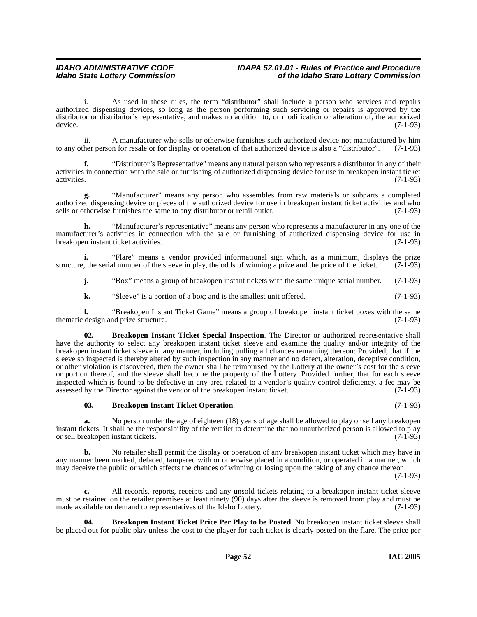i. As used in these rules, the term "distributor" shall include a person who services and repairs authorized dispensing devices, so long as the person performing such servicing or repairs is approved by the distributor or distributor's representative, and makes no addition to, or modification or alteration of, the authorized device. (7-1-93)

ii. A manufacturer who sells or otherwise furnishes such authorized device not manufactured by him<br>her person for resale or for display or operation of that authorized device is also a "distributor". (7-1-93) to any other person for resale or for display or operation of that authorized device is also a "distributor".

**f.** "Distributor's Representative" means any natural person who represents a distributor in any of their activities in connection with the sale or furnishing of authorized dispensing device for use in breakopen instant ticket activities. (7-1-93) activities. (7-1-93)

**g.** "Manufacturer" means any person who assembles from raw materials or subparts a completed authorized dispensing device or pieces of the authorized device for use in breakopen instant ticket activities and who sells or otherwise furnishes the same to any distributor or retail outlet. (7-1-93) sells or otherwise furnishes the same to any distributor or retail outlet.

**h.** "Manufacturer's representative" means any person who represents a manufacturer in any one of the manufacturer's activities in connection with the sale or furnishing of authorized dispensing device for use in breakopen instant ticket activities. (7-1-93)

**i.** "Flare" means a vendor provided informational sign which, as a minimum, displays the prize  $\alpha$ , the serial number of the sleeve in play, the odds of winning a prize and the price of the ticket. (7-1-93) structure, the serial number of the sleeve in play, the odds of winning a prize and the price of the ticket.

**j.** "Box" means a group of breakopen instant tickets with the same unique serial number. (7-1-93)

<span id="page-51-2"></span>**k.** "Sleeve" is a portion of a box; and is the smallest unit offered.  $(7-1-93)$ 

**l.** "Breakopen Instant Ticket Game" means a group of breakopen instant ticket boxes with the same design and prize structure. (7-1-93) thematic design and prize structure.

**02. Breakopen Instant Ticket Special Inspection**. The Director or authorized representative shall have the authority to select any breakopen instant ticket sleeve and examine the quality and/or integrity of the breakopen instant ticket sleeve in any manner, including pulling all chances remaining thereon: Provided, that if the sleeve so inspected is thereby altered by such inspection in any manner and no defect, alteration, deceptive condition, or other violation is discovered, then the owner shall be reimbursed by the Lottery at the owner's cost for the sleeve or portion thereof, and the sleeve shall become the property of the Lottery. Provided further, that for each sleeve inspected which is found to be defective in any area related to a vendor's quality control deficiency, a fee may be assessed by the Director against the vendor of the breakopen instant ticket. (7-1-93)

#### <span id="page-51-0"></span>**03. Breakopen Instant Ticket Operation**. (7-1-93)

**a.** No person under the age of eighteen (18) years of age shall be allowed to play or sell any breakopen instant tickets. It shall be the responsibility of the retailer to determine that no unauthorized person is allowed to play or sell breakopen instant tickets.

**b.** No retailer shall permit the display or operation of any breakopen instant ticket which may have in any manner been marked, defaced, tampered with or otherwise placed in a condition, or operated in a manner, which may deceive the public or which affects the chances of winning or losing upon the taking of any chance thereon.

(7-1-93)

**c.** All records, reports, receipts and any unsold tickets relating to a breakopen instant ticket sleeve must be retained on the retailer premises at least ninety (90) days after the sleeve is removed from play and must be made available on demand to representatives of the Idaho Lottery. (7-1-93) made available on demand to representatives of the Idaho Lottery.

<span id="page-51-1"></span>**04. Breakopen Instant Ticket Price Per Play to be Posted**. No breakopen instant ticket sleeve shall be placed out for public play unless the cost to the player for each ticket is clearly posted on the flare. The price per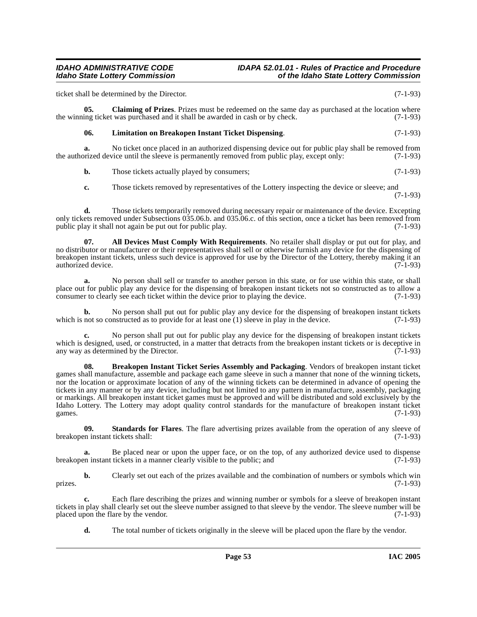ticket shall be determined by the Director. (7-1-93)

**05. Claiming of Prizes**. Prizes must be redeemed on the same day as purchased at the location where the winning ticket was purchased and it shall be awarded in cash or by check. (7-1-93)

### <span id="page-52-3"></span><span id="page-52-2"></span>**06. Limitation on Breakopen Instant Ticket Dispensing**. (7-1-93)

**a.** No ticket once placed in an authorized dispensing device out for public play shall be removed from prized device until the sleeve is permanently removed from public play, except only: (7-1-93) the authorized device until the sleeve is permanently removed from public play, except only:

**b.** Those tickets actually played by consumers; (7-1-93)

<span id="page-52-0"></span>**c.** Those tickets removed by representatives of the Lottery inspecting the device or sleeve; and (7-1-93)

**d.** Those tickets temporarily removed during necessary repair or maintenance of the device. Excepting only tickets removed under Subsections 035.06.b. and 035.06.c. of this section, once a ticket has been removed from public play it shall not again be put out for public play. public play it shall not again be put out for public play.

**07. All Devices Must Comply With Requirements**. No retailer shall display or put out for play, and no distributor or manufacturer or their representatives shall sell or otherwise furnish any device for the dispensing of breakopen instant tickets, unless such device is approved for use by the Director of the Lottery, thereby making it an authorized device. (7-1-93) authorized device.

**a.** No person shall sell or transfer to another person in this state, or for use within this state, or shall place out for public play any device for the dispensing of breakopen instant tickets not so constructed as to allow a consumer to clearly see each ticket within the device prior to playing the device. (7-1-93) consumer to clearly see each ticket within the device prior to playing the device.

**b.** No person shall put out for public play any device for the dispensing of breakopen instant tickets not so constructed as to provide for at least one (1) sleeve in play in the device. (7-1-93) which is not so constructed as to provide for at least one  $(1)$  sleeve in play in the device.

**c.** No person shall put out for public play any device for the dispensing of breakopen instant tickets which is designed, used, or constructed, in a matter that detracts from the breakopen instant tickets or is deceptive in any way as determined by the Director. (7-1-93)

<span id="page-52-1"></span>**08. Breakopen Instant Ticket Series Assembly and Packaging**. Vendors of breakopen instant ticket games shall manufacture, assemble and package each game sleeve in such a manner that none of the winning tickets, nor the location or approximate location of any of the winning tickets can be determined in advance of opening the tickets in any manner or by any device, including but not limited to any pattern in manufacture, assembly, packaging or markings. All breakopen instant ticket games must be approved and will be distributed and sold exclusively by the Idaho Lottery. The Lottery may adopt quality control standards for the manufacture of breakopen instant ticket games.  $(7-1-93)$ 

**09.** Standards for Flares. The flare advertising prizes available from the operation of any sleeve of  $\gamma$ n instant tickets shall: (7-1-93) breakopen instant tickets shall:

**a.** Be placed near or upon the upper face, or on the top, of any authorized device used to dispense breakopen instant tickets in a manner clearly visible to the public; and (7-1-93)

**b.** Clearly set out each of the prizes available and the combination of numbers or symbols which win (7-1-93) prizes.  $(7-1-93)$ 

**c.** Each flare describing the prizes and winning number or symbols for a sleeve of breakopen instant tickets in play shall clearly set out the sleeve number assigned to that sleeve by the vendor. The sleeve number will be placed upon the flare by the vendor. (7-1-93) placed upon the flare by the vendor.

**d.** The total number of tickets originally in the sleeve will be placed upon the flare by the vendor.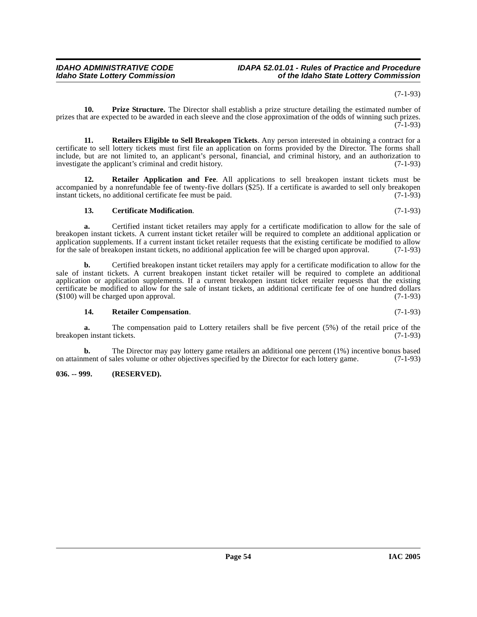(7-1-93)

<span id="page-53-2"></span>**10. Prize Structure.** The Director shall establish a prize structure detailing the estimated number of prizes that are expected to be awarded in each sleeve and the close approximation of the odds of winning such prizes. (7-1-93)

<span id="page-53-5"></span>**11. Retailers Eligible to Sell Breakopen Tickets**. Any person interested in obtaining a contract for a certificate to sell lottery tickets must first file an application on forms provided by the Director. The forms shall include, but are not limited to, an applicant's personal, financial, and criminal history, and an authorization to investigate the applicant's criminal and credit history. (7-1-93)

**12. Retailer Application and Fee**. All applications to sell breakopen instant tickets must be accompanied by a nonrefundable fee of twenty-five dollars (\$25). If a certificate is awarded to sell only breakopen instant tickets, no additional certificate fee must be paid. (7-1-93)

### <span id="page-53-3"></span><span id="page-53-1"></span>**13. Certificate Modification**. (7-1-93)

**a.** Certified instant ticket retailers may apply for a certificate modification to allow for the sale of breakopen instant tickets. A current instant ticket retailer will be required to complete an additional application or application supplements. If a current instant ticket retailer requests that the existing certificate be modified to allow for the sale of breakopen instant tickets, no additional application fee will be charged upon approval. (7-1-93)

**b.** Certified breakopen instant ticket retailers may apply for a certificate modification to allow for the sale of instant tickets. A current breakopen instant ticket retailer will be required to complete an additional application or application supplements. If a current breakopen instant ticket retailer requests that the existing certificate be modified to allow for the sale of instant tickets, an additional certificate fee of one hundred dollars (\$100) will be charged upon approval.  $(7-1-93)$  $($100)$  will be charged upon approval.

#### <span id="page-53-4"></span>**14. Retailer Compensation**. (7-1-93)

**a.** The compensation paid to Lottery retailers shall be five percent (5%) of the retail price of the retail rickets. (7-1-93) breakopen instant tickets.

**b.** The Director may pay lottery game retailers an additional one percent (1%) incentive bonus based ment of sales volume or other objectives specified by the Director for each lottery game. (7-1-93) on attainment of sales volume or other objectives specified by the Director for each lottery game.

### <span id="page-53-0"></span>**036. -- 999. (RESERVED).**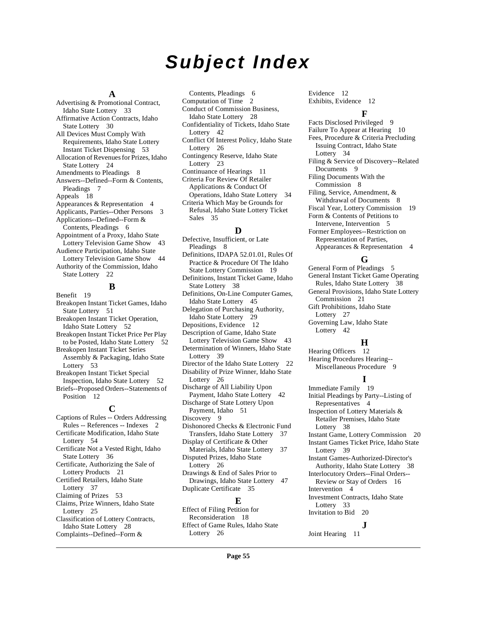# **Subject Index**

#### **A**

Advertising & Promotional Contract, Idaho State Lottery [33](#page-32-0) Affirmative Action Contracts, Idaho State Lottery [30](#page-29-0) All Devices Must Comply With Requirements, Idaho State Lottery Instant Ticket Dispensing [53](#page-52-0) Allocation of Revenues for Prizes, Idaho State Lottery [24](#page-23-0) Amendments to Pleadings [8](#page-7-2) Answers--Defined--Form & Contents, Pleadings [7](#page-6-0) Appeals [18](#page-17-1) Appearances & Representation [4](#page-3-2) Applicants, Parties--Other Persons [3](#page-2-1) Applications--Defined--Form & Contents, Pleadings [6](#page-5-0) Appointment of a Proxy, Idaho State Lottery Television Game Show [43](#page-42-1) Audience Participation, Idaho State Lottery Television Game Show [44](#page-43-0) Authority of the Commission, Idaho State Lottery [22](#page-21-0)

### **B**

Benefit [19](#page-18-1) Breakopen Instant Ticket Games, Idaho State Lottery [51](#page-50-1) Breakopen Instant Ticket Operation, Idaho State Lottery [52](#page-51-0) Breakopen Instant Ticket Price Per Play to be Posted, Idaho State Lottery [52](#page-51-1) Breakopen Instant Ticket Series Assembly & Packaging, Idaho State Lottery [53](#page-52-1) Breakopen Instant Ticket Special Inspection, Idaho State Lottery [52](#page-51-2) Briefs--Proposed Orders--Statements of Position [12](#page-11-1) **C** Captions of Rules -- Orders Addressing Rules -- References -- Indexes [2](#page-1-5) Certificate Modification, Idaho State Lottery [54](#page-53-1) Certificate Not a Vested Right, Idaho

State Lottery [36](#page-35-0) Certificate, Authorizing the Sale of Lottery Products [21](#page-20-1) Certified Retailers, Idaho State Lottery [37](#page-36-0)

Claiming of Prizes [53](#page-52-2)

Claims, Prize Winners, Idaho State Lottery [25](#page-24-0) Classification of Lottery Contracts,

Idaho State Lottery [28](#page-27-1) Complaints--Defined--Form &

Contents, Pleadings [6](#page-5-1) Computation of Time [2](#page-1-6) Conduct of Commission Business, Idaho State Lottery [28](#page-27-2) Confidentiality of Tickets, Idaho State Lottery [42](#page-41-0) Conflict Of Interest Policy, Idaho State Lottery [26](#page-25-1) Contingency Reserve, Idaho State Lottery [23](#page-22-0) Continuance of Hearings [11](#page-10-0) Criteria For Review Of Retailer Applications & Conduct Of Operations, Idaho State Lottery [34](#page-33-1) Criteria Which May be Grounds for Refusal, Idaho State Lottery Ticket Sales [35](#page-34-0)

**D** Defective, Insufficient, or Late Pleadings [8](#page-7-3) Definitions, IDAPA 52.01.01, Rules Of Practice & Procedure Of The Idaho State Lottery Commission [19](#page-18-2) Definitions, Instant Ticket Game, Idaho State Lottery [38](#page-37-1) Definitions, On-Line Computer Games, Idaho State Lottery [45](#page-44-1) Delegation of Purchasing Authority, Idaho State Lottery [29](#page-28-0) Depositions, Evidence [12](#page-11-2) Description of Game, Idaho State Lottery Television Game Show [43](#page-42-2) Determination of Winners, Idaho State Lottery [39](#page-38-0) Director of the Idaho State Lottery [22](#page-21-1) Disability of Prize Winner, Idaho State Lottery [26](#page-25-2) Discharge of All Liability Upon Payment, Idaho State Lottery [42](#page-41-1) Discharge of State Lottery Upon Payment, Idaho [51](#page-50-2) Discovery [9](#page-8-2) Dishonored Checks & Electronic Fund Transfers, Idaho State Lottery [37](#page-36-1) Display of Certificate & Other Materials, Idaho State Lottery [37](#page-36-2) Disputed Prizes, Idaho State Lottery [26](#page-25-3) Drawings & End of Sales Prior to Drawings, Idaho State Lottery [47](#page-46-0) Duplicate Certificate [35](#page-34-1)

### **E**

Effect of Filing Petition for Reconsideration [18](#page-17-2) Effect of Game Rules, Idaho State Lottery [26](#page-25-4)

Evidence [12](#page-11-3) Exhibits, Evidence [12](#page-11-4)

#### **F**

Facts Disclosed Privileged [9](#page-8-3) Failure To Appear at Hearing [10](#page-9-0) Fees, Procedure & Criteria Precluding Issuing Contract, Idaho State Lottery [34](#page-33-2) Filing & Service of Discovery--Related Documents [9](#page-8-4) Filing Documents With the Commission [8](#page-7-4) Filing, Service, Amendment, & Withdrawal of Documents [8](#page-7-5) Fiscal Year, Lottery Commission [19](#page-18-3) Form & Contents of Petitions to Intervene, Intervention [5](#page-4-1) Former Employees--Restriction on Representation of Parties, Appearances & Representation [4](#page-3-3)

#### **G**

General Form of Pleadings [5](#page-4-2) General Instant Ticket Game Operating Rules, Idaho State Lottery [38](#page-37-2) General Provisions, Idaho State Lottery Commission [21](#page-20-2) Gift Prohibitions, Idaho State Lottery [27](#page-26-0) Governing Law, Idaho State Lottery [42](#page-41-2) **H** Hearing Officers [12](#page-11-5)

Hearing Procedures Hearing-- Miscellaneous Procedure [9](#page-8-5)

### **I**

Immediate Family [19](#page-18-4) Initial Pleadings by Party--Listing of Representatives [4](#page-3-4) Inspection of Lottery Materials & Retailer Premises, Idaho State Lottery [38](#page-37-3) Instant Game, Lottery Commission [20](#page-19-0) Instant Games Ticket Price, Idaho State Lottery [39](#page-38-1) Instant Games-Authorized-Director's Authority, Idaho State Lottery [38](#page-37-4) Interlocutory Orders--Final Orders-- Review or Stay of Orders [16](#page-15-1) Intervention [4](#page-3-5) Investment Contracts, Idaho State Lottery [33](#page-32-1) Invitation to Bid [20](#page-19-1) **J**

Joint Hearing [11](#page-10-1)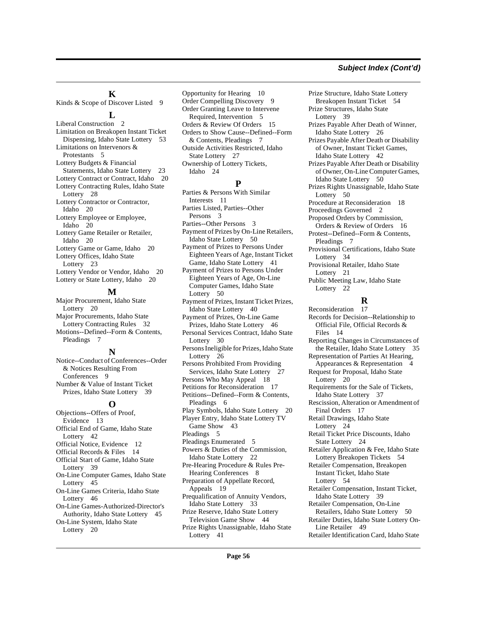#### **Subject Index (Cont'd)**

#### **K**

Kinds & Scope of Discover Listed [9](#page-8-6)

### **L**

Liberal Construction [2](#page-1-7) Limitation on Breakopen Instant Ticket Dispensing, Idaho State Lottery [53](#page-52-3) Limitations on Intervenors & Protestants [5](#page-4-3) Lottery Budgets & Financial Statements, Idaho State Lottery Lottery Contract or Contract, Idaho [20](#page-19-2) Lottery Contracting Rules, Idaho State Lottery [28](#page-27-3) Lottery Contractor or Contractor, Idaho [20](#page-19-3) Lottery Employee or Employee, Idaho [20](#page-19-4) Lottery Game Retailer or Retailer, Idaho [20](#page-19-5) Lottery Game or Game, Idaho [20](#page-19-6) Lottery Offices, Idaho State Lottery [23](#page-22-2) Lottery Vendor or Vendor, Idaho [20](#page-19-7) Lottery or State Lottery, Idaho [20](#page-19-8)

#### **M**

Major Procurement, Idaho State Lottery [20](#page-19-9) Major Procurements, Idaho State Lottery Contracting Rules [32](#page-31-0) Motions--Defined--Form & Contents, Pleadings [7](#page-6-1)

#### **N**

Notice--Conduct of Conferences--Order & Notices Resulting From Conferences [9](#page-8-7) Number & Value of Instant Ticket Prizes, Idaho State Lottery [39](#page-38-2)

### **O**

Objections--Offers of Proof, Evidence [13](#page-12-1) Official End of Game, Idaho State Lottery [42](#page-41-3) Official Notice, Evidence [12](#page-11-6) Official Records & Files [14](#page-13-1) Official Start of Game, Idaho State Lottery [39](#page-38-3) On-Line Computer Games, Idaho State Lottery [45](#page-44-2) On-Line Games Criteria, Idaho State Lottery [46](#page-45-0) On-Line Games-Authorized-Director's Authority, Idaho State Lottery [45](#page-44-3) On-Line System, Idaho State Lottery [20](#page-19-10)

Opportunity for Hearing [10](#page-9-1) Order Compelling Discovery [9](#page-8-8) Order Granting Leave to Intervene Required, Intervention [5](#page-4-4) Orders & Review Of Orders [15](#page-14-1) Orders to Show Cause--Defined--Form & Contents, Pleadings [7](#page-6-2) Outside Activities Restricted, Idaho State Lottery [27](#page-26-1) Ownership of Lottery Tickets, Idaho [24](#page-23-1)

### **P**

Parties & Persons With Similar Interests [11](#page-10-2) Parties Listed, Parties--Other Persons [3](#page-2-2) Parties--Other Persons [3](#page-2-3) Payment of Prizes by On-Line Retailers, Idaho State Lottery [50](#page-49-0) Payment of Prizes to Persons Under Eighteen Years of Age, Instant Ticket Game, Idaho State Lottery [41](#page-40-0) Payment of Prizes to Persons Under Eighteen Years of Age, On-Line Computer Games, Idaho State Lottery [50](#page-49-1) Payment of Prizes, Instant Ticket Prizes, Idaho State Lottery [40](#page-39-0) Payment of Prizes, On-Line Game Prizes, Idaho State Lottery [46](#page-45-1) Personal Services Contract, Idaho State Lottery [30](#page-29-1) Persons Ineligible for Prizes, Idaho State Lottery [26](#page-25-5) Persons Prohibited From Providing Services, Idaho State Lottery [27](#page-26-2) Persons Who May Appeal [18](#page-17-3) Petitions for Reconsideration [17](#page-16-1) Petitions--Defined--Form & Contents, Pleadings [6](#page-5-2) Play Symbols, Idaho State Lottery [20](#page-19-11)

Player Entry, Idaho State Lottery TV Game Show [43](#page-42-3)

Pleadings [5](#page-4-5)

Pleadings Enumerated [5](#page-4-6) Powers & Duties of the Commission, Idaho State Lottery [22](#page-21-2)

Pre-Hearing Procedure & Rules Pre-Hearing Conferences [8](#page-7-6)

Preparation of Appellate Record, Appeals [19](#page-18-5) Prequalification of Annuity Vendors, Idaho State Lottery [33](#page-32-2)

Prize Reserve, Idaho State Lottery Television Game Show [44](#page-43-1) Prize Rights Unassignable, Idaho State Lottery [41](#page-40-1)

Prize Structure, Idaho State Lottery Breakopen Instant Ticket [54](#page-53-2) Prize Structures, Idaho State Lottery [39](#page-38-4) Prizes Payable After Death of Winner, Idaho State Lottery [26](#page-25-6) Prizes Payable After Death or Disability of Owner, Instant Ticket Games, Idaho State Lottery [42](#page-41-4) Prizes Payable After Death or Disability of Owner, On-Line Computer Games, Idaho State Lottery [50](#page-49-2) Prizes Rights Unassignable, Idaho State Lottery [50](#page-49-3) Procedure at Reconsideration [18](#page-17-4) Proceedings Governed [2](#page-1-8) Proposed Orders by Commission, Orders & Review of Orders [16](#page-15-2) Protest--Defined--Form & Contents, Pleadings [7](#page-6-3) Provisional Certifications, Idaho State Lottery [34](#page-33-3) Provisional Retailer, Idaho State Lottery [21](#page-20-3) Public Meeting Law, Idaho State Lottery [22](#page-21-3) **R**

Reconsideration [17](#page-16-2) Records for Decision--Relationship to Official File, Official Records & Files [14](#page-13-2) Reporting Changes in Circumstances of the Retailer, Idaho State Lottery [35](#page-34-2) Representation of Parties At Hearing, Appearances & Representation [4](#page-3-6) Request for Proposal, Idaho State Lottery [20](#page-19-12) Requirements for the Sale of Tickets, Idaho State Lottery [37](#page-36-3) Rescission, Alteration or Amendment of Final Orders [17](#page-16-3) Retail Drawings, Idaho State Lottery [24](#page-23-2) Retail Ticket Price Discounts, Idaho State Lottery [24](#page-23-3) Retailer Application & Fee, Idaho State Lottery Breakopen Tickets [54](#page-53-3) Retailer Compensation, Breakopen Instant Ticket, Idaho State Lottery [54](#page-53-4) Retailer Compensation, Instant Ticket, Idaho State Lottery [39](#page-38-5) Retailer Compensation, On-Line Retailers, Idaho State Lottery [50](#page-49-4) Retailer Duties, Idaho State Lottery On-

Line Retailer [49](#page-48-0) Retailer Identification Card, Idaho State